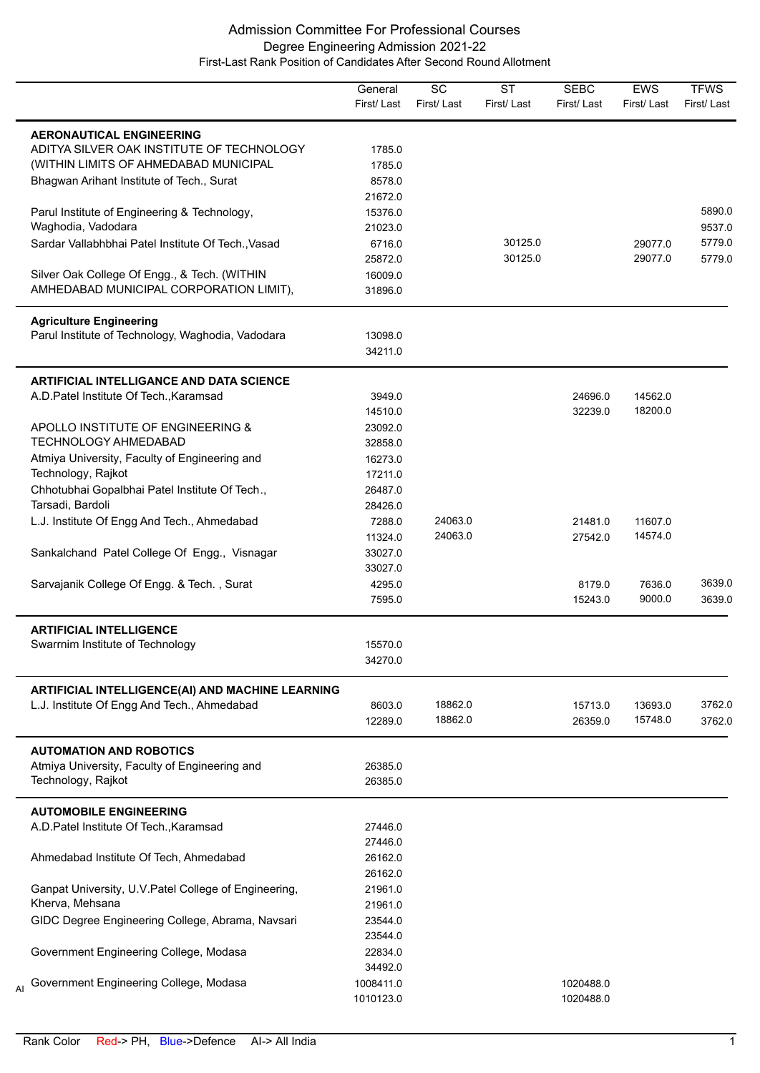|                                                       | General<br>First/Last | $\overline{SC}$<br>First/Last | $\overline{\text{ST}}$<br>First/Last | <b>SEBC</b><br>First/Last | EWS<br>First/Last | <b>TFWS</b><br>First/Last |
|-------------------------------------------------------|-----------------------|-------------------------------|--------------------------------------|---------------------------|-------------------|---------------------------|
| <b>AERONAUTICAL ENGINEERING</b>                       |                       |                               |                                      |                           |                   |                           |
| ADITYA SILVER OAK INSTITUTE OF TECHNOLOGY             | 1785.0                |                               |                                      |                           |                   |                           |
| (WITHIN LIMITS OF AHMEDABAD MUNICIPAL                 | 1785.0                |                               |                                      |                           |                   |                           |
| Bhagwan Arihant Institute of Tech., Surat             | 8578.0                |                               |                                      |                           |                   |                           |
|                                                       | 21672.0               |                               |                                      |                           |                   |                           |
| Parul Institute of Engineering & Technology,          | 15376.0               |                               |                                      |                           |                   | 5890.0                    |
| Waghodia, Vadodara                                    | 21023.0               |                               |                                      |                           |                   | 9537.0                    |
| Sardar Vallabhbhai Patel Institute Of Tech., Vasad    | 6716.0                |                               | 30125.0                              |                           | 29077.0           | 5779.0                    |
|                                                       | 25872.0               |                               | 30125.0                              |                           | 29077.0           | 5779.0                    |
| Silver Oak College Of Engg., & Tech. (WITHIN          | 16009.0               |                               |                                      |                           |                   |                           |
| AMHEDABAD MUNICIPAL CORPORATION LIMIT),               | 31896.0               |                               |                                      |                           |                   |                           |
| <b>Agriculture Engineering</b>                        |                       |                               |                                      |                           |                   |                           |
| Parul Institute of Technology, Waghodia, Vadodara     | 13098.0               |                               |                                      |                           |                   |                           |
|                                                       | 34211.0               |                               |                                      |                           |                   |                           |
| <b>ARTIFICIAL INTELLIGANCE AND DATA SCIENCE</b>       |                       |                               |                                      |                           |                   |                           |
| A.D. Patel Institute Of Tech., Karamsad               | 3949.0                |                               |                                      | 24696.0                   | 14562.0           |                           |
|                                                       | 14510.0               |                               |                                      | 32239.0                   | 18200.0           |                           |
| APOLLO INSTITUTE OF ENGINEERING &                     | 23092.0               |                               |                                      |                           |                   |                           |
| <b>TECHNOLOGY AHMEDABAD</b>                           | 32858.0               |                               |                                      |                           |                   |                           |
| Atmiya University, Faculty of Engineering and         | 16273.0               |                               |                                      |                           |                   |                           |
| Technology, Rajkot                                    | 17211.0               |                               |                                      |                           |                   |                           |
| Chhotubhai Gopalbhai Patel Institute Of Tech.,        | 26487.0               |                               |                                      |                           |                   |                           |
| Tarsadi, Bardoli                                      | 28426.0               |                               |                                      |                           |                   |                           |
| L.J. Institute Of Engg And Tech., Ahmedabad           | 7288.0                | 24063.0                       |                                      | 21481.0                   | 11607.0           |                           |
|                                                       | 11324.0               | 24063.0                       |                                      | 27542.0                   | 14574.0           |                           |
| Sankalchand Patel College Of Engg., Visnagar          | 33027.0               |                               |                                      |                           |                   |                           |
|                                                       | 33027.0               |                               |                                      |                           |                   |                           |
| Sarvajanik College Of Engg. & Tech., Surat            | 4295.0                |                               |                                      | 8179.0                    | 7636.0            | 3639.0                    |
|                                                       | 7595.0                |                               |                                      | 15243.0                   | 9000.0            | 3639.0                    |
| <b>ARTIFICIAL INTELLIGENCE</b>                        |                       |                               |                                      |                           |                   |                           |
| Swarrnim Institute of Technology                      | 15570.0               |                               |                                      |                           |                   |                           |
|                                                       | 34270.0               |                               |                                      |                           |                   |                           |
| ARTIFICIAL INTELLIGENCE(AI) AND MACHINE LEARNING      |                       |                               |                                      |                           |                   |                           |
| L.J. Institute Of Engg And Tech., Ahmedabad           | 8603.0                | 18862.0                       |                                      | 15713.0                   | 13693.0           | 3762.0                    |
|                                                       | 12289.0               | 18862.0                       |                                      | 26359.0                   | 15748.0           | 3762.0                    |
| <b>AUTOMATION AND ROBOTICS</b>                        |                       |                               |                                      |                           |                   |                           |
| Atmiya University, Faculty of Engineering and         | 26385.0               |                               |                                      |                           |                   |                           |
| Technology, Rajkot                                    | 26385.0               |                               |                                      |                           |                   |                           |
| <b>AUTOMOBILE ENGINEERING</b>                         |                       |                               |                                      |                           |                   |                           |
| A.D. Patel Institute Of Tech., Karamsad               | 27446.0               |                               |                                      |                           |                   |                           |
|                                                       | 27446.0               |                               |                                      |                           |                   |                           |
| Ahmedabad Institute Of Tech, Ahmedabad                | 26162.0               |                               |                                      |                           |                   |                           |
|                                                       | 26162.0               |                               |                                      |                           |                   |                           |
| Ganpat University, U.V. Patel College of Engineering, | 21961.0               |                               |                                      |                           |                   |                           |
| Kherva, Mehsana                                       | 21961.0               |                               |                                      |                           |                   |                           |
| GIDC Degree Engineering College, Abrama, Navsari      | 23544.0               |                               |                                      |                           |                   |                           |
|                                                       | 23544.0               |                               |                                      |                           |                   |                           |
| Government Engineering College, Modasa                | 22834.0               |                               |                                      |                           |                   |                           |
|                                                       | 34492.0               |                               |                                      |                           |                   |                           |
| Government Engineering College, Modasa                | 1008411.0             |                               |                                      | 1020488.0                 |                   |                           |
|                                                       | 1010123.0             |                               |                                      | 1020488.0                 |                   |                           |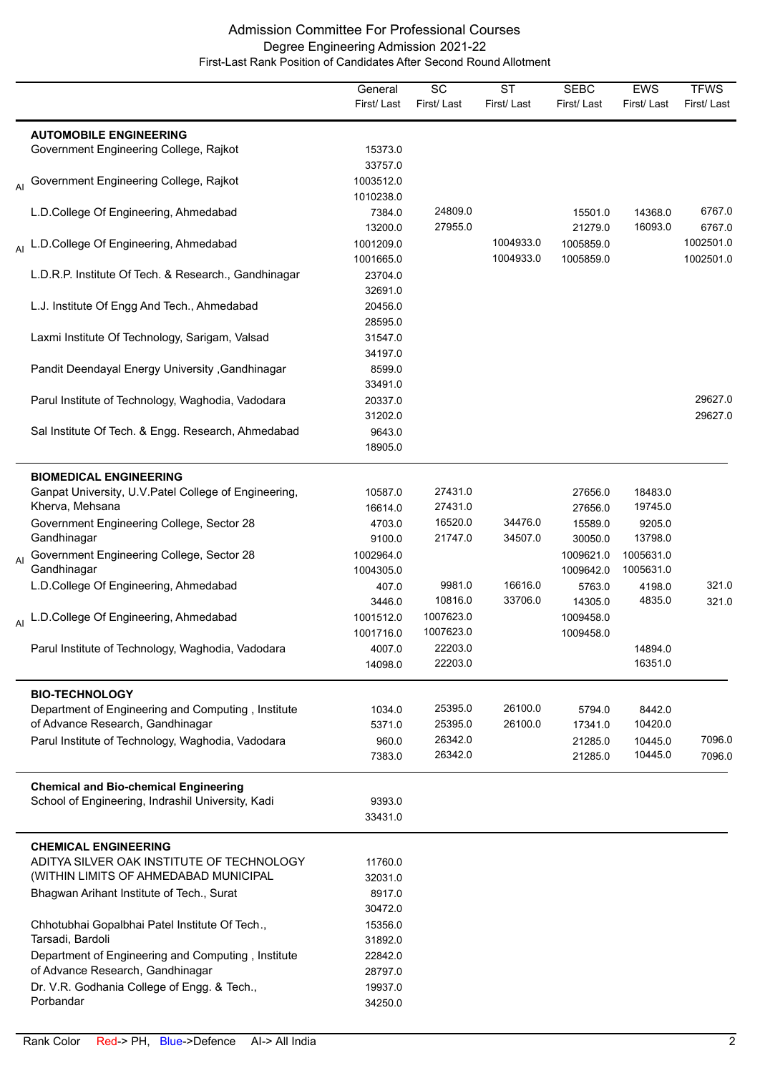|    |                                                       | General    | $\overline{SC}$ | $\overline{\text{ST}}$ | <b>SEBC</b> | <b>EWS</b> | <b>TFWS</b> |
|----|-------------------------------------------------------|------------|-----------------|------------------------|-------------|------------|-------------|
|    |                                                       | First/Last | First/Last      | First/Last             | First/Last  | First/Last | First/Last  |
|    | <b>AUTOMOBILE ENGINEERING</b>                         |            |                 |                        |             |            |             |
|    | Government Engineering College, Rajkot                | 15373.0    |                 |                        |             |            |             |
|    |                                                       | 33757.0    |                 |                        |             |            |             |
|    | Al Government Engineering College, Rajkot             | 1003512.0  |                 |                        |             |            |             |
|    |                                                       | 1010238.0  |                 |                        |             |            |             |
|    | L.D.College Of Engineering, Ahmedabad                 | 7384.0     | 24809.0         |                        | 15501.0     | 14368.0    | 6767.0      |
|    |                                                       | 13200.0    | 27955.0         |                        | 21279.0     | 16093.0    | 6767.0      |
|    | Al L.D.College Of Engineering, Ahmedabad              | 1001209.0  |                 | 1004933.0              | 1005859.0   |            | 1002501.0   |
|    |                                                       | 1001665.0  |                 | 1004933.0              | 1005859.0   |            | 1002501.0   |
|    | L.D.R.P. Institute Of Tech. & Research., Gandhinagar  | 23704.0    |                 |                        |             |            |             |
|    |                                                       | 32691.0    |                 |                        |             |            |             |
|    | L.J. Institute Of Engg And Tech., Ahmedabad           | 20456.0    |                 |                        |             |            |             |
|    |                                                       | 28595.0    |                 |                        |             |            |             |
|    | Laxmi Institute Of Technology, Sarigam, Valsad        | 31547.0    |                 |                        |             |            |             |
|    |                                                       | 34197.0    |                 |                        |             |            |             |
|    | Pandit Deendayal Energy University , Gandhinagar      | 8599.0     |                 |                        |             |            |             |
|    |                                                       | 33491.0    |                 |                        |             |            |             |
|    | Parul Institute of Technology, Waghodia, Vadodara     | 20337.0    |                 |                        |             |            | 29627.0     |
|    |                                                       | 31202.0    |                 |                        |             |            | 29627.0     |
|    | Sal Institute Of Tech. & Engg. Research, Ahmedabad    | 9643.0     |                 |                        |             |            |             |
|    |                                                       | 18905.0    |                 |                        |             |            |             |
|    |                                                       |            |                 |                        |             |            |             |
|    | <b>BIOMEDICAL ENGINEERING</b>                         |            |                 |                        |             |            |             |
|    | Ganpat University, U.V. Patel College of Engineering, | 10587.0    | 27431.0         |                        | 27656.0     | 18483.0    |             |
|    | Kherva, Mehsana                                       | 16614.0    | 27431.0         |                        | 27656.0     | 19745.0    |             |
|    | Government Engineering College, Sector 28             | 4703.0     | 16520.0         | 34476.0                | 15589.0     | 9205.0     |             |
|    | Gandhinagar                                           | 9100.0     | 21747.0         | 34507.0                | 30050.0     | 13798.0    |             |
| AI | Government Engineering College, Sector 28             | 1002964.0  |                 |                        | 1009621.0   | 1005631.0  |             |
|    | Gandhinagar                                           | 1004305.0  |                 |                        | 1009642.0   | 1005631.0  |             |
|    | L.D.College Of Engineering, Ahmedabad                 | 407.0      | 9981.0          | 16616.0                | 5763.0      | 4198.0     | 321.0       |
|    |                                                       | 3446.0     | 10816.0         | 33706.0                | 14305.0     | 4835.0     | 321.0       |
|    | Al L.D.College Of Engineering, Ahmedabad              | 1001512.0  | 1007623.0       |                        | 1009458.0   |            |             |
|    |                                                       | 1001716.0  | 1007623.0       |                        | 1009458.0   |            |             |
|    | Parul Institute of Technology, Waghodia, Vadodara     | 4007.0     | 22203.0         |                        |             | 14894.0    |             |
|    |                                                       | 14098.0    | 22203.0         |                        |             | 16351.0    |             |
|    |                                                       |            |                 |                        |             |            |             |
|    | <b>BIO-TECHNOLOGY</b>                                 |            | 25395.0         |                        |             |            |             |
|    | Department of Engineering and Computing, Institute    | 1034.0     |                 | 26100.0                | 5794.0      | 8442.0     |             |
|    | of Advance Research, Gandhinagar                      | 5371.0     | 25395.0         | 26100.0                | 17341.0     | 10420.0    |             |
|    | Parul Institute of Technology, Waghodia, Vadodara     | 960.0      | 26342.0         |                        | 21285.0     | 10445.0    | 7096.0      |
|    |                                                       | 7383.0     | 26342.0         |                        | 21285.0     | 10445.0    | 7096.0      |
|    | <b>Chemical and Bio-chemical Engineering</b>          |            |                 |                        |             |            |             |
|    | School of Engineering, Indrashil University, Kadi     | 9393.0     |                 |                        |             |            |             |
|    |                                                       | 33431.0    |                 |                        |             |            |             |
|    |                                                       |            |                 |                        |             |            |             |
|    | <b>CHEMICAL ENGINEERING</b>                           |            |                 |                        |             |            |             |
|    | ADITYA SILVER OAK INSTITUTE OF TECHNOLOGY             | 11760.0    |                 |                        |             |            |             |
|    | (WITHIN LIMITS OF AHMEDABAD MUNICIPAL                 | 32031.0    |                 |                        |             |            |             |
|    | Bhagwan Arihant Institute of Tech., Surat             | 8917.0     |                 |                        |             |            |             |
|    |                                                       | 30472.0    |                 |                        |             |            |             |
|    | Chhotubhai Gopalbhai Patel Institute Of Tech.,        | 15356.0    |                 |                        |             |            |             |
|    | Tarsadi, Bardoli                                      | 31892.0    |                 |                        |             |            |             |
|    | Department of Engineering and Computing, Institute    | 22842.0    |                 |                        |             |            |             |
|    | of Advance Research, Gandhinagar                      | 28797.0    |                 |                        |             |            |             |
|    | Dr. V.R. Godhania College of Engg. & Tech.,           | 19937.0    |                 |                        |             |            |             |
|    | Porbandar                                             | 34250.0    |                 |                        |             |            |             |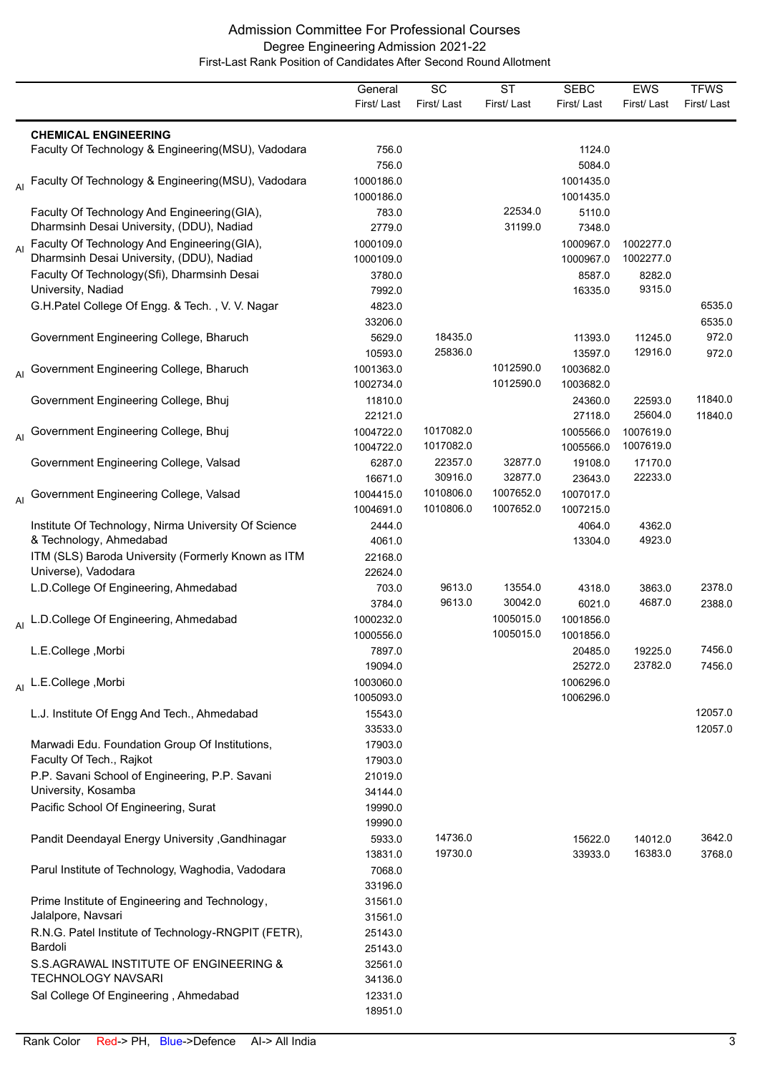|    |                                                                                           | General<br>First/Last  | $\overline{SC}$<br>First/Last | $\overline{\text{ST}}$<br>First/Last | <b>SEBC</b><br>First/Last | <b>EWS</b><br>First/Last | <b>TFWS</b><br>First/Last |
|----|-------------------------------------------------------------------------------------------|------------------------|-------------------------------|--------------------------------------|---------------------------|--------------------------|---------------------------|
|    |                                                                                           |                        |                               |                                      |                           |                          |                           |
|    | <b>CHEMICAL ENGINEERING</b><br>Faculty Of Technology & Engineering(MSU), Vadodara         | 756.0<br>756.0         |                               |                                      | 1124.0<br>5084.0          |                          |                           |
|    | Faculty Of Technology & Engineering(MSU), Vadodara                                        | 1000186.0<br>1000186.0 |                               |                                      | 1001435.0<br>1001435.0    |                          |                           |
|    | Faculty Of Technology And Engineering (GIA),<br>Dharmsinh Desai University, (DDU), Nadiad | 783.0<br>2779.0        |                               | 22534.0<br>31199.0                   | 5110.0<br>7348.0          |                          |                           |
| AI | Faculty Of Technology And Engineering (GIA),<br>Dharmsinh Desai University, (DDU), Nadiad | 1000109.0<br>1000109.0 |                               |                                      | 1000967.0<br>1000967.0    | 1002277.0<br>1002277.0   |                           |
|    | Faculty Of Technology(Sfi), Dharmsinh Desai<br>University, Nadiad                         | 3780.0<br>7992.0       |                               |                                      | 8587.0<br>16335.0         | 8282.0<br>9315.0         |                           |
|    | G.H.Patel College Of Engg. & Tech., V. V. Nagar                                           | 4823.0<br>33206.0      |                               |                                      |                           |                          | 6535.0<br>6535.0          |
|    | Government Engineering College, Bharuch                                                   | 5629.0<br>10593.0      | 18435.0<br>25836.0            |                                      | 11393.0<br>13597.0        | 11245.0<br>12916.0       | 972.0<br>972.0            |
| Al | Government Engineering College, Bharuch                                                   | 1001363.0<br>1002734.0 |                               | 1012590.0<br>1012590.0               | 1003682.0<br>1003682.0    |                          |                           |
|    | Government Engineering College, Bhuj                                                      | 11810.0<br>22121.0     |                               |                                      | 24360.0<br>27118.0        | 22593.0<br>25604.0       | 11840.0<br>11840.0        |
| AI | Government Engineering College, Bhuj                                                      | 1004722.0<br>1004722.0 | 1017082.0<br>1017082.0        |                                      | 1005566.0<br>1005566.0    | 1007619.0<br>1007619.0   |                           |
|    | Government Engineering College, Valsad                                                    | 6287.0<br>16671.0      | 22357.0<br>30916.0            | 32877.0<br>32877.0                   | 19108.0<br>23643.0        | 17170.0<br>22233.0       |                           |
| AI | Government Engineering College, Valsad                                                    | 1004415.0<br>1004691.0 | 1010806.0<br>1010806.0        | 1007652.0<br>1007652.0               | 1007017.0<br>1007215.0    |                          |                           |
|    | Institute Of Technology, Nirma University Of Science<br>& Technology, Ahmedabad           | 2444.0<br>4061.0       |                               |                                      | 4064.0<br>13304.0         | 4362.0<br>4923.0         |                           |
|    | ITM (SLS) Baroda University (Formerly Known as ITM<br>Universe), Vadodara                 | 22168.0<br>22624.0     |                               |                                      |                           |                          |                           |
|    | L.D.College Of Engineering, Ahmedabad                                                     | 703.0<br>3784.0        | 9613.0<br>9613.0              | 13554.0<br>30042.0                   | 4318.0<br>6021.0          | 3863.0<br>4687.0         | 2378.0<br>2388.0          |
| AI | L.D.College Of Engineering, Ahmedabad                                                     | 1000232.0<br>1000556.0 |                               | 1005015.0<br>1005015.0               | 1001856.0<br>1001856.0    |                          |                           |
|    | L.E.College, Morbi                                                                        | 7897.0<br>19094.0      |                               |                                      | 20485.0<br>25272.0        | 19225.0<br>23782.0       | 7456.0<br>7456.0          |
|    | Al L.E.College, Morbi                                                                     | 1003060.0<br>1005093.0 |                               |                                      | 1006296.0<br>1006296.0    |                          |                           |
|    | L.J. Institute Of Engg And Tech., Ahmedabad                                               | 15543.0<br>33533.0     |                               |                                      |                           |                          | 12057.0<br>12057.0        |
|    | Marwadi Edu. Foundation Group Of Institutions,<br>Faculty Of Tech., Rajkot                | 17903.0<br>17903.0     |                               |                                      |                           |                          |                           |
|    | P.P. Savani School of Engineering, P.P. Savani<br>University, Kosamba                     | 21019.0<br>34144.0     |                               |                                      |                           |                          |                           |
|    | Pacific School Of Engineering, Surat                                                      | 19990.0<br>19990.0     |                               |                                      |                           |                          |                           |
|    | Pandit Deendayal Energy University , Gandhinagar                                          | 5933.0<br>13831.0      | 14736.0<br>19730.0            |                                      | 15622.0<br>33933.0        | 14012.0<br>16383.0       | 3642.0<br>3768.0          |
|    | Parul Institute of Technology, Waghodia, Vadodara                                         | 7068.0<br>33196.0      |                               |                                      |                           |                          |                           |
|    | Prime Institute of Engineering and Technology,<br>Jalalpore, Navsari                      | 31561.0<br>31561.0     |                               |                                      |                           |                          |                           |
|    | R.N.G. Patel Institute of Technology-RNGPIT (FETR),<br>Bardoli                            | 25143.0<br>25143.0     |                               |                                      |                           |                          |                           |
|    | S.S.AGRAWAL INSTITUTE OF ENGINEERING &<br><b>TECHNOLOGY NAVSARI</b>                       | 32561.0<br>34136.0     |                               |                                      |                           |                          |                           |
|    | Sal College Of Engineering, Ahmedabad                                                     | 12331.0<br>18951.0     |                               |                                      |                           |                          |                           |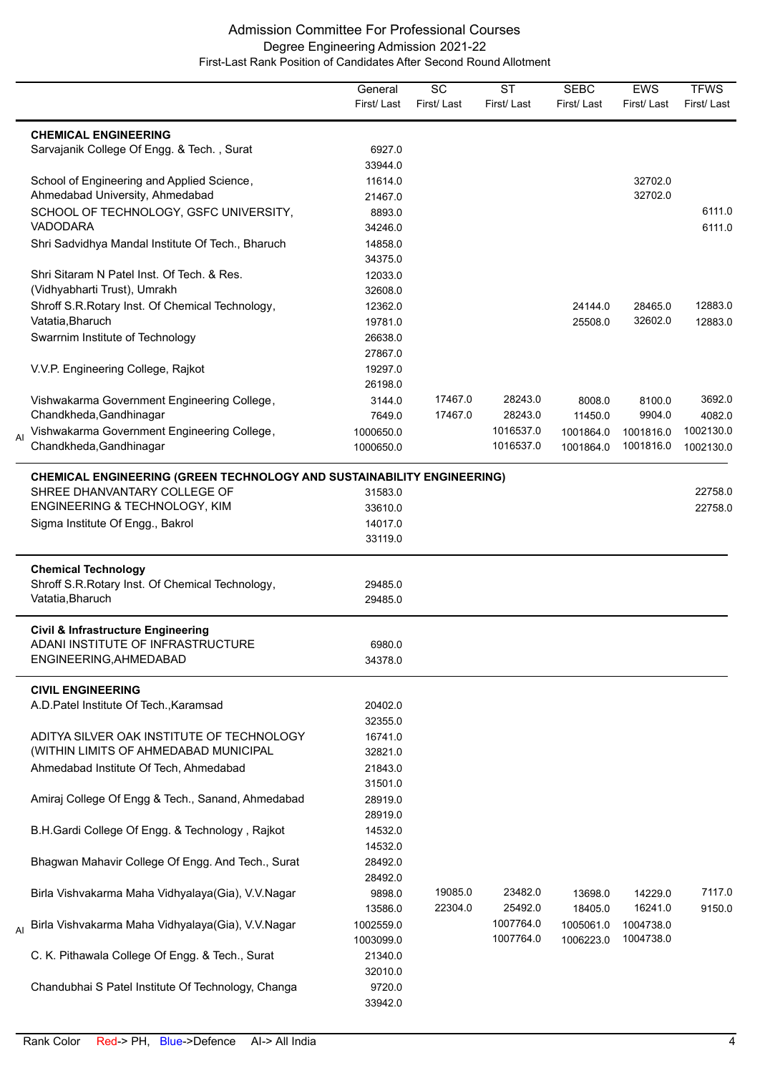|    |                                                                               | General<br>First/Last | SC<br>First/Last | <b>ST</b><br>First/Last | <b>SEBC</b><br>First/Last | <b>EWS</b><br>First/Last | <b>TFWS</b><br>First/Last |
|----|-------------------------------------------------------------------------------|-----------------------|------------------|-------------------------|---------------------------|--------------------------|---------------------------|
|    |                                                                               |                       |                  |                         |                           |                          |                           |
|    | <b>CHEMICAL ENGINEERING</b>                                                   |                       |                  |                         |                           |                          |                           |
|    | Sarvajanik College Of Engg. & Tech., Surat                                    | 6927.0                |                  |                         |                           |                          |                           |
|    |                                                                               | 33944.0               |                  |                         |                           |                          |                           |
|    | School of Engineering and Applied Science,                                    | 11614.0               |                  |                         |                           | 32702.0<br>32702.0       |                           |
|    | Ahmedabad University, Ahmedabad<br>SCHOOL OF TECHNOLOGY, GSFC UNIVERSITY,     | 21467.0               |                  |                         |                           |                          | 6111.0                    |
|    | <b>VADODARA</b>                                                               | 8893.0<br>34246.0     |                  |                         |                           |                          | 6111.0                    |
|    | Shri Sadvidhya Mandal Institute Of Tech., Bharuch                             | 14858.0               |                  |                         |                           |                          |                           |
|    |                                                                               | 34375.0               |                  |                         |                           |                          |                           |
|    | Shri Sitaram N Patel Inst. Of Tech. & Res.                                    | 12033.0               |                  |                         |                           |                          |                           |
|    | (Vidhyabharti Trust), Umrakh                                                  | 32608.0               |                  |                         |                           |                          |                           |
|    | Shroff S.R.Rotary Inst. Of Chemical Technology,                               | 12362.0               |                  |                         | 24144.0                   | 28465.0                  | 12883.0                   |
|    | Vatatia, Bharuch                                                              | 19781.0               |                  |                         | 25508.0                   | 32602.0                  | 12883.0                   |
|    | Swarrnim Institute of Technology                                              | 26638.0               |                  |                         |                           |                          |                           |
|    |                                                                               | 27867.0               |                  |                         |                           |                          |                           |
|    | V.V.P. Engineering College, Rajkot                                            | 19297.0               |                  |                         |                           |                          |                           |
|    |                                                                               | 26198.0               |                  |                         |                           |                          |                           |
|    | Vishwakarma Government Engineering College,                                   | 3144.0                | 17467.0          | 28243.0                 | 8008.0                    | 8100.0                   | 3692.0                    |
|    | Chandkheda, Gandhinagar                                                       | 7649.0                | 17467.0          | 28243.0                 | 11450.0                   | 9904.0                   | 4082.0                    |
|    | Vishwakarma Government Engineering College,                                   | 1000650.0             |                  | 1016537.0               | 1001864.0                 | 1001816.0                | 1002130.0                 |
| Al | Chandkheda, Gandhinagar                                                       | 1000650.0             |                  | 1016537.0               | 1001864.0                 | 1001816.0                | 1002130.0                 |
|    | <b>CHEMICAL ENGINEERING (GREEN TECHNOLOGY AND SUSTAINABILITY ENGINEERING)</b> |                       |                  |                         |                           |                          |                           |
|    | SHREE DHANVANTARY COLLEGE OF                                                  | 31583.0               |                  |                         |                           |                          | 22758.0                   |
|    | ENGINEERING & TECHNOLOGY, KIM                                                 | 33610.0               |                  |                         |                           |                          | 22758.0                   |
|    | Sigma Institute Of Engg., Bakrol                                              | 14017.0               |                  |                         |                           |                          |                           |
|    |                                                                               | 33119.0               |                  |                         |                           |                          |                           |
|    | <b>Chemical Technology</b>                                                    |                       |                  |                         |                           |                          |                           |
|    | Shroff S.R.Rotary Inst. Of Chemical Technology,                               | 29485.0               |                  |                         |                           |                          |                           |
|    | Vatatia, Bharuch                                                              | 29485.0               |                  |                         |                           |                          |                           |
|    | <b>Civil &amp; Infrastructure Engineering</b>                                 |                       |                  |                         |                           |                          |                           |
|    | ADANI INSTITUTE OF INFRASTRUCTURE                                             | 6980.0                |                  |                         |                           |                          |                           |
|    | ENGINEERING, AHMEDABAD                                                        | 34378.0               |                  |                         |                           |                          |                           |
|    | <b>CIVIL ENGINEERING</b>                                                      |                       |                  |                         |                           |                          |                           |
|    | A.D. Patel Institute Of Tech., Karamsad                                       | 20402.0               |                  |                         |                           |                          |                           |
|    |                                                                               | 32355.0               |                  |                         |                           |                          |                           |
|    | ADITYA SILVER OAK INSTITUTE OF TECHNOLOGY                                     | 16741.0               |                  |                         |                           |                          |                           |
|    | (WITHIN LIMITS OF AHMEDABAD MUNICIPAL                                         | 32821.0               |                  |                         |                           |                          |                           |
|    | Ahmedabad Institute Of Tech, Ahmedabad                                        | 21843.0               |                  |                         |                           |                          |                           |
|    |                                                                               | 31501.0               |                  |                         |                           |                          |                           |
|    | Amiraj College Of Engg & Tech., Sanand, Ahmedabad                             | 28919.0               |                  |                         |                           |                          |                           |
|    |                                                                               | 28919.0               |                  |                         |                           |                          |                           |
|    | B.H.Gardi College Of Engg. & Technology, Rajkot                               | 14532.0               |                  |                         |                           |                          |                           |
|    |                                                                               | 14532.0               |                  |                         |                           |                          |                           |
|    | Bhagwan Mahavir College Of Engg. And Tech., Surat                             | 28492.0               |                  |                         |                           |                          |                           |
|    |                                                                               | 28492.0               |                  |                         |                           |                          |                           |
|    | Birla Vishvakarma Maha Vidhyalaya(Gia), V.V.Nagar                             | 9898.0                | 19085.0          | 23482.0                 | 13698.0                   | 14229.0                  | 7117.0                    |
|    |                                                                               | 13586.0               | 22304.0          | 25492.0                 | 18405.0                   | 16241.0                  | 9150.0                    |
| AI | Birla Vishvakarma Maha Vidhyalaya(Gia), V.V.Nagar                             | 1002559.0             |                  | 1007764.0               | 1005061.0                 | 1004738.0                |                           |
|    |                                                                               | 1003099.0             |                  | 1007764.0               | 1006223.0                 | 1004738.0                |                           |
|    | C. K. Pithawala College Of Engg. & Tech., Surat                               | 21340.0               |                  |                         |                           |                          |                           |
|    |                                                                               | 32010.0               |                  |                         |                           |                          |                           |
|    | Chandubhai S Patel Institute Of Technology, Changa                            | 9720.0                |                  |                         |                           |                          |                           |
|    |                                                                               | 33942.0               |                  |                         |                           |                          |                           |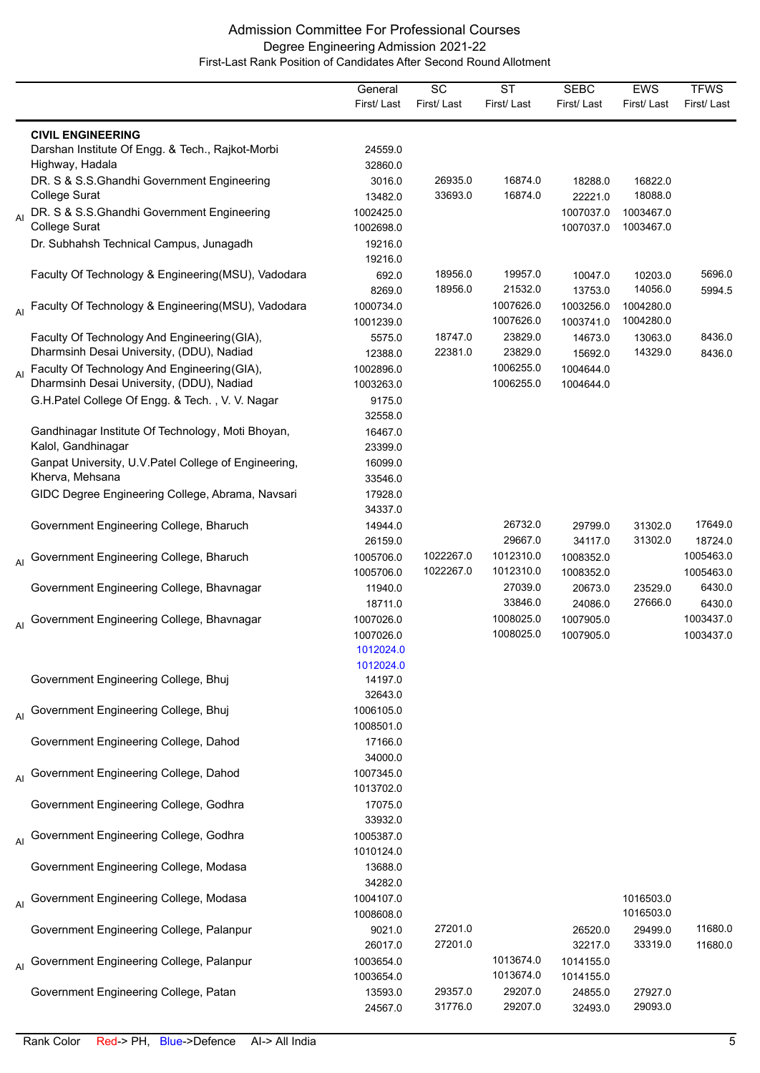|                |                                                                                           | General<br>First/Last                            | $\overline{SC}$<br>First/Last | $\overline{\text{ST}}$<br>First/Last | <b>SEBC</b><br>First/Last       | EWS<br>First/Last      | <b>TFWS</b><br>First/Last     |
|----------------|-------------------------------------------------------------------------------------------|--------------------------------------------------|-------------------------------|--------------------------------------|---------------------------------|------------------------|-------------------------------|
|                | <b>CIVIL ENGINEERING</b><br>Darshan Institute Of Engg. & Tech., Rajkot-Morbi              | 24559.0                                          |                               |                                      |                                 |                        |                               |
|                | Highway, Hadala<br>DR. S & S.S.Ghandhi Government Engineering<br><b>College Surat</b>     | 32860.0<br>3016.0<br>13482.0                     | 26935.0<br>33693.0            | 16874.0<br>16874.0                   | 18288.0<br>22221.0              | 16822.0<br>18088.0     |                               |
| $\overline{A}$ | DR. S & S.S.Ghandhi Government Engineering<br><b>College Surat</b>                        | 1002425.0<br>1002698.0                           |                               |                                      | 1007037.0<br>1007037.0          | 1003467.0<br>1003467.0 |                               |
|                | Dr. Subhahsh Technical Campus, Junagadh                                                   | 19216.0<br>19216.0                               |                               |                                      |                                 |                        |                               |
|                | Faculty Of Technology & Engineering (MSU), Vadodara                                       | 692.0<br>8269.0                                  | 18956.0<br>18956.0            | 19957.0<br>21532.0                   | 10047.0<br>13753.0              | 10203.0<br>14056.0     | 5696.0<br>5994.5              |
|                | Al Faculty Of Technology & Engineering(MSU), Vadodara                                     | 1000734.0<br>1001239.0                           |                               | 1007626.0<br>1007626.0               | 1003256.0<br>1003741.0          | 1004280.0<br>1004280.0 |                               |
|                | Faculty Of Technology And Engineering (GIA),<br>Dharmsinh Desai University, (DDU), Nadiad | 5575.0<br>12388.0                                | 18747.0<br>22381.0            | 23829.0<br>23829.0                   | 14673.0<br>15692.0              | 13063.0<br>14329.0     | 8436.0<br>8436.0              |
| $\overline{A}$ | Faculty Of Technology And Engineering (GIA),<br>Dharmsinh Desai University, (DDU), Nadiad | 1002896.0<br>1003263.0                           |                               | 1006255.0<br>1006255.0               | 1004644.0<br>1004644.0          |                        |                               |
|                | G.H.Patel College Of Engg. & Tech., V. V. Nagar                                           | 9175.0<br>32558.0                                |                               |                                      |                                 |                        |                               |
|                | Gandhinagar Institute Of Technology, Moti Bhoyan,<br>Kalol, Gandhinagar                   | 16467.0<br>23399.0                               |                               |                                      |                                 |                        |                               |
|                | Ganpat University, U.V. Patel College of Engineering,<br>Kherva, Mehsana                  | 16099.0<br>33546.0                               |                               |                                      |                                 |                        |                               |
|                | GIDC Degree Engineering College, Abrama, Navsari                                          | 17928.0<br>34337.0                               |                               |                                      |                                 |                        |                               |
|                | Government Engineering College, Bharuch                                                   | 14944.0<br>26159.0                               |                               | 26732.0<br>29667.0                   | 29799.0<br>34117.0              | 31302.0<br>31302.0     | 17649.0<br>18724.0            |
| AI             | Government Engineering College, Bharuch                                                   | 1005706.0                                        | 1022267.0                     | 1012310.0                            | 1008352.0                       |                        | 1005463.0                     |
|                | Government Engineering College, Bhavnagar                                                 | 1005706.0<br>11940.0<br>18711.0                  | 1022267.0                     | 1012310.0<br>27039.0<br>33846.0      | 1008352.0<br>20673.0<br>24086.0 | 23529.0<br>27666.0     | 1005463.0<br>6430.0<br>6430.0 |
| AI             | Government Engineering College, Bhavnagar                                                 | 1007026.0<br>1007026.0<br>1012024.0<br>1012024.0 |                               | 1008025.0<br>1008025.0               | 1007905.0<br>1007905.0          |                        | 1003437.0<br>1003437.0        |
|                | Government Engineering College, Bhuj                                                      | 14197.0<br>32643.0                               |                               |                                      |                                 |                        |                               |
| AI             | Government Engineering College, Bhuj                                                      | 1006105.0<br>1008501.0                           |                               |                                      |                                 |                        |                               |
|                | Government Engineering College, Dahod                                                     | 17166.0<br>34000.0                               |                               |                                      |                                 |                        |                               |
| AI             | Government Engineering College, Dahod                                                     | 1007345.0<br>1013702.0                           |                               |                                      |                                 |                        |                               |
|                | Government Engineering College, Godhra                                                    | 17075.0<br>33932.0                               |                               |                                      |                                 |                        |                               |
| AI             | Government Engineering College, Godhra                                                    | 1005387.0<br>1010124.0                           |                               |                                      |                                 |                        |                               |
|                | Government Engineering College, Modasa                                                    | 13688.0<br>34282.0                               |                               |                                      |                                 |                        |                               |
| AI             | Government Engineering College, Modasa                                                    | 1004107.0<br>1008608.0                           |                               |                                      |                                 | 1016503.0<br>1016503.0 |                               |
|                | Government Engineering College, Palanpur                                                  | 9021.0<br>26017.0                                | 27201.0<br>27201.0            |                                      | 26520.0<br>32217.0              | 29499.0<br>33319.0     | 11680.0<br>11680.0            |
| AI             | Government Engineering College, Palanpur                                                  | 1003654.0<br>1003654.0                           |                               | 1013674.0<br>1013674.0               | 1014155.0<br>1014155.0          |                        |                               |
|                | Government Engineering College, Patan                                                     | 13593.0<br>24567.0                               | 29357.0<br>31776.0            | 29207.0<br>29207.0                   | 24855.0<br>32493.0              | 27927.0<br>29093.0     |                               |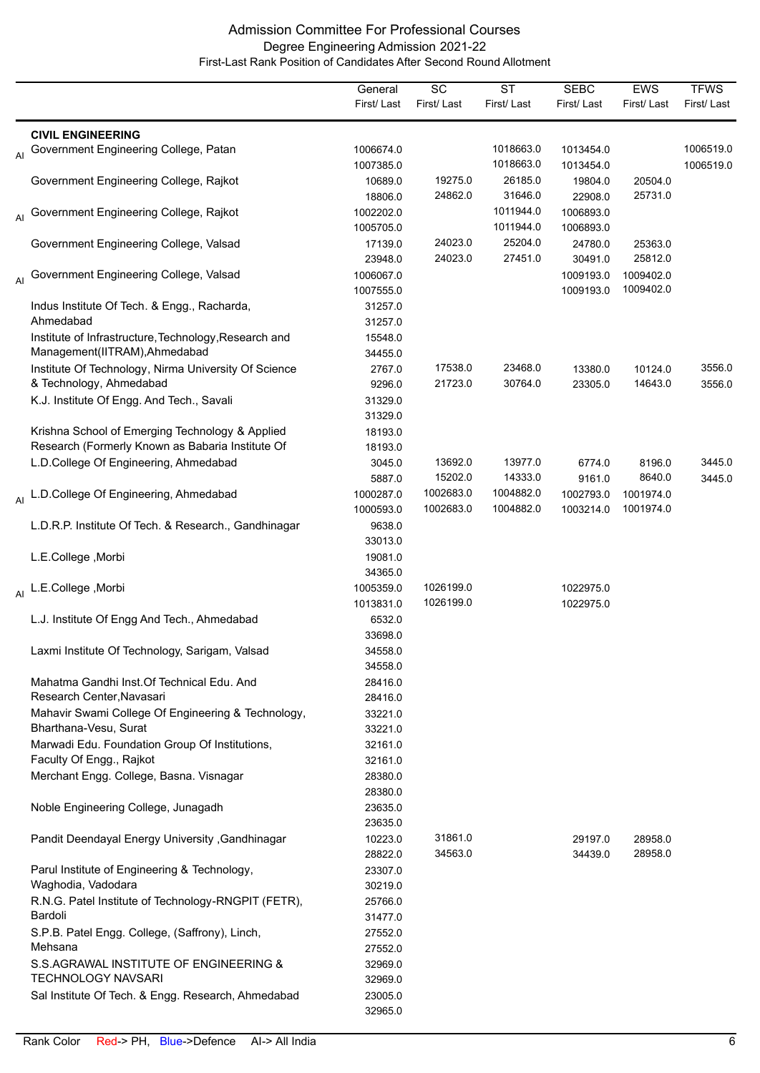|    |                                                       | General<br>First/Last  | $\overline{SC}$<br>First/Last | $\overline{\text{ST}}$<br>First/Last | <b>SEBC</b><br>First/Last | <b>EWS</b><br>First/Last | <b>TFWS</b><br>First/Last |
|----|-------------------------------------------------------|------------------------|-------------------------------|--------------------------------------|---------------------------|--------------------------|---------------------------|
|    |                                                       |                        |                               |                                      |                           |                          |                           |
|    | <b>CIVIL ENGINEERING</b>                              |                        |                               | 1018663.0                            | 1013454.0                 |                          | 1006519.0                 |
| AI | Government Engineering College, Patan                 | 1006674.0<br>1007385.0 |                               | 1018663.0                            | 1013454.0                 |                          | 1006519.0                 |
|    | Government Engineering College, Rajkot                | 10689.0                | 19275.0                       | 26185.0                              | 19804.0                   | 20504.0                  |                           |
|    |                                                       | 18806.0                | 24862.0                       | 31646.0                              | 22908.0                   | 25731.0                  |                           |
| AI | Government Engineering College, Rajkot                | 1002202.0              |                               | 1011944.0                            | 1006893.0                 |                          |                           |
|    |                                                       | 1005705.0              |                               | 1011944.0                            | 1006893.0                 |                          |                           |
|    | Government Engineering College, Valsad                | 17139.0                | 24023.0                       | 25204.0                              | 24780.0                   | 25363.0                  |                           |
|    |                                                       | 23948.0                | 24023.0                       | 27451.0                              | 30491.0                   | 25812.0                  |                           |
| AI | Government Engineering College, Valsad                | 1006067.0<br>1007555.0 |                               |                                      | 1009193.0<br>1009193.0    | 1009402.0<br>1009402.0   |                           |
|    | Indus Institute Of Tech. & Engg., Racharda,           | 31257.0                |                               |                                      |                           |                          |                           |
|    | Ahmedabad                                             | 31257.0                |                               |                                      |                           |                          |                           |
|    | Institute of Infrastructure, Technology, Research and | 15548.0                |                               |                                      |                           |                          |                           |
|    | Management(IITRAM), Ahmedabad                         | 34455.0                |                               |                                      |                           |                          |                           |
|    | Institute Of Technology, Nirma University Of Science  | 2767.0                 | 17538.0                       | 23468.0                              | 13380.0                   | 10124.0                  | 3556.0                    |
|    | & Technology, Ahmedabad                               | 9296.0                 | 21723.0                       | 30764.0                              | 23305.0                   | 14643.0                  | 3556.0                    |
|    | K.J. Institute Of Engg. And Tech., Savali             | 31329.0                |                               |                                      |                           |                          |                           |
|    |                                                       | 31329.0                |                               |                                      |                           |                          |                           |
|    | Krishna School of Emerging Technology & Applied       | 18193.0                |                               |                                      |                           |                          |                           |
|    | Research (Formerly Known as Babaria Institute Of      | 18193.0                |                               |                                      |                           |                          |                           |
|    | L.D.College Of Engineering, Ahmedabad                 | 3045.0                 | 13692.0                       | 13977.0                              | 6774.0                    | 8196.0                   | 3445.0                    |
|    |                                                       | 5887.0                 | 15202.0<br>1002683.0          | 14333.0<br>1004882.0                 | 9161.0                    | 8640.0                   | 3445.0                    |
|    | Al L.D.College Of Engineering, Ahmedabad              | 1000287.0<br>1000593.0 | 1002683.0                     | 1004882.0                            | 1002793.0<br>1003214.0    | 1001974.0<br>1001974.0   |                           |
|    | L.D.R.P. Institute Of Tech. & Research., Gandhinagar  | 9638.0                 |                               |                                      |                           |                          |                           |
|    |                                                       | 33013.0                |                               |                                      |                           |                          |                           |
|    | L.E.College, Morbi                                    | 19081.0                |                               |                                      |                           |                          |                           |
|    |                                                       | 34365.0                |                               |                                      |                           |                          |                           |
|    | Al L.E.College, Morbi                                 | 1005359.0              | 1026199.0                     |                                      | 1022975.0                 |                          |                           |
|    |                                                       | 1013831.0              | 1026199.0                     |                                      | 1022975.0                 |                          |                           |
|    | L.J. Institute Of Engg And Tech., Ahmedabad           | 6532.0                 |                               |                                      |                           |                          |                           |
|    |                                                       | 33698.0                |                               |                                      |                           |                          |                           |
|    | Laxmi Institute Of Technology, Sarigam, Valsad        | 34558.0                |                               |                                      |                           |                          |                           |
|    | Mahatma Gandhi Inst. Of Technical Edu. And            | 34558.0<br>28416.0     |                               |                                      |                           |                          |                           |
|    | Research Center, Navasari                             | 28416.0                |                               |                                      |                           |                          |                           |
|    | Mahavir Swami College Of Engineering & Technology,    | 33221.0                |                               |                                      |                           |                          |                           |
|    | Bharthana-Vesu, Surat                                 | 33221.0                |                               |                                      |                           |                          |                           |
|    | Marwadi Edu. Foundation Group Of Institutions,        | 32161.0                |                               |                                      |                           |                          |                           |
|    | Faculty Of Engg., Rajkot                              | 32161.0                |                               |                                      |                           |                          |                           |
|    | Merchant Engg. College, Basna. Visnagar               | 28380.0                |                               |                                      |                           |                          |                           |
|    |                                                       | 28380.0                |                               |                                      |                           |                          |                           |
|    | Noble Engineering College, Junagadh                   | 23635.0                |                               |                                      |                           |                          |                           |
|    |                                                       | 23635.0                |                               |                                      |                           |                          |                           |
|    | Pandit Deendayal Energy University , Gandhinagar      | 10223.0                | 31861.0<br>34563.0            |                                      | 29197.0                   | 28958.0<br>28958.0       |                           |
|    | Parul Institute of Engineering & Technology,          | 28822.0<br>23307.0     |                               |                                      | 34439.0                   |                          |                           |
|    | Waghodia, Vadodara                                    | 30219.0                |                               |                                      |                           |                          |                           |
|    | R.N.G. Patel Institute of Technology-RNGPIT (FETR),   | 25766.0                |                               |                                      |                           |                          |                           |
|    | Bardoli                                               | 31477.0                |                               |                                      |                           |                          |                           |
|    | S.P.B. Patel Engg. College, (Saffrony), Linch,        | 27552.0                |                               |                                      |                           |                          |                           |
|    | Mehsana                                               | 27552.0                |                               |                                      |                           |                          |                           |
|    | S.S.AGRAWAL INSTITUTE OF ENGINEERING &                | 32969.0                |                               |                                      |                           |                          |                           |
|    | <b>TECHNOLOGY NAVSARI</b>                             | 32969.0                |                               |                                      |                           |                          |                           |
|    | Sal Institute Of Tech. & Engg. Research, Ahmedabad    | 23005.0                |                               |                                      |                           |                          |                           |
|    |                                                       | 32965.0                |                               |                                      |                           |                          |                           |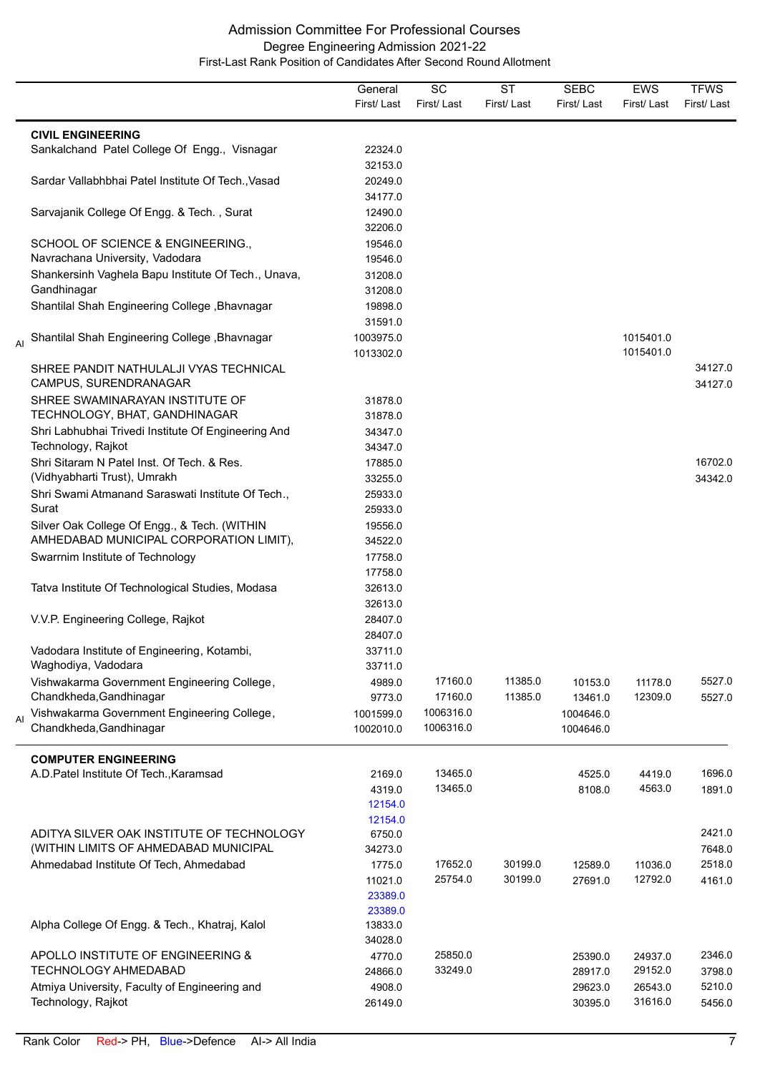|                |                                                                                         | General<br>First/Last  | SC<br>First/Last | <b>ST</b><br>First/Last | <b>SEBC</b><br>First/Last | <b>EWS</b><br>First/Last | <b>TFWS</b><br>First/Last |
|----------------|-----------------------------------------------------------------------------------------|------------------------|------------------|-------------------------|---------------------------|--------------------------|---------------------------|
|                | <b>CIVIL ENGINEERING</b>                                                                |                        |                  |                         |                           |                          |                           |
|                | Sankalchand Patel College Of Engg., Visnagar                                            | 22324.0                |                  |                         |                           |                          |                           |
|                | Sardar Vallabhbhai Patel Institute Of Tech., Vasad                                      | 32153.0<br>20249.0     |                  |                         |                           |                          |                           |
|                | Sarvajanik College Of Engg. & Tech., Surat                                              | 34177.0<br>12490.0     |                  |                         |                           |                          |                           |
|                |                                                                                         | 32206.0                |                  |                         |                           |                          |                           |
|                | SCHOOL OF SCIENCE & ENGINEERING.,                                                       | 19546.0                |                  |                         |                           |                          |                           |
|                | Navrachana University, Vadodara                                                         | 19546.0                |                  |                         |                           |                          |                           |
|                | Shankersinh Vaghela Bapu Institute Of Tech., Unava,<br>Gandhinagar                      | 31208.0<br>31208.0     |                  |                         |                           |                          |                           |
|                | Shantilal Shah Engineering College, Bhavnagar                                           | 19898.0                |                  |                         |                           |                          |                           |
|                |                                                                                         | 31591.0                |                  |                         |                           |                          |                           |
| AI             | Shantilal Shah Engineering College, Bhavnagar                                           | 1003975.0<br>1013302.0 |                  |                         |                           | 1015401.0<br>1015401.0   |                           |
|                | SHREE PANDIT NATHULALJI VYAS TECHNICAL                                                  |                        |                  |                         |                           |                          | 34127.0                   |
|                | CAMPUS, SURENDRANAGAR                                                                   |                        |                  |                         |                           |                          | 34127.0                   |
|                | SHREE SWAMINARAYAN INSTITUTE OF                                                         | 31878.0                |                  |                         |                           |                          |                           |
|                | TECHNOLOGY, BHAT, GANDHINAGAR                                                           | 31878.0                |                  |                         |                           |                          |                           |
|                | Shri Labhubhai Trivedi Institute Of Engineering And                                     | 34347.0                |                  |                         |                           |                          |                           |
|                | Technology, Rajkot                                                                      | 34347.0                |                  |                         |                           |                          |                           |
|                | Shri Sitaram N Patel Inst. Of Tech. & Res.                                              | 17885.0                |                  |                         |                           |                          | 16702.0                   |
|                | (Vidhyabharti Trust), Umrakh                                                            | 33255.0                |                  |                         |                           |                          | 34342.0                   |
|                | Shri Swami Atmanand Saraswati Institute Of Tech.,<br>Surat                              | 25933.0                |                  |                         |                           |                          |                           |
|                |                                                                                         | 25933.0                |                  |                         |                           |                          |                           |
|                | Silver Oak College Of Engg., & Tech. (WITHIN<br>AMHEDABAD MUNICIPAL CORPORATION LIMIT), | 19556.0<br>34522.0     |                  |                         |                           |                          |                           |
|                | Swarrnim Institute of Technology                                                        | 17758.0                |                  |                         |                           |                          |                           |
|                |                                                                                         | 17758.0                |                  |                         |                           |                          |                           |
|                | Tatva Institute Of Technological Studies, Modasa                                        | 32613.0                |                  |                         |                           |                          |                           |
|                |                                                                                         | 32613.0                |                  |                         |                           |                          |                           |
|                | V.V.P. Engineering College, Rajkot                                                      | 28407.0                |                  |                         |                           |                          |                           |
|                |                                                                                         | 28407.0                |                  |                         |                           |                          |                           |
|                | Vadodara Institute of Engineering, Kotambi,                                             | 33711.0                |                  |                         |                           |                          |                           |
|                | Waghodiya, Vadodara                                                                     | 33711.0                |                  |                         |                           |                          |                           |
|                | Vishwakarma Government Engineering College,                                             | 4989.0                 | 17160.0          | 11385.0                 | 10153.0                   | 11178.0                  | 5527.0                    |
|                | Chandkheda, Gandhinagar                                                                 | 9773.0                 | 17160.0          | 11385.0                 | 13461.0                   | 12309.0                  | 5527.0                    |
| $\overline{A}$ | Vishwakarma Government Engineering College,                                             | 1001599.0              | 1006316.0        |                         | 1004646.0                 |                          |                           |
|                | Chandkheda, Gandhinagar                                                                 | 1002010.0              | 1006316.0        |                         | 1004646.0                 |                          |                           |
|                | <b>COMPUTER ENGINEERING</b>                                                             |                        |                  |                         |                           |                          |                           |
|                | A.D. Patel Institute Of Tech., Karamsad                                                 | 2169.0                 | 13465.0          |                         | 4525.0                    | 4419.0                   | 1696.0                    |
|                |                                                                                         | 4319.0                 | 13465.0          |                         | 8108.0                    | 4563.0                   | 1891.0                    |
|                |                                                                                         | 12154.0                |                  |                         |                           |                          |                           |
|                |                                                                                         | 12154.0                |                  |                         |                           |                          |                           |
|                | ADITYA SILVER OAK INSTITUTE OF TECHNOLOGY<br>(WITHIN LIMITS OF AHMEDABAD MUNICIPAL      | 6750.0                 |                  |                         |                           |                          | 2421.0                    |
|                | Ahmedabad Institute Of Tech, Ahmedabad                                                  | 34273.0<br>1775.0      | 17652.0          | 30199.0                 | 12589.0                   | 11036.0                  | 7648.0<br>2518.0          |
|                |                                                                                         | 11021.0                | 25754.0          | 30199.0                 | 27691.0                   | 12792.0                  | 4161.0                    |
|                |                                                                                         | 23389.0                |                  |                         |                           |                          |                           |
|                |                                                                                         | 23389.0                |                  |                         |                           |                          |                           |
|                | Alpha College Of Engg. & Tech., Khatraj, Kalol                                          | 13833.0                |                  |                         |                           |                          |                           |
|                |                                                                                         | 34028.0                |                  |                         |                           |                          |                           |
|                | APOLLO INSTITUTE OF ENGINEERING &                                                       | 4770.0                 | 25850.0          |                         | 25390.0                   | 24937.0                  | 2346.0                    |
|                | <b>TECHNOLOGY AHMEDABAD</b>                                                             | 24866.0                | 33249.0          |                         | 28917.0                   | 29152.0                  | 3798.0                    |
|                | Atmiya University, Faculty of Engineering and                                           | 4908.0                 |                  |                         | 29623.0                   | 26543.0                  | 5210.0                    |
|                | Technology, Rajkot                                                                      | 26149.0                |                  |                         | 30395.0                   | 31616.0                  | 5456.0                    |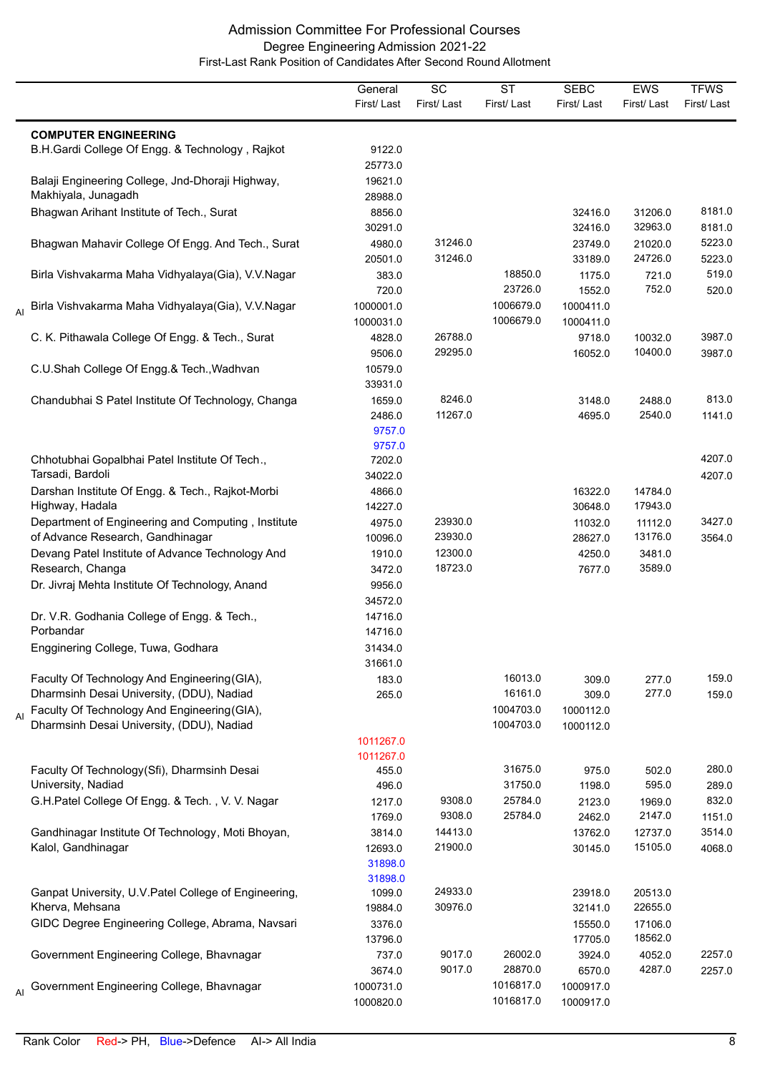|                |                                                                                           | General<br>First/Last                   | $\overline{SC}$<br>First/Last | $\overline{\text{ST}}$<br>First/Last | <b>SEBC</b><br>First/Last | EWS<br>First/Last  | <b>TFWS</b><br>First/Last |
|----------------|-------------------------------------------------------------------------------------------|-----------------------------------------|-------------------------------|--------------------------------------|---------------------------|--------------------|---------------------------|
|                | <b>COMPUTER ENGINEERING</b>                                                               |                                         |                               |                                      |                           |                    |                           |
|                | B.H.Gardi College Of Engg. & Technology, Rajkot                                           | 9122.0<br>25773.0                       |                               |                                      |                           |                    |                           |
|                | Balaji Engineering College, Jnd-Dhoraji Highway,<br>Makhiyala, Junagadh                   | 19621.0<br>28988.0                      |                               |                                      |                           |                    |                           |
|                | Bhagwan Arihant Institute of Tech., Surat                                                 | 8856.0<br>30291.0                       |                               |                                      | 32416.0<br>32416.0        | 31206.0<br>32963.0 | 8181.0<br>8181.0          |
|                | Bhagwan Mahavir College Of Engg. And Tech., Surat                                         | 4980.0<br>20501.0                       | 31246.0<br>31246.0            |                                      | 23749.0<br>33189.0        | 21020.0<br>24726.0 | 5223.0<br>5223.0          |
|                | Birla Vishvakarma Maha Vidhyalaya(Gia), V.V.Nagar                                         | 383.0<br>720.0                          |                               | 18850.0<br>23726.0                   | 1175.0<br>1552.0          | 721.0<br>752.0     | 519.0<br>520.0            |
| AI             | Birla Vishvakarma Maha Vidhyalaya(Gia), V.V.Nagar                                         | 1000001.0<br>1000031.0                  |                               | 1006679.0<br>1006679.0               | 1000411.0<br>1000411.0    |                    |                           |
|                | C. K. Pithawala College Of Engg. & Tech., Surat                                           | 4828.0<br>9506.0                        | 26788.0<br>29295.0            |                                      | 9718.0<br>16052.0         | 10032.0<br>10400.0 | 3987.0<br>3987.0          |
|                | C.U.Shah College Of Engg.& Tech., Wadhvan                                                 | 10579.0<br>33931.0                      |                               |                                      |                           |                    |                           |
|                | Chandubhai S Patel Institute Of Technology, Changa                                        | 1659.0<br>2486.0<br>9757.0<br>9757.0    | 8246.0<br>11267.0             |                                      | 3148.0<br>4695.0          | 2488.0<br>2540.0   | 813.0<br>1141.0           |
|                | Chhotubhai Gopalbhai Patel Institute Of Tech.,<br>Tarsadi, Bardoli                        | 7202.0<br>34022.0                       |                               |                                      |                           |                    | 4207.0<br>4207.0          |
|                | Darshan Institute Of Engg. & Tech., Rajkot-Morbi<br>Highway, Hadala                       | 4866.0<br>14227.0                       |                               |                                      | 16322.0<br>30648.0        | 14784.0<br>17943.0 |                           |
|                | Department of Engineering and Computing, Institute<br>of Advance Research, Gandhinagar    | 4975.0<br>10096.0                       | 23930.0<br>23930.0            |                                      | 11032.0<br>28627.0        | 11112.0<br>13176.0 | 3427.0<br>3564.0          |
|                | Devang Patel Institute of Advance Technology And<br>Research, Changa                      | 1910.0<br>3472.0                        | 12300.0<br>18723.0            |                                      | 4250.0<br>7677.0          | 3481.0<br>3589.0   |                           |
|                | Dr. Jivraj Mehta Institute Of Technology, Anand                                           | 9956.0<br>34572.0                       |                               |                                      |                           |                    |                           |
|                | Dr. V.R. Godhania College of Engg. & Tech.,<br>Porbandar                                  | 14716.0<br>14716.0                      |                               |                                      |                           |                    |                           |
|                | Engginering College, Tuwa, Godhara                                                        | 31434.0<br>31661.0                      |                               |                                      |                           |                    |                           |
|                | Faculty Of Technology And Engineering (GIA),<br>Dharmsinh Desai University, (DDU), Nadiad | 183.0<br>265.0                          |                               | 16013.0<br>16161.0                   | 309.0<br>309.0            | 277.0<br>277.0     | 159.0<br>159.0            |
| $\overline{A}$ | Faculty Of Technology And Engineering (GIA),<br>Dharmsinh Desai University, (DDU), Nadiad |                                         |                               | 1004703.0<br>1004703.0               | 1000112.0<br>1000112.0    |                    |                           |
|                |                                                                                           | 1011267.0                               |                               |                                      |                           |                    |                           |
|                | Faculty Of Technology(Sfi), Dharmsinh Desai                                               | 1011267.0<br>455.0                      |                               | 31675.0                              | 975.0                     | 502.0              | 280.0                     |
|                | University, Nadiad                                                                        | 496.0                                   |                               | 31750.0                              | 1198.0                    | 595.0              | 289.0                     |
|                | G.H.Patel College Of Engg. & Tech., V. V. Nagar                                           | 1217.0                                  | 9308.0                        | 25784.0                              | 2123.0                    | 1969.0             | 832.0                     |
|                |                                                                                           | 1769.0                                  | 9308.0                        | 25784.0                              | 2462.0                    | 2147.0             | 1151.0                    |
|                | Gandhinagar Institute Of Technology, Moti Bhoyan,<br>Kalol, Gandhinagar                   | 3814.0<br>12693.0<br>31898.0<br>31898.0 | 14413.0<br>21900.0            |                                      | 13762.0<br>30145.0        | 12737.0<br>15105.0 | 3514.0<br>4068.0          |
|                | Ganpat University, U.V. Patel College of Engineering,                                     | 1099.0                                  | 24933.0                       |                                      | 23918.0                   | 20513.0            |                           |
|                | Kherva, Mehsana                                                                           | 19884.0                                 | 30976.0                       |                                      | 32141.0                   | 22655.0            |                           |
|                | GIDC Degree Engineering College, Abrama, Navsari                                          | 3376.0<br>13796.0                       |                               |                                      | 15550.0<br>17705.0        | 17106.0<br>18562.0 |                           |
|                | Government Engineering College, Bhavnagar                                                 | 737.0<br>3674.0                         | 9017.0<br>9017.0              | 26002.0<br>28870.0                   | 3924.0<br>6570.0          | 4052.0<br>4287.0   | 2257.0<br>2257.0          |
| AI             | Government Engineering College, Bhavnagar                                                 | 1000731.0<br>1000820.0                  |                               | 1016817.0<br>1016817.0               | 1000917.0<br>1000917.0    |                    |                           |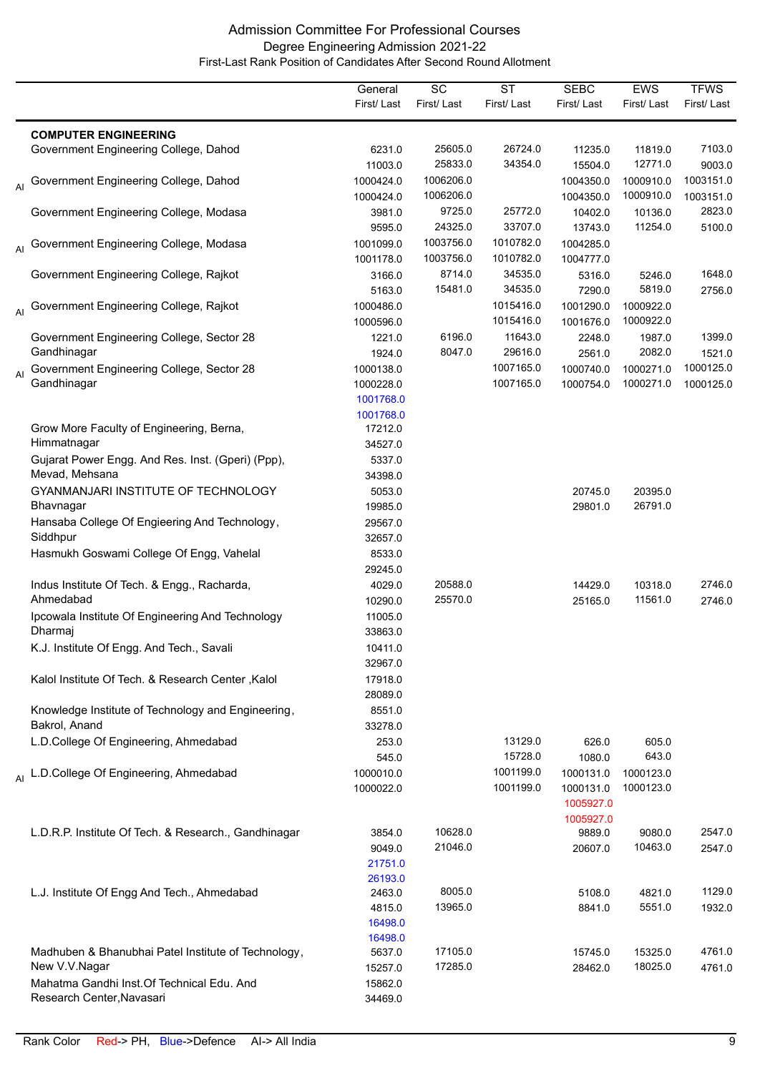|                |                                                             | General                | $\overline{SC}$    | <b>ST</b>          | <b>SEBC</b>         | EWS                    | <b>TFWS</b> |
|----------------|-------------------------------------------------------------|------------------------|--------------------|--------------------|---------------------|------------------------|-------------|
|                |                                                             | First/Last             | First/Last         | First/Last         | First/Last          | First/Last             | First/Last  |
|                |                                                             |                        |                    |                    |                     |                        |             |
|                | <b>COMPUTER ENGINEERING</b>                                 |                        |                    |                    |                     |                        |             |
|                | Government Engineering College, Dahod                       | 6231.0                 | 25605.0            | 26724.0            | 11235.0             | 11819.0                | 7103.0      |
|                |                                                             | 11003.0                | 25833.0            | 34354.0            | 15504.0             | 12771.0                | 9003.0      |
|                | Al Government Engineering College, Dahod                    | 1000424.0              | 1006206.0          |                    | 1004350.0           | 1000910.0              | 1003151.0   |
|                |                                                             | 1000424.0              | 1006206.0          |                    | 1004350.0           | 1000910.0              | 1003151.0   |
|                | Government Engineering College, Modasa                      | 3981.0                 | 9725.0             | 25772.0            | 10402.0             | 10136.0                | 2823.0      |
|                |                                                             | 9595.0                 | 24325.0            | 33707.0            | 13743.0             | 11254.0                | 5100.0      |
| AI             | Government Engineering College, Modasa                      | 1001099.0              | 1003756.0          | 1010782.0          | 1004285.0           |                        |             |
|                |                                                             | 1001178.0              | 1003756.0          | 1010782.0          | 1004777.0           |                        |             |
|                | Government Engineering College, Rajkot                      | 3166.0                 | 8714.0<br>15481.0  | 34535.0<br>34535.0 | 5316.0              | 5246.0<br>5819.0       | 1648.0      |
|                |                                                             | 5163.0                 |                    | 1015416.0          | 7290.0              |                        | 2756.0      |
| AI             | Government Engineering College, Rajkot                      | 1000486.0              |                    | 1015416.0          | 1001290.0           | 1000922.0<br>1000922.0 |             |
|                | Government Engineering College, Sector 28                   | 1000596.0<br>1221.0    | 6196.0             | 11643.0            | 1001676.0           |                        | 1399.0      |
|                | Gandhinagar                                                 | 1924.0                 | 8047.0             | 29616.0            | 2248.0<br>2561.0    | 1987.0<br>2082.0       | 1521.0      |
|                | Government Engineering College, Sector 28                   | 1000138.0              |                    | 1007165.0          | 1000740.0           | 1000271.0              | 1000125.0   |
| $\overline{A}$ | Gandhinagar                                                 | 1000228.0              |                    | 1007165.0          | 1000754.0           | 1000271.0              | 1000125.0   |
|                |                                                             | 1001768.0              |                    |                    |                     |                        |             |
|                |                                                             | 1001768.0              |                    |                    |                     |                        |             |
|                | Grow More Faculty of Engineering, Berna,                    | 17212.0                |                    |                    |                     |                        |             |
|                | Himmatnagar                                                 | 34527.0                |                    |                    |                     |                        |             |
|                | Gujarat Power Engg. And Res. Inst. (Gperi) (Ppp),           | 5337.0                 |                    |                    |                     |                        |             |
|                | Mevad, Mehsana                                              | 34398.0                |                    |                    |                     |                        |             |
|                | GYANMANJARI INSTITUTE OF TECHNOLOGY                         | 5053.0                 |                    |                    | 20745.0             | 20395.0                |             |
|                | Bhavnagar                                                   | 19985.0                |                    |                    | 29801.0             | 26791.0                |             |
|                | Hansaba College Of Engieering And Technology,               | 29567.0                |                    |                    |                     |                        |             |
|                | Siddhpur                                                    | 32657.0                |                    |                    |                     |                        |             |
|                | Hasmukh Goswami College Of Engg, Vahelal                    | 8533.0                 |                    |                    |                     |                        |             |
|                |                                                             | 29245.0                |                    |                    |                     |                        |             |
|                | Indus Institute Of Tech. & Engg., Racharda,                 | 4029.0                 | 20588.0            |                    | 14429.0             | 10318.0                | 2746.0      |
|                | Ahmedabad                                                   | 10290.0                | 25570.0            |                    | 25165.0             | 11561.0                | 2746.0      |
|                | Ipcowala Institute Of Engineering And Technology            | 11005.0                |                    |                    |                     |                        |             |
|                | Dharmaj                                                     | 33863.0                |                    |                    |                     |                        |             |
|                | K.J. Institute Of Engg. And Tech., Savali                   | 10411.0                |                    |                    |                     |                        |             |
|                |                                                             | 32967.0                |                    |                    |                     |                        |             |
|                | Kalol Institute Of Tech. & Research Center, Kalol           | 17918.0                |                    |                    |                     |                        |             |
|                |                                                             | 28089.0                |                    |                    |                     |                        |             |
|                | Knowledge Institute of Technology and Engineering,          | 8551.0                 |                    |                    |                     |                        |             |
|                | Bakrol, Anand                                               | 33278.0                |                    |                    |                     |                        |             |
|                | L.D.College Of Engineering, Ahmedabad                       | 253.0                  |                    | 13129.0<br>15728.0 | 626.0               | 605.0<br>643.0         |             |
|                |                                                             | 545.0                  |                    | 1001199.0          | 1080.0<br>1000131.0 | 1000123.0              |             |
|                | Al L.D.College Of Engineering, Ahmedabad                    | 1000010.0<br>1000022.0 |                    | 1001199.0          | 1000131.0           | 1000123.0              |             |
|                |                                                             |                        |                    |                    | 1005927.0           |                        |             |
|                |                                                             |                        |                    |                    | 1005927.0           |                        |             |
|                | L.D.R.P. Institute Of Tech. & Research., Gandhinagar        | 3854.0                 | 10628.0            |                    | 9889.0              | 9080.0                 | 2547.0      |
|                |                                                             | 9049.0                 | 21046.0            |                    | 20607.0             | 10463.0                | 2547.0      |
|                |                                                             | 21751.0                |                    |                    |                     |                        |             |
|                |                                                             | 26193.0                |                    |                    |                     |                        |             |
|                | L.J. Institute Of Engg And Tech., Ahmedabad                 | 2463.0                 | 8005.0             |                    | 5108.0              | 4821.0                 | 1129.0      |
|                |                                                             | 4815.0                 | 13965.0            |                    | 8841.0              | 5551.0                 | 1932.0      |
|                |                                                             | 16498.0                |                    |                    |                     |                        |             |
|                |                                                             | 16498.0                |                    |                    |                     |                        |             |
|                | Madhuben & Bhanubhai Patel Institute of Technology,         | 5637.0                 | 17105.0<br>17285.0 |                    | 15745.0             | 15325.0<br>18025.0     | 4761.0      |
|                | New V.V.Nagar<br>Mahatma Gandhi Inst. Of Technical Edu. And | 15257.0<br>15862.0     |                    |                    | 28462.0             |                        | 4761.0      |
|                | Research Center, Navasari                                   | 34469.0                |                    |                    |                     |                        |             |
|                |                                                             |                        |                    |                    |                     |                        |             |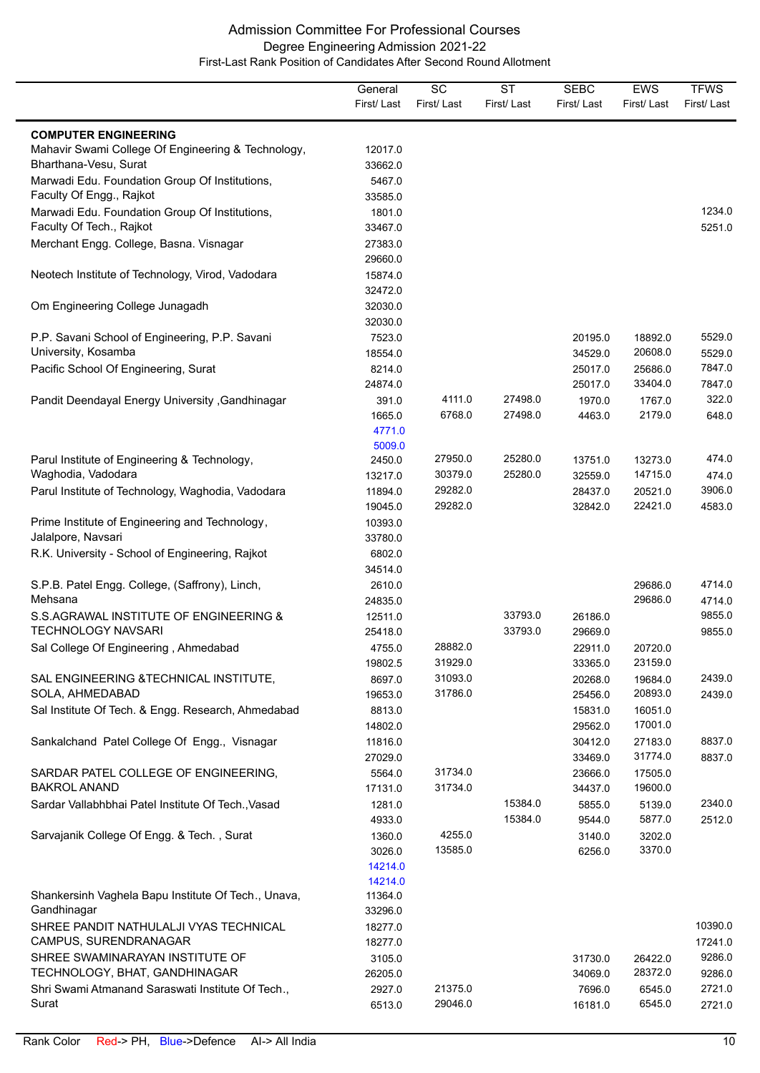|                                                                             | General<br>First/Last                  | SC<br>First/Last   | $\overline{\text{ST}}$<br>First/Last | <b>SEBC</b><br>First/Last | <b>EWS</b><br>First/Last | <b>TFWS</b><br>First/Last |
|-----------------------------------------------------------------------------|----------------------------------------|--------------------|--------------------------------------|---------------------------|--------------------------|---------------------------|
| <b>COMPUTER ENGINEERING</b>                                                 |                                        |                    |                                      |                           |                          |                           |
| Mahavir Swami College Of Engineering & Technology,<br>Bharthana-Vesu, Surat | 12017.0<br>33662.0                     |                    |                                      |                           |                          |                           |
| Marwadi Edu. Foundation Group Of Institutions,<br>Faculty Of Engg., Rajkot  | 5467.0<br>33585.0                      |                    |                                      |                           |                          |                           |
| Marwadi Edu. Foundation Group Of Institutions,<br>Faculty Of Tech., Rajkot  | 1801.0<br>33467.0                      |                    |                                      |                           |                          | 1234.0<br>5251.0          |
| Merchant Engg. College, Basna. Visnagar                                     | 27383.0<br>29660.0                     |                    |                                      |                           |                          |                           |
| Neotech Institute of Technology, Virod, Vadodara                            | 15874.0<br>32472.0                     |                    |                                      |                           |                          |                           |
| Om Engineering College Junagadh                                             | 32030.0<br>32030.0                     |                    |                                      |                           |                          |                           |
| P.P. Savani School of Engineering, P.P. Savani<br>University, Kosamba       | 7523.0<br>18554.0                      |                    |                                      | 20195.0<br>34529.0        | 18892.0<br>20608.0       | 5529.0<br>5529.0          |
| Pacific School Of Engineering, Surat                                        | 8214.0<br>24874.0                      |                    |                                      | 25017.0<br>25017.0        | 25686.0<br>33404.0       | 7847.0<br>7847.0          |
| Pandit Deendayal Energy University, Gandhinagar                             | 391.0<br>1665.0<br>4771.0<br>5009.0    | 4111.0<br>6768.0   | 27498.0<br>27498.0                   | 1970.0<br>4463.0          | 1767.0<br>2179.0         | 322.0<br>648.0            |
| Parul Institute of Engineering & Technology,<br>Waghodia, Vadodara          | 2450.0<br>13217.0                      | 27950.0<br>30379.0 | 25280.0<br>25280.0                   | 13751.0<br>32559.0        | 13273.0<br>14715.0       | 474.0<br>474.0            |
| Parul Institute of Technology, Waghodia, Vadodara                           | 11894.0<br>19045.0                     | 29282.0<br>29282.0 |                                      | 28437.0<br>32842.0        | 20521.0<br>22421.0       | 3906.0<br>4583.0          |
| Prime Institute of Engineering and Technology,<br>Jalalpore, Navsari        | 10393.0<br>33780.0                     |                    |                                      |                           |                          |                           |
| R.K. University - School of Engineering, Rajkot                             | 6802.0<br>34514.0                      |                    |                                      |                           |                          |                           |
| S.P.B. Patel Engg. College, (Saffrony), Linch,<br>Mehsana                   | 2610.0<br>24835.0                      |                    |                                      |                           | 29686.0<br>29686.0       | 4714.0<br>4714.0          |
| S.S.AGRAWAL INSTITUTE OF ENGINEERING &<br><b>TECHNOLOGY NAVSARI</b>         | 12511.0<br>25418.0                     |                    | 33793.0<br>33793.0                   | 26186.0<br>29669.0        |                          | 9855.0<br>9855.0          |
| Sal College Of Engineering, Ahmedabad                                       | 4755.0<br>19802.5                      | 28882.0<br>31929.0 |                                      | 22911.0<br>33365.0        | 20720.0<br>23159.0       |                           |
| SAL ENGINEERING & TECHNICAL INSTITUTE,<br>SOLA, AHMEDABAD                   | 8697.0<br>19653.0                      | 31093.0<br>31786.0 |                                      | 20268.0<br>25456.0        | 19684.0<br>20893.0       | 2439.0<br>2439.0          |
| Sal Institute Of Tech. & Engg. Research, Ahmedabad                          | 8813.0<br>14802.0                      |                    |                                      | 15831.0<br>29562.0        | 16051.0<br>17001.0       |                           |
| Sankalchand Patel College Of Engg., Visnagar                                | 11816.0<br>27029.0                     |                    |                                      | 30412.0<br>33469.0        | 27183.0<br>31774.0       | 8837.0<br>8837.0          |
| SARDAR PATEL COLLEGE OF ENGINEERING,<br><b>BAKROL ANAND</b>                 | 5564.0<br>17131.0                      | 31734.0<br>31734.0 |                                      | 23666.0<br>34437.0        | 17505.0<br>19600.0       |                           |
| Sardar Vallabhbhai Patel Institute Of Tech., Vasad                          | 1281.0<br>4933.0                       |                    | 15384.0<br>15384.0                   | 5855.0<br>9544.0          | 5139.0<br>5877.0         | 2340.0<br>2512.0          |
| Sarvajanik College Of Engg. & Tech., Surat                                  | 1360.0<br>3026.0<br>14214.0<br>14214.0 | 4255.0<br>13585.0  |                                      | 3140.0<br>6256.0          | 3202.0<br>3370.0         |                           |
| Shankersinh Vaghela Bapu Institute Of Tech., Unava,<br>Gandhinagar          | 11364.0<br>33296.0                     |                    |                                      |                           |                          |                           |
| SHREE PANDIT NATHULALJI VYAS TECHNICAL<br>CAMPUS, SURENDRANAGAR             | 18277.0<br>18277.0                     |                    |                                      |                           |                          | 10390.0<br>17241.0        |
| SHREE SWAMINARAYAN INSTITUTE OF<br>TECHNOLOGY, BHAT, GANDHINAGAR            | 3105.0<br>26205.0                      |                    |                                      | 31730.0<br>34069.0        | 26422.0<br>28372.0       | 9286.0<br>9286.0          |
| Shri Swami Atmanand Saraswati Institute Of Tech.,<br>Surat                  | 2927.0<br>6513.0                       | 21375.0<br>29046.0 |                                      | 7696.0<br>16181.0         | 6545.0<br>6545.0         | 2721.0<br>2721.0          |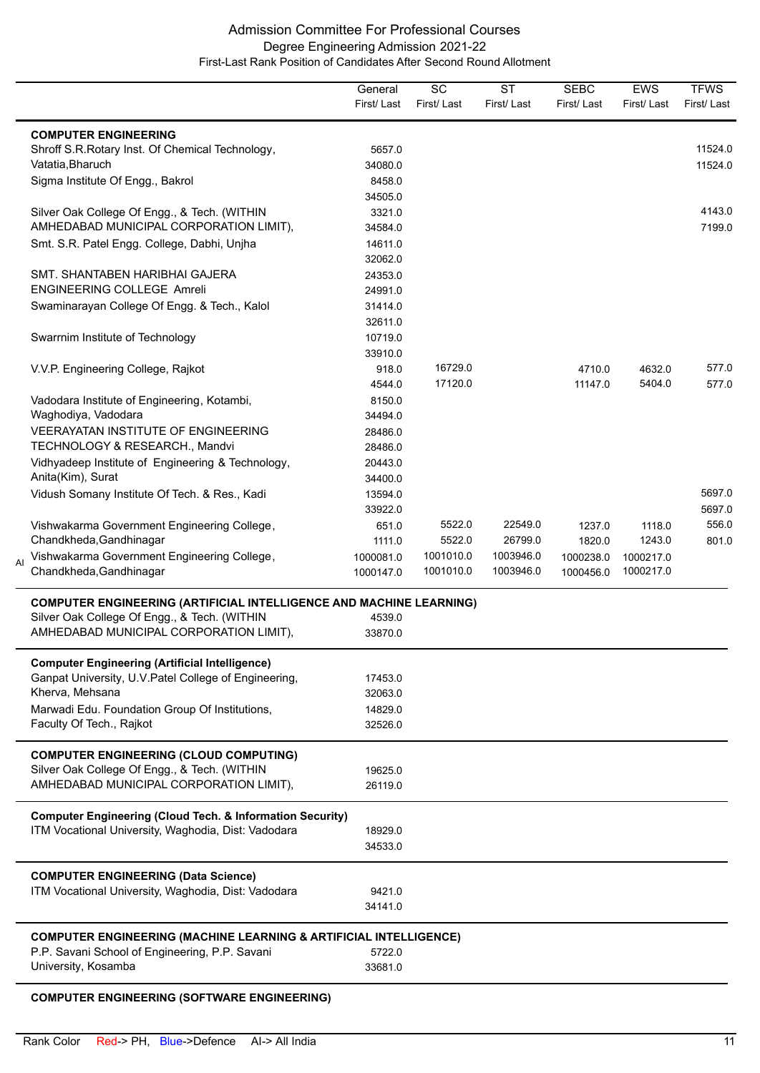|    |                                                                              | General<br>First/Last  | SC<br>First/Last       | <b>ST</b><br>First/Last | <b>SEBC</b><br>First/Last | <b>EWS</b><br>First/Last | <b>TFWS</b><br>First/Last |
|----|------------------------------------------------------------------------------|------------------------|------------------------|-------------------------|---------------------------|--------------------------|---------------------------|
|    | <b>COMPUTER ENGINEERING</b>                                                  |                        |                        |                         |                           |                          |                           |
|    | Shroff S.R. Rotary Inst. Of Chemical Technology,                             | 5657.0                 |                        |                         |                           |                          | 11524.0                   |
|    | Vatatia, Bharuch                                                             | 34080.0                |                        |                         |                           |                          | 11524.0                   |
|    | Sigma Institute Of Engg., Bakrol                                             | 8458.0                 |                        |                         |                           |                          |                           |
|    |                                                                              | 34505.0                |                        |                         |                           |                          |                           |
|    | Silver Oak College Of Engg., & Tech. (WITHIN                                 | 3321.0                 |                        |                         |                           |                          | 4143.0                    |
|    | AMHEDABAD MUNICIPAL CORPORATION LIMIT),                                      | 34584.0                |                        |                         |                           |                          | 7199.0                    |
|    | Smt. S.R. Patel Engg. College, Dabhi, Unjha                                  | 14611.0                |                        |                         |                           |                          |                           |
|    |                                                                              | 32062.0                |                        |                         |                           |                          |                           |
|    | SMT. SHANTABEN HARIBHAI GAJERA                                               | 24353.0                |                        |                         |                           |                          |                           |
|    | <b>ENGINEERING COLLEGE Amreli</b>                                            | 24991.0                |                        |                         |                           |                          |                           |
|    | Swaminarayan College Of Engg. & Tech., Kalol                                 | 31414.0                |                        |                         |                           |                          |                           |
|    |                                                                              | 32611.0                |                        |                         |                           |                          |                           |
|    | Swarrnim Institute of Technology                                             | 10719.0                |                        |                         |                           |                          |                           |
|    |                                                                              | 33910.0                |                        |                         |                           |                          |                           |
|    | V.V.P. Engineering College, Rajkot                                           | 918.0                  | 16729.0                |                         | 4710.0                    | 4632.0                   | 577.0                     |
|    |                                                                              | 4544.0                 | 17120.0                |                         | 11147.0                   | 5404.0                   | 577.0                     |
|    | Vadodara Institute of Engineering, Kotambi,                                  | 8150.0                 |                        |                         |                           |                          |                           |
|    | Waghodiya, Vadodara                                                          | 34494.0                |                        |                         |                           |                          |                           |
|    | VEERAYATAN INSTITUTE OF ENGINEERING                                          | 28486.0                |                        |                         |                           |                          |                           |
|    | TECHNOLOGY & RESEARCH., Mandvi                                               | 28486.0                |                        |                         |                           |                          |                           |
|    | Vidhyadeep Institute of Engineering & Technology,                            | 20443.0                |                        |                         |                           |                          |                           |
|    | Anita(Kim), Surat                                                            | 34400.0                |                        |                         |                           |                          |                           |
|    | Vidush Somany Institute Of Tech. & Res., Kadi                                | 13594.0                |                        |                         |                           |                          | 5697.0                    |
|    |                                                                              | 33922.0                |                        |                         |                           |                          | 5697.0                    |
|    | Vishwakarma Government Engineering College,                                  | 651.0                  | 5522.0                 | 22549.0                 | 1237.0                    | 1118.0                   | 556.0                     |
|    | Chandkheda, Gandhinagar                                                      | 1111.0                 | 5522.0                 | 26799.0                 | 1820.0                    | 1243.0                   | 801.0                     |
| AI | Vishwakarma Government Engineering College,<br>Chandkheda, Gandhinagar       | 1000081.0<br>1000147.0 | 1001010.0<br>1001010.0 | 1003946.0<br>1003946.0  | 1000238.0<br>1000456.0    | 1000217.0<br>1000217.0   |                           |
|    | <b>COMPUTER ENGINEERING (ARTIFICIAL INTELLIGENCE AND MACHINE LEARNING)</b>   |                        |                        |                         |                           |                          |                           |
|    | Silver Oak College Of Engg., & Tech. (WITHIN                                 | 4539.0                 |                        |                         |                           |                          |                           |
|    | AMHEDABAD MUNICIPAL CORPORATION LIMIT),                                      | 33870.0                |                        |                         |                           |                          |                           |
|    |                                                                              |                        |                        |                         |                           |                          |                           |
|    | <b>Computer Engineering (Artificial Intelligence)</b>                        |                        |                        |                         |                           |                          |                           |
|    | Ganpat University, U.V.Patel College of Engineering,                         | 17453.0                |                        |                         |                           |                          |                           |
|    | Kherva, Mehsana                                                              | 32063.0                |                        |                         |                           |                          |                           |
|    | Marwadi Edu. Foundation Group Of Institutions,                               | 14829.0                |                        |                         |                           |                          |                           |
|    | Faculty Of Tech., Rajkot                                                     | 32526.0                |                        |                         |                           |                          |                           |
|    | <b>COMPUTER ENGINEERING (CLOUD COMPUTING)</b>                                |                        |                        |                         |                           |                          |                           |
|    | Silver Oak College Of Engg., & Tech. (WITHIN                                 | 19625.0                |                        |                         |                           |                          |                           |
|    | AMHEDABAD MUNICIPAL CORPORATION LIMIT),                                      | 26119.0                |                        |                         |                           |                          |                           |
|    | <b>Computer Engineering (Cloud Tech. &amp; Information Security)</b>         |                        |                        |                         |                           |                          |                           |
|    | ITM Vocational University, Waghodia, Dist: Vadodara                          | 18929.0                |                        |                         |                           |                          |                           |
|    |                                                                              | 34533.0                |                        |                         |                           |                          |                           |
|    |                                                                              |                        |                        |                         |                           |                          |                           |
|    | <b>COMPUTER ENGINEERING (Data Science)</b>                                   |                        |                        |                         |                           |                          |                           |
|    | ITM Vocational University, Waghodia, Dist: Vadodara                          | 9421.0                 |                        |                         |                           |                          |                           |
|    |                                                                              | 34141.0                |                        |                         |                           |                          |                           |
|    | <b>COMPUTER ENGINEERING (MACHINE LEARNING &amp; ARTIFICIAL INTELLIGENCE)</b> |                        |                        |                         |                           |                          |                           |
|    | P.P. Savani School of Engineering, P.P. Savani                               | 5722.0                 |                        |                         |                           |                          |                           |
|    | University, Kosamba                                                          | 33681.0                |                        |                         |                           |                          |                           |
|    |                                                                              |                        |                        |                         |                           |                          |                           |

# **COMPUTER ENGINEERING (SOFTWARE ENGINEERING)**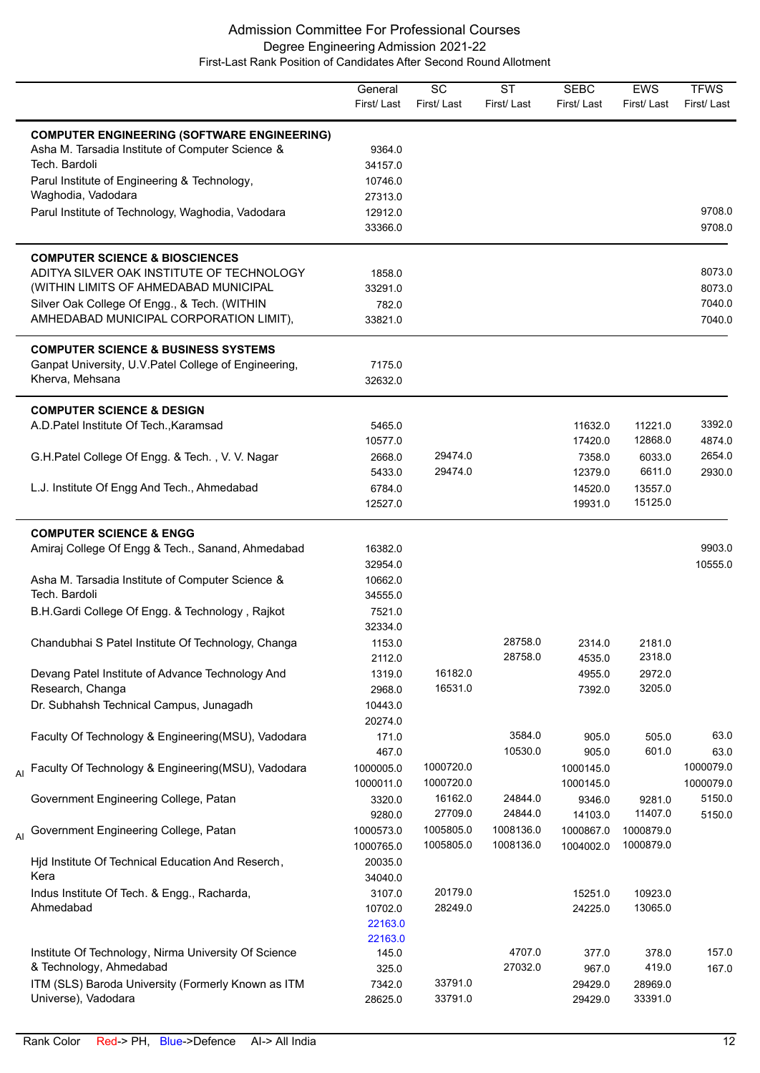|    |                                                                                                        | General<br>First/Last | SC<br>First/Last   | <b>ST</b><br>First/Last | <b>SEBC</b><br>First/Last | <b>EWS</b><br>First/Last | <b>TFWS</b><br>First/Last |
|----|--------------------------------------------------------------------------------------------------------|-----------------------|--------------------|-------------------------|---------------------------|--------------------------|---------------------------|
|    | <b>COMPUTER ENGINEERING (SOFTWARE ENGINEERING)</b><br>Asha M. Tarsadia Institute of Computer Science & | 9364.0                |                    |                         |                           |                          |                           |
|    | Tech. Bardoli                                                                                          | 34157.0               |                    |                         |                           |                          |                           |
|    | Parul Institute of Engineering & Technology,                                                           | 10746.0               |                    |                         |                           |                          |                           |
|    | Waghodia, Vadodara                                                                                     | 27313.0               |                    |                         |                           |                          |                           |
|    | Parul Institute of Technology, Waghodia, Vadodara                                                      | 12912.0               |                    |                         |                           |                          | 9708.0                    |
|    |                                                                                                        | 33366.0               |                    |                         |                           |                          | 9708.0                    |
|    | <b>COMPUTER SCIENCE &amp; BIOSCIENCES</b>                                                              |                       |                    |                         |                           |                          |                           |
|    | ADITYA SILVER OAK INSTITUTE OF TECHNOLOGY                                                              | 1858.0                |                    |                         |                           |                          | 8073.0                    |
|    | (WITHIN LIMITS OF AHMEDABAD MUNICIPAL                                                                  | 33291.0               |                    |                         |                           |                          | 8073.0                    |
|    | Silver Oak College Of Engg., & Tech. (WITHIN                                                           | 782.0                 |                    |                         |                           |                          | 7040.0                    |
|    | AMHEDABAD MUNICIPAL CORPORATION LIMIT),                                                                | 33821.0               |                    |                         |                           |                          | 7040.0                    |
|    | <b>COMPUTER SCIENCE &amp; BUSINESS SYSTEMS</b>                                                         |                       |                    |                         |                           |                          |                           |
|    | Ganpat University, U.V. Patel College of Engineering,                                                  | 7175.0                |                    |                         |                           |                          |                           |
|    | Kherva, Mehsana                                                                                        | 32632.0               |                    |                         |                           |                          |                           |
|    | <b>COMPUTER SCIENCE &amp; DESIGN</b>                                                                   |                       |                    |                         |                           |                          |                           |
|    | A.D.Patel Institute Of Tech., Karamsad                                                                 | 5465.0                |                    |                         | 11632.0                   | 11221.0<br>12868.0       | 3392.0                    |
|    |                                                                                                        | 10577.0               |                    |                         | 17420.0                   |                          | 4874.0                    |
|    | G.H.Patel College Of Engg. & Tech., V. V. Nagar                                                        | 2668.0                | 29474.0<br>29474.0 |                         | 7358.0                    | 6033.0<br>6611.0         | 2654.0                    |
|    |                                                                                                        | 5433.0                |                    |                         | 12379.0                   |                          | 2930.0                    |
|    | L.J. Institute Of Engg And Tech., Ahmedabad                                                            | 6784.0<br>12527.0     |                    |                         | 14520.0<br>19931.0        | 13557.0<br>15125.0       |                           |
|    | <b>COMPUTER SCIENCE &amp; ENGG</b>                                                                     |                       |                    |                         |                           |                          |                           |
|    | Amiraj College Of Engg & Tech., Sanand, Ahmedabad                                                      | 16382.0               |                    |                         |                           |                          | 9903.0                    |
|    |                                                                                                        | 32954.0               |                    |                         |                           |                          | 10555.0                   |
|    | Asha M. Tarsadia Institute of Computer Science &                                                       | 10662.0               |                    |                         |                           |                          |                           |
|    | Tech. Bardoli                                                                                          | 34555.0               |                    |                         |                           |                          |                           |
|    | B.H.Gardi College Of Engg. & Technology, Rajkot                                                        | 7521.0                |                    |                         |                           |                          |                           |
|    |                                                                                                        | 32334.0               |                    |                         |                           |                          |                           |
|    | Chandubhai S Patel Institute Of Technology, Changa                                                     | 1153.0                |                    | 28758.0                 | 2314.0                    | 2181.0                   |                           |
|    |                                                                                                        | 2112.0                |                    | 28758.0                 | 4535.0                    | 2318.0                   |                           |
|    | Devang Patel Institute of Advance Technology And                                                       | 1319.0                | 16182.0            |                         | 4955.0                    | 2972.0                   |                           |
|    | Research, Changa                                                                                       | 2968.0                | 16531.0            |                         | 7392.0                    | 3205.0                   |                           |
|    | Dr. Subhahsh Technical Campus, Junagadh                                                                | 10443.0               |                    |                         |                           |                          |                           |
|    |                                                                                                        | 20274.0               |                    |                         |                           |                          |                           |
|    | Faculty Of Technology & Engineering(MSU), Vadodara                                                     | 171.0                 |                    | 3584.0                  | 905.0                     | 505.0                    | 63.0                      |
|    |                                                                                                        | 467.0                 |                    | 10530.0                 | 905.0                     | 601.0                    | 63.0                      |
|    | <sub>Al</sub> Faculty Of Technology & Engineering(MSU), Vadodara                                       | 1000005.0             | 1000720.0          |                         | 1000145.0                 |                          | 1000079.0                 |
|    |                                                                                                        | 1000011.0             | 1000720.0          |                         | 1000145.0                 |                          | 1000079.0                 |
|    | Government Engineering College, Patan                                                                  | 3320.0                | 16162.0            | 24844.0                 | 9346.0                    | 9281.0                   | 5150.0                    |
|    |                                                                                                        | 9280.0                | 27709.0            | 24844.0                 | 14103.0                   | 11407.0                  | 5150.0                    |
| AI | Government Engineering College, Patan                                                                  | 1000573.0             | 1005805.0          | 1008136.0               | 1000867.0                 | 1000879.0                |                           |
|    |                                                                                                        | 1000765.0             | 1005805.0          | 1008136.0               | 1004002.0                 | 1000879.0                |                           |
|    | Hjd Institute Of Technical Education And Reserch,                                                      | 20035.0               |                    |                         |                           |                          |                           |
|    | Kera                                                                                                   | 34040.0               |                    |                         |                           |                          |                           |
|    | Indus Institute Of Tech. & Engg., Racharda,                                                            | 3107.0                | 20179.0            |                         | 15251.0                   | 10923.0                  |                           |
|    | Ahmedabad                                                                                              | 10702.0               | 28249.0            |                         | 24225.0                   | 13065.0                  |                           |
|    |                                                                                                        | 22163.0               |                    |                         |                           |                          |                           |
|    |                                                                                                        | 22163.0               |                    |                         |                           |                          |                           |
|    | Institute Of Technology, Nirma University Of Science                                                   | 145.0                 |                    | 4707.0                  | 377.0                     | 378.0                    | 157.0                     |
|    | & Technology, Ahmedabad                                                                                | 325.0                 |                    | 27032.0                 | 967.0                     | 419.0                    | 167.0                     |
|    | ITM (SLS) Baroda University (Formerly Known as ITM                                                     | 7342.0                | 33791.0            |                         | 29429.0                   | 28969.0                  |                           |
|    | Universe), Vadodara                                                                                    | 28625.0               | 33791.0            |                         | 29429.0                   | 33391.0                  |                           |
|    |                                                                                                        |                       |                    |                         |                           |                          |                           |

L,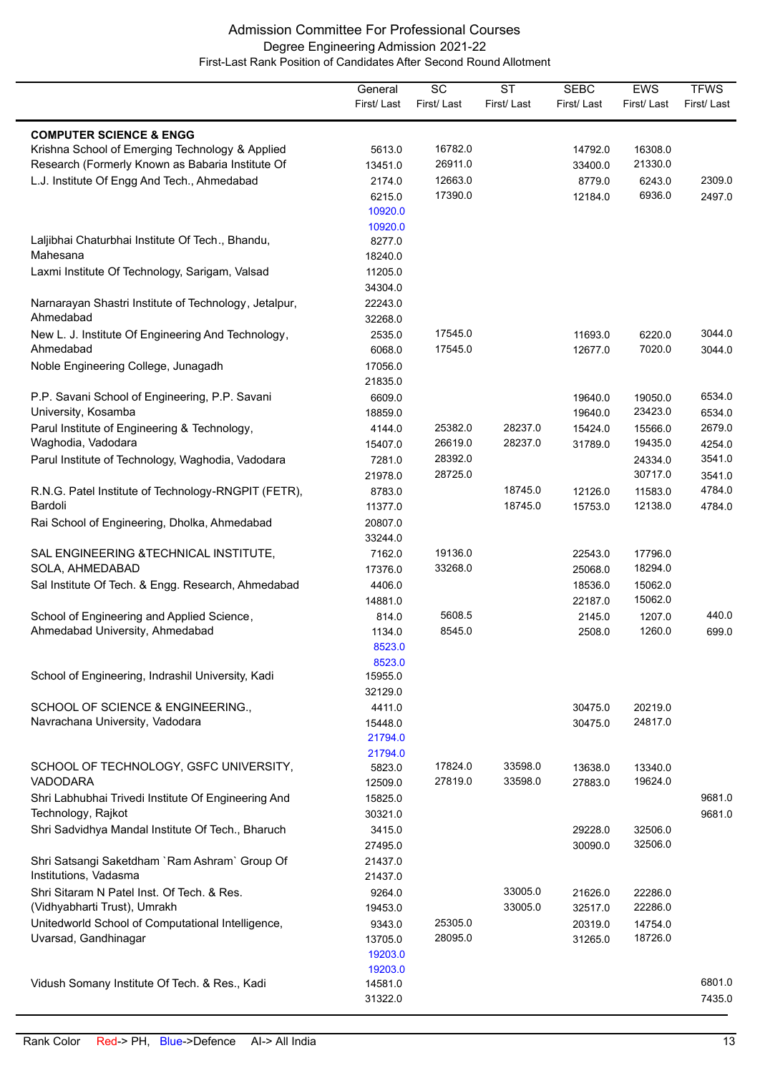|                                                                                                     | General<br>First/Last | $\overline{SC}$<br>First/Last | $\overline{\text{ST}}$<br>First/Last | <b>SEBC</b><br>First/Last | EWS<br>First/Last  | <b>TFWS</b><br>First/Last |
|-----------------------------------------------------------------------------------------------------|-----------------------|-------------------------------|--------------------------------------|---------------------------|--------------------|---------------------------|
|                                                                                                     |                       |                               |                                      |                           |                    |                           |
| <b>COMPUTER SCIENCE &amp; ENGG</b>                                                                  |                       |                               |                                      |                           |                    |                           |
| Krishna School of Emerging Technology & Applied<br>Research (Formerly Known as Babaria Institute Of | 5613.0                | 16782.0<br>26911.0            |                                      | 14792.0<br>33400.0        | 16308.0<br>21330.0 |                           |
| L.J. Institute Of Engg And Tech., Ahmedabad                                                         | 13451.0<br>2174.0     | 12663.0                       |                                      | 8779.0                    | 6243.0             | 2309.0                    |
|                                                                                                     | 6215.0                | 17390.0                       |                                      | 12184.0                   | 6936.0             | 2497.0                    |
|                                                                                                     | 10920.0               |                               |                                      |                           |                    |                           |
|                                                                                                     | 10920.0               |                               |                                      |                           |                    |                           |
| Laljibhai Chaturbhai Institute Of Tech., Bhandu,                                                    | 8277.0                |                               |                                      |                           |                    |                           |
| Mahesana                                                                                            | 18240.0               |                               |                                      |                           |                    |                           |
| Laxmi Institute Of Technology, Sarigam, Valsad                                                      | 11205.0               |                               |                                      |                           |                    |                           |
|                                                                                                     | 34304.0               |                               |                                      |                           |                    |                           |
| Narnarayan Shastri Institute of Technology, Jetalpur,<br>Ahmedabad                                  | 22243.0               |                               |                                      |                           |                    |                           |
|                                                                                                     | 32268.0               |                               |                                      |                           |                    | 3044.0                    |
| New L. J. Institute Of Engineering And Technology,<br>Ahmedabad                                     | 2535.0<br>6068.0      | 17545.0<br>17545.0            |                                      | 11693.0<br>12677.0        | 6220.0<br>7020.0   | 3044.0                    |
| Noble Engineering College, Junagadh                                                                 | 17056.0               |                               |                                      |                           |                    |                           |
|                                                                                                     | 21835.0               |                               |                                      |                           |                    |                           |
| P.P. Savani School of Engineering, P.P. Savani                                                      | 6609.0                |                               |                                      | 19640.0                   | 19050.0            | 6534.0                    |
| University, Kosamba                                                                                 | 18859.0               |                               |                                      | 19640.0                   | 23423.0            | 6534.0                    |
| Parul Institute of Engineering & Technology,                                                        | 4144.0                | 25382.0                       | 28237.0                              | 15424.0                   | 15566.0            | 2679.0                    |
| Waghodia, Vadodara                                                                                  | 15407.0               | 26619.0                       | 28237.0                              | 31789.0                   | 19435.0            | 4254.0                    |
| Parul Institute of Technology, Waghodia, Vadodara                                                   | 7281.0                | 28392.0                       |                                      |                           | 24334.0            | 3541.0                    |
|                                                                                                     | 21978.0               | 28725.0                       |                                      |                           | 30717.0            | 3541.0                    |
| R.N.G. Patel Institute of Technology-RNGPIT (FETR),                                                 | 8783.0                |                               | 18745.0                              | 12126.0                   | 11583.0            | 4784.0                    |
| Bardoli                                                                                             | 11377.0               |                               | 18745.0                              | 15753.0                   | 12138.0            | 4784.0                    |
| Rai School of Engineering, Dholka, Ahmedabad                                                        | 20807.0               |                               |                                      |                           |                    |                           |
|                                                                                                     | 33244.0               | 19136.0                       |                                      |                           |                    |                           |
| SAL ENGINEERING & TECHNICAL INSTITUTE,<br>SOLA, AHMEDABAD                                           | 7162.0<br>17376.0     | 33268.0                       |                                      | 22543.0<br>25068.0        | 17796.0<br>18294.0 |                           |
| Sal Institute Of Tech. & Engg. Research, Ahmedabad                                                  | 4406.0                |                               |                                      | 18536.0                   | 15062.0            |                           |
|                                                                                                     | 14881.0               |                               |                                      | 22187.0                   | 15062.0            |                           |
| School of Engineering and Applied Science,                                                          | 814.0                 | 5608.5                        |                                      | 2145.0                    | 1207.0             | 440.0                     |
| Ahmedabad University, Ahmedabad                                                                     | 1134.0                | 8545.0                        |                                      | 2508.0                    | 1260.0             | 699.0                     |
|                                                                                                     | 8523.0                |                               |                                      |                           |                    |                           |
|                                                                                                     | 8523.0                |                               |                                      |                           |                    |                           |
| School of Engineering, Indrashil University, Kadi                                                   | 15955.0               |                               |                                      |                           |                    |                           |
|                                                                                                     | 32129.0               |                               |                                      |                           |                    |                           |
| SCHOOL OF SCIENCE & ENGINEERING.,                                                                   | 4411.0                |                               |                                      | 30475.0                   | 20219.0<br>24817.0 |                           |
| Navrachana University, Vadodara                                                                     | 15448.0<br>21794.0    |                               |                                      | 30475.0                   |                    |                           |
|                                                                                                     | 21794.0               |                               |                                      |                           |                    |                           |
| SCHOOL OF TECHNOLOGY, GSFC UNIVERSITY,                                                              | 5823.0                | 17824.0                       | 33598.0                              | 13638.0                   | 13340.0            |                           |
| <b>VADODARA</b>                                                                                     | 12509.0               | 27819.0                       | 33598.0                              | 27883.0                   | 19624.0            |                           |
| Shri Labhubhai Trivedi Institute Of Engineering And                                                 | 15825.0               |                               |                                      |                           |                    | 9681.0                    |
| Technology, Rajkot                                                                                  | 30321.0               |                               |                                      |                           |                    | 9681.0                    |
| Shri Sadvidhya Mandal Institute Of Tech., Bharuch                                                   | 3415.0                |                               |                                      | 29228.0                   | 32506.0            |                           |
|                                                                                                     | 27495.0               |                               |                                      | 30090.0                   | 32506.0            |                           |
| Shri Satsangi Saketdham `Ram Ashram` Group Of                                                       | 21437.0               |                               |                                      |                           |                    |                           |
| Institutions, Vadasma<br>Shri Sitaram N Patel Inst. Of Tech. & Res.                                 | 21437.0               |                               | 33005.0                              |                           |                    |                           |
| (Vidhyabharti Trust), Umrakh                                                                        | 9264.0<br>19453.0     |                               | 33005.0                              | 21626.0<br>32517.0        | 22286.0<br>22286.0 |                           |
| Unitedworld School of Computational Intelligence,                                                   | 9343.0                | 25305.0                       |                                      | 20319.0                   | 14754.0            |                           |
| Uvarsad, Gandhinagar                                                                                | 13705.0               | 28095.0                       |                                      | 31265.0                   | 18726.0            |                           |
|                                                                                                     | 19203.0               |                               |                                      |                           |                    |                           |
|                                                                                                     | 19203.0               |                               |                                      |                           |                    |                           |
| Vidush Somany Institute Of Tech. & Res., Kadi                                                       | 14581.0               |                               |                                      |                           |                    | 6801.0                    |
|                                                                                                     | 31322.0               |                               |                                      |                           |                    | 7435.0                    |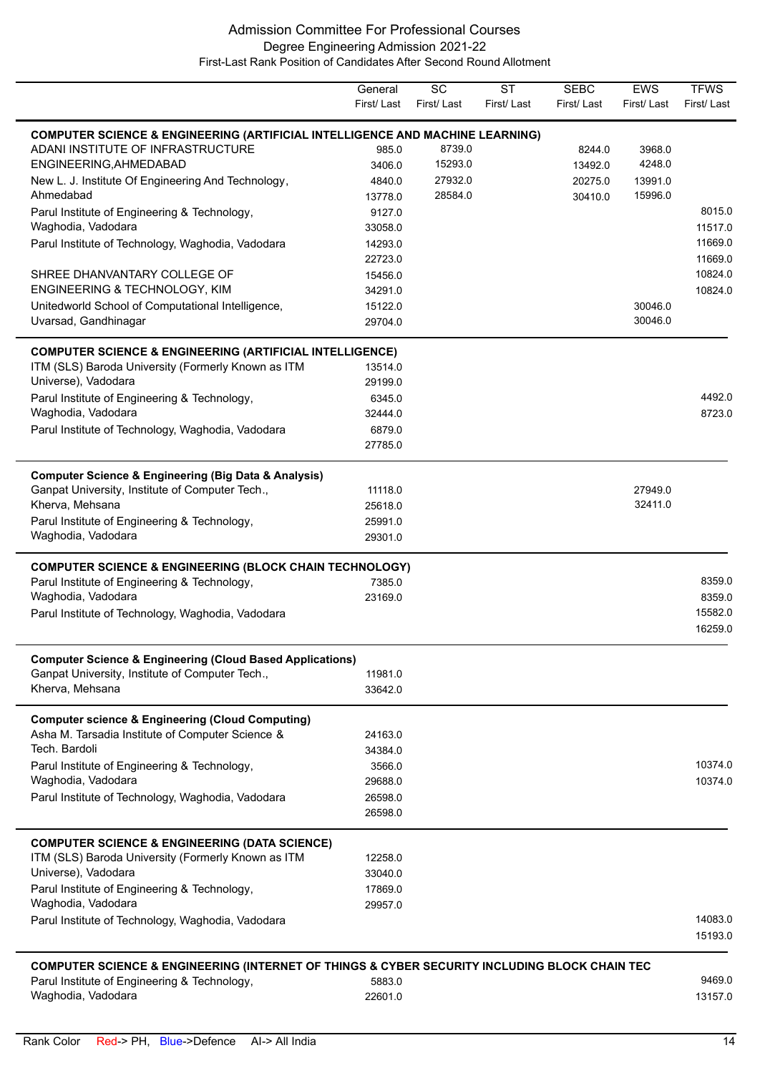|                                                                                               | General<br>First/Last | $\overline{SC}$<br>First/Last | $\overline{\text{ST}}$<br>First/Last | <b>SEBC</b><br>First/ Last | <b>EWS</b><br>First/Last | <b>TFWS</b><br>First/Last |
|-----------------------------------------------------------------------------------------------|-----------------------|-------------------------------|--------------------------------------|----------------------------|--------------------------|---------------------------|
| <b>COMPUTER SCIENCE &amp; ENGINEERING (ARTIFICIAL INTELLIGENCE AND MACHINE LEARNING)</b>      |                       |                               |                                      |                            |                          |                           |
| ADANI INSTITUTE OF INFRASTRUCTURE                                                             | 985.0                 | 8739.0                        |                                      | 8244.0                     | 3968.0                   |                           |
| ENGINEERING, AHMEDABAD                                                                        | 3406.0                | 15293.0                       |                                      | 13492.0                    | 4248.0                   |                           |
| New L. J. Institute Of Engineering And Technology,                                            | 4840.0                | 27932.0                       |                                      | 20275.0                    | 13991.0                  |                           |
| Ahmedabad                                                                                     | 13778.0               | 28584.0                       |                                      | 30410.0                    | 15996.0                  |                           |
| Parul Institute of Engineering & Technology,                                                  | 9127.0                |                               |                                      |                            |                          | 8015.0                    |
| Waghodia, Vadodara                                                                            | 33058.0               |                               |                                      |                            |                          | 11517.0                   |
| Parul Institute of Technology, Waghodia, Vadodara                                             | 14293.0               |                               |                                      |                            |                          | 11669.0                   |
|                                                                                               | 22723.0               |                               |                                      |                            |                          | 11669.0                   |
| SHREE DHANVANTARY COLLEGE OF                                                                  | 15456.0               |                               |                                      |                            |                          | 10824.0                   |
| ENGINEERING & TECHNOLOGY, KIM                                                                 | 34291.0               |                               |                                      |                            |                          | 10824.0                   |
| Unitedworld School of Computational Intelligence,                                             | 15122.0               |                               |                                      |                            | 30046.0                  |                           |
| Uvarsad, Gandhinagar                                                                          | 29704.0               |                               |                                      |                            | 30046.0                  |                           |
| <b>COMPUTER SCIENCE &amp; ENGINEERING (ARTIFICIAL INTELLIGENCE)</b>                           |                       |                               |                                      |                            |                          |                           |
| ITM (SLS) Baroda University (Formerly Known as ITM                                            | 13514.0               |                               |                                      |                            |                          |                           |
| Universe), Vadodara                                                                           | 29199.0               |                               |                                      |                            |                          |                           |
| Parul Institute of Engineering & Technology,                                                  | 6345.0                |                               |                                      |                            |                          | 4492.0                    |
| Waghodia, Vadodara                                                                            | 32444.0               |                               |                                      |                            |                          | 8723.0                    |
| Parul Institute of Technology, Waghodia, Vadodara                                             | 6879.0                |                               |                                      |                            |                          |                           |
|                                                                                               | 27785.0               |                               |                                      |                            |                          |                           |
| <b>Computer Science &amp; Engineering (Big Data &amp; Analysis)</b>                           |                       |                               |                                      |                            |                          |                           |
| Ganpat University, Institute of Computer Tech.,                                               | 11118.0               |                               |                                      |                            | 27949.0                  |                           |
| Kherva, Mehsana                                                                               | 25618.0               |                               |                                      |                            | 32411.0                  |                           |
| Parul Institute of Engineering & Technology,                                                  | 25991.0               |                               |                                      |                            |                          |                           |
| Waghodia, Vadodara                                                                            | 29301.0               |                               |                                      |                            |                          |                           |
| <b>COMPUTER SCIENCE &amp; ENGINEERING (BLOCK CHAIN TECHNOLOGY)</b>                            |                       |                               |                                      |                            |                          |                           |
| Parul Institute of Engineering & Technology,                                                  | 7385.0                |                               |                                      |                            |                          | 8359.0                    |
| Waghodia, Vadodara                                                                            | 23169.0               |                               |                                      |                            |                          | 8359.0                    |
| Parul Institute of Technology, Waghodia, Vadodara                                             |                       |                               |                                      |                            |                          | 15582.0                   |
|                                                                                               |                       |                               |                                      |                            |                          | 16259.0                   |
| <b>Computer Science &amp; Engineering (Cloud Based Applications)</b>                          |                       |                               |                                      |                            |                          |                           |
| Ganpat University, Institute of Computer Tech.,                                               | 11981.0               |                               |                                      |                            |                          |                           |
| Kherva, Mehsana                                                                               | 33642.0               |                               |                                      |                            |                          |                           |
|                                                                                               |                       |                               |                                      |                            |                          |                           |
| <b>Computer science &amp; Engineering (Cloud Computing)</b>                                   |                       |                               |                                      |                            |                          |                           |
| Asha M. Tarsadia Institute of Computer Science &<br>Tech. Bardoli                             | 24163.0               |                               |                                      |                            |                          |                           |
|                                                                                               | 34384.0               |                               |                                      |                            |                          | 10374.0                   |
| Parul Institute of Engineering & Technology,                                                  | 3566.0                |                               |                                      |                            |                          |                           |
| Waghodia, Vadodara                                                                            | 29688.0               |                               |                                      |                            |                          | 10374.0                   |
| Parul Institute of Technology, Waghodia, Vadodara                                             | 26598.0<br>26598.0    |                               |                                      |                            |                          |                           |
|                                                                                               |                       |                               |                                      |                            |                          |                           |
| <b>COMPUTER SCIENCE &amp; ENGINEERING (DATA SCIENCE)</b>                                      |                       |                               |                                      |                            |                          |                           |
| ITM (SLS) Baroda University (Formerly Known as ITM                                            | 12258.0               |                               |                                      |                            |                          |                           |
| Universe), Vadodara                                                                           | 33040.0               |                               |                                      |                            |                          |                           |
| Parul Institute of Engineering & Technology,<br>Waghodia, Vadodara                            | 17869.0               |                               |                                      |                            |                          |                           |
|                                                                                               | 29957.0               |                               |                                      |                            |                          |                           |
| Parul Institute of Technology, Waghodia, Vadodara                                             |                       |                               |                                      |                            |                          | 14083.0<br>15193.0        |
|                                                                                               |                       |                               |                                      |                            |                          |                           |
| COMPUTER SCIENCE & ENGINEERING (INTERNET OF THINGS & CYBER SECURITY INCLUDING BLOCK CHAIN TEC |                       |                               |                                      |                            |                          |                           |
| Parul Institute of Engineering & Technology,                                                  | 5883.0                |                               |                                      |                            |                          | 9469.0                    |
| Waghodia, Vadodara                                                                            | 22601.0               |                               |                                      |                            |                          | 13157.0                   |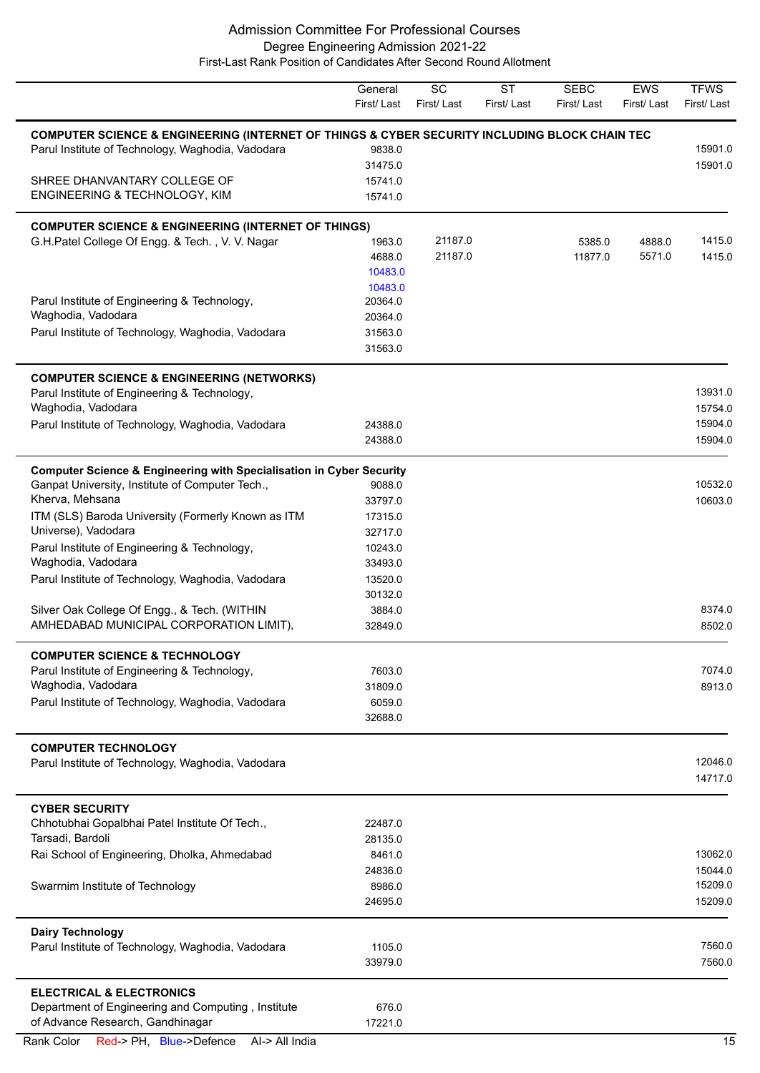# Admission Committee For Professional Courses Degree Engineering Admission 2021-22

First-Last Rank Position of Candidates After Second Round Allotment

|                                                                                               | General<br>First/Last | $\overline{SC}$<br>First/Last | <b>ST</b><br>First/Last | <b>SEBC</b><br>First/Last | <b>EWS</b><br>First/Last | <b>TFWS</b><br>First/Last |
|-----------------------------------------------------------------------------------------------|-----------------------|-------------------------------|-------------------------|---------------------------|--------------------------|---------------------------|
| COMPUTER SCIENCE & ENGINEERING (INTERNET OF THINGS & CYBER SECURITY INCLUDING BLOCK CHAIN TEC |                       |                               |                         |                           |                          |                           |
| Parul Institute of Technology, Waghodia, Vadodara                                             | 9838.0                |                               |                         |                           |                          | 15901.0                   |
|                                                                                               | 31475.0               |                               |                         |                           |                          | 15901.0                   |
| SHREE DHANVANTARY COLLEGE OF                                                                  | 15741.0               |                               |                         |                           |                          |                           |
| ENGINEERING & TECHNOLOGY, KIM                                                                 | 15741.0               |                               |                         |                           |                          |                           |
| <b>COMPUTER SCIENCE &amp; ENGINEERING (INTERNET OF THINGS)</b>                                |                       |                               |                         |                           |                          |                           |
| G.H.Patel College Of Engg. & Tech., V. V. Nagar                                               | 1963.0                | 21187.0                       |                         | 5385.0                    | 4888.0                   | 1415.0                    |
|                                                                                               | 4688.0                | 21187.0                       |                         | 11877.0                   | 5571.0                   | 1415.0                    |
|                                                                                               | 10483.0               |                               |                         |                           |                          |                           |
|                                                                                               | 10483.0               |                               |                         |                           |                          |                           |
| Parul Institute of Engineering & Technology,                                                  | 20364.0               |                               |                         |                           |                          |                           |
| Waghodia, Vadodara                                                                            | 20364.0               |                               |                         |                           |                          |                           |
| Parul Institute of Technology, Waghodia, Vadodara                                             | 31563.0               |                               |                         |                           |                          |                           |
|                                                                                               | 31563.0               |                               |                         |                           |                          |                           |
| <b>COMPUTER SCIENCE &amp; ENGINEERING (NETWORKS)</b>                                          |                       |                               |                         |                           |                          |                           |
| Parul Institute of Engineering & Technology,                                                  |                       |                               |                         |                           |                          | 13931.0                   |
| Waghodia, Vadodara                                                                            |                       |                               |                         |                           |                          | 15754.0                   |
| Parul Institute of Technology, Waghodia, Vadodara                                             | 24388.0               |                               |                         |                           |                          | 15904.0                   |
|                                                                                               | 24388.0               |                               |                         |                           |                          | 15904.0                   |
| <b>Computer Science &amp; Engineering with Specialisation in Cyber Security</b>               |                       |                               |                         |                           |                          |                           |
| Ganpat University, Institute of Computer Tech.,                                               | 9088.0                |                               |                         |                           |                          | 10532.0                   |
| Kherva, Mehsana                                                                               | 33797.0               |                               |                         |                           |                          | 10603.0                   |
| ITM (SLS) Baroda University (Formerly Known as ITM                                            | 17315.0               |                               |                         |                           |                          |                           |
| Universe), Vadodara                                                                           | 32717.0               |                               |                         |                           |                          |                           |
| Parul Institute of Engineering & Technology,                                                  | 10243.0               |                               |                         |                           |                          |                           |
| Waghodia, Vadodara                                                                            | 33493.0               |                               |                         |                           |                          |                           |
| Parul Institute of Technology, Waghodia, Vadodara                                             | 13520.0               |                               |                         |                           |                          |                           |
|                                                                                               | 30132.0               |                               |                         |                           |                          |                           |
| Silver Oak College Of Engg., & Tech. (WITHIN                                                  | 3884.0                |                               |                         |                           |                          | 8374.0                    |
| AMHEDABAD MUNICIPAL CORPORATION LIMIT),                                                       | 32849.0               |                               |                         |                           |                          | 8502.0                    |
| <b>COMPUTER SCIENCE &amp; TECHNOLOGY</b>                                                      |                       |                               |                         |                           |                          |                           |
| Parul Institute of Engineering & Technology,                                                  | 7603.0                |                               |                         |                           |                          | 7074.0                    |
| Waghodia, Vadodara                                                                            | 31809.0               |                               |                         |                           |                          | 8913.0                    |
| Parul Institute of Technology, Waghodia, Vadodara                                             | 6059.0                |                               |                         |                           |                          |                           |
|                                                                                               | 32688.0               |                               |                         |                           |                          |                           |
| <b>COMPUTER TECHNOLOGY</b>                                                                    |                       |                               |                         |                           |                          |                           |
| Parul Institute of Technology, Waghodia, Vadodara                                             |                       |                               |                         |                           |                          | 12046.0                   |
|                                                                                               |                       |                               |                         |                           |                          | 14717.0                   |
| <b>CYBER SECURITY</b>                                                                         |                       |                               |                         |                           |                          |                           |
| Chhotubhai Gopalbhai Patel Institute Of Tech.,                                                | 22487.0               |                               |                         |                           |                          |                           |
| Tarsadi, Bardoli                                                                              | 28135.0               |                               |                         |                           |                          |                           |
| Rai School of Engineering, Dholka, Ahmedabad                                                  | 8461.0                |                               |                         |                           |                          | 13062.0                   |
|                                                                                               | 24836.0               |                               |                         |                           |                          | 15044.0                   |
| Swarrnim Institute of Technology                                                              | 8986.0                |                               |                         |                           |                          | 15209.0                   |
|                                                                                               | 24695.0               |                               |                         |                           |                          | 15209.0                   |
| <b>Dairy Technology</b>                                                                       |                       |                               |                         |                           |                          |                           |
| Parul Institute of Technology, Waghodia, Vadodara                                             | 1105.0                |                               |                         |                           |                          | 7560.0                    |
|                                                                                               | 33979.0               |                               |                         |                           |                          | 7560.0                    |
| <b>ELECTRICAL &amp; ELECTRONICS</b>                                                           |                       |                               |                         |                           |                          |                           |
| Department of Engineering and Computing, Institute                                            | 676.0                 |                               |                         |                           |                          |                           |
| of Advance Research, Gandhinagar                                                              | 17221.0               |                               |                         |                           |                          |                           |

Rank Color Red-> PH, Blue->Defence Al-> All India 15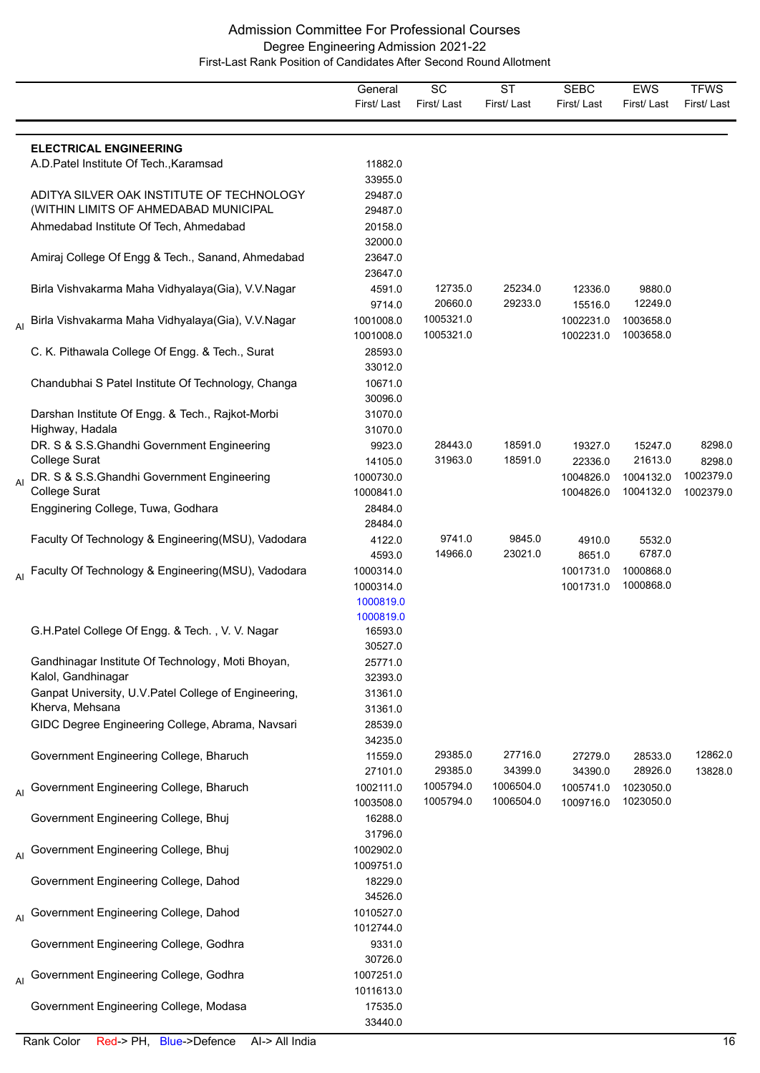|    |                                                                                    | General<br>First/Last                            | SC<br>First/Last       | <b>ST</b><br>First/Last | <b>SEBC</b><br>First/Last | <b>EWS</b><br>First/Last | <b>TFWS</b><br>First/Last |
|----|------------------------------------------------------------------------------------|--------------------------------------------------|------------------------|-------------------------|---------------------------|--------------------------|---------------------------|
|    | <b>ELECTRICAL ENGINEERING</b>                                                      |                                                  |                        |                         |                           |                          |                           |
|    | A.D. Patel Institute Of Tech., Karamsad                                            | 11882.0<br>33955.0                               |                        |                         |                           |                          |                           |
|    | ADITYA SILVER OAK INSTITUTE OF TECHNOLOGY<br>(WITHIN LIMITS OF AHMEDABAD MUNICIPAL | 29487.0<br>29487.0                               |                        |                         |                           |                          |                           |
|    | Ahmedabad Institute Of Tech, Ahmedabad                                             | 20158.0<br>32000.0                               |                        |                         |                           |                          |                           |
|    | Amiraj College Of Engg & Tech., Sanand, Ahmedabad                                  | 23647.0<br>23647.0                               |                        |                         |                           |                          |                           |
|    | Birla Vishvakarma Maha Vidhyalaya(Gia), V.V.Nagar                                  | 4591.0<br>9714.0                                 | 12735.0<br>20660.0     | 25234.0<br>29233.0      | 12336.0<br>15516.0        | 9880.0<br>12249.0        |                           |
|    | <sub>Al</sub> Birla Vishvakarma Maha Vidhyalaya(Gia), V.V.Nagar                    | 1001008.0<br>1001008.0                           | 1005321.0<br>1005321.0 |                         | 1002231.0<br>1002231.0    | 1003658.0<br>1003658.0   |                           |
|    | C. K. Pithawala College Of Engg. & Tech., Surat                                    | 28593.0<br>33012.0                               |                        |                         |                           |                          |                           |
|    | Chandubhai S Patel Institute Of Technology, Changa                                 | 10671.0<br>30096.0                               |                        |                         |                           |                          |                           |
|    | Darshan Institute Of Engg. & Tech., Rajkot-Morbi<br>Highway, Hadala                | 31070.0<br>31070.0                               |                        |                         |                           |                          |                           |
|    | DR. S & S.S.Ghandhi Government Engineering<br>College Surat                        | 9923.0<br>14105.0                                | 28443.0<br>31963.0     | 18591.0<br>18591.0      | 19327.0<br>22336.0        | 15247.0<br>21613.0       | 8298.0<br>8298.0          |
| AI | DR. S & S.S.Ghandhi Government Engineering<br><b>College Surat</b>                 | 1000730.0<br>1000841.0                           |                        |                         | 1004826.0<br>1004826.0    | 1004132.0<br>1004132.0   | 1002379.0<br>1002379.0    |
|    | Engginering College, Tuwa, Godhara                                                 | 28484.0<br>28484.0                               |                        |                         |                           |                          |                           |
|    | Faculty Of Technology & Engineering (MSU), Vadodara                                | 4122.0<br>4593.0                                 | 9741.0<br>14966.0      | 9845.0<br>23021.0       | 4910.0<br>8651.0          | 5532.0<br>6787.0         |                           |
| AI | Faculty Of Technology & Engineering(MSU), Vadodara                                 | 1000314.0<br>1000314.0<br>1000819.0<br>1000819.0 |                        |                         | 1001731.0<br>1001731.0    | 1000868.0<br>1000868.0   |                           |
|    | G.H.Patel College Of Engg. & Tech., V. V. Nagar                                    | 16593.0<br>30527.0                               |                        |                         |                           |                          |                           |
|    | Gandhinagar Institute Of Technology, Moti Bhoyan,<br>Kalol, Gandhinagar            | 25771.0<br>32393.0                               |                        |                         |                           |                          |                           |
|    | Ganpat University, U.V. Patel College of Engineering,<br>Kherva, Mehsana           | 31361.0<br>31361.0                               |                        |                         |                           |                          |                           |
|    | GIDC Degree Engineering College, Abrama, Navsari                                   | 28539.0<br>34235.0                               |                        |                         |                           |                          |                           |
|    | Government Engineering College, Bharuch                                            | 11559.0<br>27101.0                               | 29385.0<br>29385.0     | 27716.0<br>34399.0      | 27279.0<br>34390.0        | 28533.0<br>28926.0       | 12862.0<br>13828.0        |
|    | Government Engineering College, Bharuch                                            | 1002111.0<br>1003508.0                           | 1005794.0<br>1005794.0 | 1006504.0<br>1006504.0  | 1005741.0<br>1009716.0    | 1023050.0<br>1023050.0   |                           |
|    | Government Engineering College, Bhuj                                               | 16288.0<br>31796.0                               |                        |                         |                           |                          |                           |
| AI | Government Engineering College, Bhuj                                               | 1002902.0<br>1009751.0                           |                        |                         |                           |                          |                           |
|    | Government Engineering College, Dahod                                              | 18229.0<br>34526.0                               |                        |                         |                           |                          |                           |
| AI | Government Engineering College, Dahod                                              | 1010527.0<br>1012744.0                           |                        |                         |                           |                          |                           |
|    | Government Engineering College, Godhra                                             | 9331.0<br>30726.0                                |                        |                         |                           |                          |                           |
| AI | Government Engineering College, Godhra                                             | 1007251.0<br>1011613.0                           |                        |                         |                           |                          |                           |
|    | Government Engineering College, Modasa                                             | 17535.0<br>33440.0                               |                        |                         |                           |                          |                           |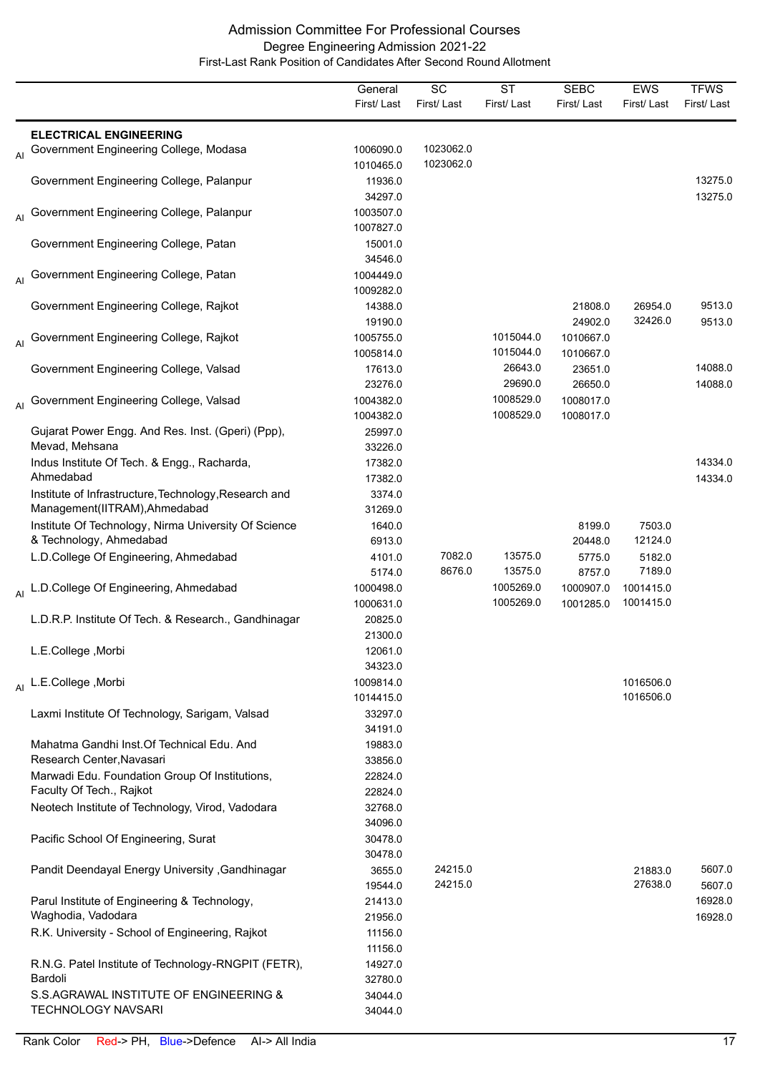|    |                                                                                        | General<br>First/Last  | SC<br>First/Last       | <b>ST</b><br>First/Last | <b>SEBC</b><br>First/Last | <b>EWS</b><br>First/Last | <b>TFWS</b><br>First/Last |
|----|----------------------------------------------------------------------------------------|------------------------|------------------------|-------------------------|---------------------------|--------------------------|---------------------------|
|    | <b>ELECTRICAL ENGINEERING</b>                                                          |                        |                        |                         |                           |                          |                           |
| AI | Government Engineering College, Modasa                                                 | 1006090.0<br>1010465.0 | 1023062.0<br>1023062.0 |                         |                           |                          |                           |
|    | Government Engineering College, Palanpur                                               | 11936.0<br>34297.0     |                        |                         |                           |                          | 13275.0<br>13275.0        |
| AI | Government Engineering College, Palanpur                                               | 1003507.0<br>1007827.0 |                        |                         |                           |                          |                           |
|    | Government Engineering College, Patan                                                  | 15001.0<br>34546.0     |                        |                         |                           |                          |                           |
| AI | Government Engineering College, Patan                                                  | 1004449.0<br>1009282.0 |                        |                         |                           |                          |                           |
|    | Government Engineering College, Rajkot                                                 | 14388.0<br>19190.0     |                        |                         | 21808.0<br>24902.0        | 26954.0<br>32426.0       | 9513.0<br>9513.0          |
| AI | Government Engineering College, Rajkot                                                 | 1005755.0<br>1005814.0 |                        | 1015044.0<br>1015044.0  | 1010667.0<br>1010667.0    |                          |                           |
|    | Government Engineering College, Valsad                                                 | 17613.0<br>23276.0     |                        | 26643.0<br>29690.0      | 23651.0<br>26650.0        |                          | 14088.0<br>14088.0        |
| AI | Government Engineering College, Valsad                                                 | 1004382.0<br>1004382.0 |                        | 1008529.0<br>1008529.0  | 1008017.0<br>1008017.0    |                          |                           |
|    | Gujarat Power Engg. And Res. Inst. (Gperi) (Ppp),<br>Mevad, Mehsana                    | 25997.0<br>33226.0     |                        |                         |                           |                          |                           |
|    | Indus Institute Of Tech. & Engg., Racharda,<br>Ahmedabad                               | 17382.0<br>17382.0     |                        |                         |                           |                          | 14334.0<br>14334.0        |
|    | Institute of Infrastructure, Technology, Research and<br>Management(IITRAM), Ahmedabad | 3374.0<br>31269.0      |                        |                         |                           |                          |                           |
|    | Institute Of Technology, Nirma University Of Science<br>& Technology, Ahmedabad        | 1640.0<br>6913.0       |                        |                         | 8199.0<br>20448.0         | 7503.0<br>12124.0        |                           |
|    | L.D.College Of Engineering, Ahmedabad                                                  | 4101.0<br>5174.0       | 7082.0<br>8676.0       | 13575.0<br>13575.0      | 5775.0<br>8757.0          | 5182.0<br>7189.0         |                           |
| AI | L.D.College Of Engineering, Ahmedabad                                                  | 1000498.0<br>1000631.0 |                        | 1005269.0<br>1005269.0  | 1000907.0<br>1001285.0    | 1001415.0<br>1001415.0   |                           |
|    | L.D.R.P. Institute Of Tech. & Research., Gandhinagar                                   | 20825.0<br>21300.0     |                        |                         |                           |                          |                           |
|    | L.E.College, Morbi                                                                     | 12061.0<br>34323.0     |                        |                         |                           |                          |                           |
|    | Al L.E.College, Morbi                                                                  | 1009814.0<br>1014415.0 |                        |                         |                           | 1016506.0<br>1016506.0   |                           |
|    | Laxmi Institute Of Technology, Sarigam, Valsad                                         | 33297.0<br>34191.0     |                        |                         |                           |                          |                           |
|    | Mahatma Gandhi Inst. Of Technical Edu. And<br>Research Center, Navasari                | 19883.0<br>33856.0     |                        |                         |                           |                          |                           |
|    | Marwadi Edu. Foundation Group Of Institutions,<br>Faculty Of Tech., Rajkot             | 22824.0<br>22824.0     |                        |                         |                           |                          |                           |
|    | Neotech Institute of Technology, Virod, Vadodara                                       | 32768.0<br>34096.0     |                        |                         |                           |                          |                           |
|    | Pacific School Of Engineering, Surat                                                   | 30478.0<br>30478.0     |                        |                         |                           |                          |                           |
|    | Pandit Deendayal Energy University , Gandhinagar                                       | 3655.0<br>19544.0      | 24215.0<br>24215.0     |                         |                           | 21883.0<br>27638.0       | 5607.0<br>5607.0          |
|    | Parul Institute of Engineering & Technology,<br>Waghodia, Vadodara                     | 21413.0<br>21956.0     |                        |                         |                           |                          | 16928.0<br>16928.0        |
|    | R.K. University - School of Engineering, Rajkot                                        | 11156.0<br>11156.0     |                        |                         |                           |                          |                           |
|    | R.N.G. Patel Institute of Technology-RNGPIT (FETR),<br>Bardoli                         | 14927.0<br>32780.0     |                        |                         |                           |                          |                           |
|    | S.S.AGRAWAL INSTITUTE OF ENGINEERING &<br><b>TECHNOLOGY NAVSARI</b>                    | 34044.0<br>34044.0     |                        |                         |                           |                          |                           |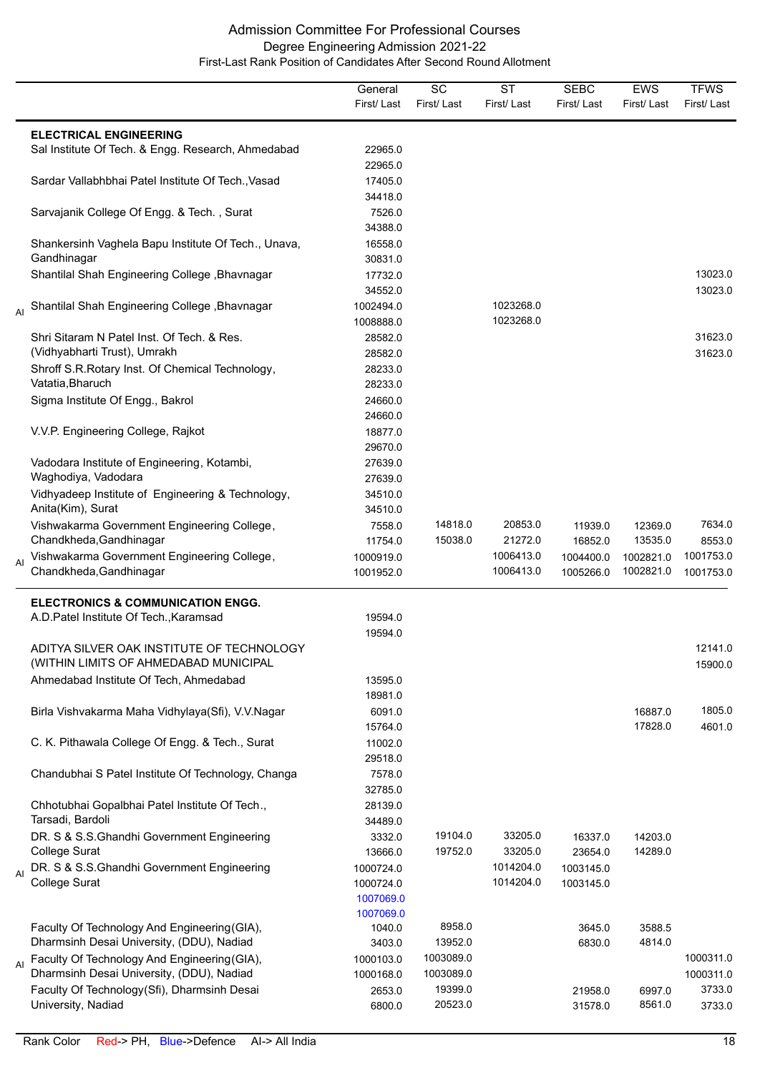|    |                                                                                           | General                | SC                     | <b>ST</b>              | <b>SEBC</b> | <b>EWS</b>       | <b>TFWS</b>            |
|----|-------------------------------------------------------------------------------------------|------------------------|------------------------|------------------------|-------------|------------------|------------------------|
|    |                                                                                           | First/Last             | First/Last             | First/Last             | First/Last  | First/Last       | First/Last             |
|    | <b>ELECTRICAL ENGINEERING</b>                                                             |                        |                        |                        |             |                  |                        |
|    | Sal Institute Of Tech. & Engg. Research, Ahmedabad                                        | 22965.0                |                        |                        |             |                  |                        |
|    |                                                                                           | 22965.0                |                        |                        |             |                  |                        |
|    | Sardar Vallabhbhai Patel Institute Of Tech., Vasad                                        | 17405.0                |                        |                        |             |                  |                        |
|    |                                                                                           | 34418.0                |                        |                        |             |                  |                        |
|    | Sarvajanik College Of Engg. & Tech., Surat                                                | 7526.0                 |                        |                        |             |                  |                        |
|    |                                                                                           | 34388.0                |                        |                        |             |                  |                        |
|    | Shankersinh Vaghela Bapu Institute Of Tech., Unava,                                       | 16558.0                |                        |                        |             |                  |                        |
|    | Gandhinagar                                                                               | 30831.0                |                        |                        |             |                  |                        |
|    | Shantilal Shah Engineering College, Bhavnagar                                             | 17732.0                |                        |                        |             |                  | 13023.0                |
|    |                                                                                           | 34552.0                |                        |                        |             |                  | 13023.0                |
|    | Shantilal Shah Engineering College, Bhavnagar                                             | 1002494.0              |                        | 1023268.0              |             |                  |                        |
|    |                                                                                           | 1008888.0              |                        | 1023268.0              |             |                  |                        |
|    | Shri Sitaram N Patel Inst. Of Tech. & Res.                                                | 28582.0                |                        |                        |             |                  | 31623.0                |
|    | (Vidhyabharti Trust), Umrakh                                                              | 28582.0                |                        |                        |             |                  | 31623.0                |
|    | Shroff S.R.Rotary Inst. Of Chemical Technology,                                           | 28233.0                |                        |                        |             |                  |                        |
|    | Vatatia, Bharuch                                                                          | 28233.0                |                        |                        |             |                  |                        |
|    | Sigma Institute Of Engg., Bakrol                                                          | 24660.0                |                        |                        |             |                  |                        |
|    |                                                                                           | 24660.0                |                        |                        |             |                  |                        |
|    | V.V.P. Engineering College, Rajkot                                                        | 18877.0                |                        |                        |             |                  |                        |
|    |                                                                                           | 29670.0                |                        |                        |             |                  |                        |
|    | Vadodara Institute of Engineering, Kotambi,                                               | 27639.0                |                        |                        |             |                  |                        |
|    | Waghodiya, Vadodara                                                                       | 27639.0                |                        |                        |             |                  |                        |
|    | Vidhyadeep Institute of Engineering & Technology,                                         | 34510.0                |                        |                        |             |                  |                        |
|    | Anita(Kim), Surat                                                                         | 34510.0                |                        |                        |             |                  |                        |
|    | Vishwakarma Government Engineering College,                                               | 7558.0                 | 14818.0                | 20853.0                | 11939.0     | 12369.0          | 7634.0                 |
|    | Chandkheda, Gandhinagar                                                                   | 11754.0                | 15038.0                | 21272.0                | 16852.0     | 13535.0          | 8553.0                 |
| AI | Vishwakarma Government Engineering College,<br>Chandkheda, Gandhinagar                    | 1000919.0              |                        | 1006413.0<br>1006413.0 | 1004400.0   | 1002821.0        | 1001753.0              |
|    |                                                                                           | 1001952.0              |                        |                        | 1005266.0   | 1002821.0        | 1001753.0              |
|    | <b>ELECTRONICS &amp; COMMUNICATION ENGG.</b>                                              |                        |                        |                        |             |                  |                        |
|    | A.D. Patel Institute Of Tech., Karamsad                                                   | 19594.0                |                        |                        |             |                  |                        |
|    |                                                                                           | 19594.0                |                        |                        |             |                  |                        |
|    | ADITYA SILVER OAK INSTITUTE OF TECHNOLOGY                                                 |                        |                        |                        |             |                  | 12141.0                |
|    | (WITHIN LIMITS OF AHMEDABAD MUNICIPAL                                                     |                        |                        |                        |             |                  | 15900.0                |
|    | Ahmedabad Institute Of Tech, Ahmedabad                                                    | 13595.0                |                        |                        |             |                  |                        |
|    |                                                                                           | 18981.0                |                        |                        |             |                  |                        |
|    | Birla Vishvakarma Maha Vidhylaya(Sfi), V.V.Nagar                                          | 6091.0                 |                        |                        |             | 16887.0          | 1805.0                 |
|    |                                                                                           | 15764.0                |                        |                        |             | 17828.0          | 4601.0                 |
|    | C. K. Pithawala College Of Engg. & Tech., Surat                                           | 11002.0                |                        |                        |             |                  |                        |
|    |                                                                                           | 29518.0                |                        |                        |             |                  |                        |
|    | Chandubhai S Patel Institute Of Technology, Changa                                        | 7578.0                 |                        |                        |             |                  |                        |
|    |                                                                                           | 32785.0                |                        |                        |             |                  |                        |
|    | Chhotubhai Gopalbhai Patel Institute Of Tech.,                                            | 28139.0                |                        |                        |             |                  |                        |
|    | Tarsadi, Bardoli                                                                          | 34489.0                |                        |                        |             |                  |                        |
|    | DR. S & S.S.Ghandhi Government Engineering                                                | 3332.0                 | 19104.0                | 33205.0                | 16337.0     | 14203.0          |                        |
|    | College Surat                                                                             | 13666.0                | 19752.0                | 33205.0                | 23654.0     | 14289.0          |                        |
|    | DR. S & S.S.Ghandhi Government Engineering                                                | 1000724.0              |                        | 1014204.0              | 1003145.0   |                  |                        |
|    | College Surat                                                                             | 1000724.0              |                        | 1014204.0              | 1003145.0   |                  |                        |
|    |                                                                                           | 1007069.0              |                        |                        |             |                  |                        |
|    |                                                                                           | 1007069.0              |                        |                        |             |                  |                        |
|    | Faculty Of Technology And Engineering (GIA),                                              | 1040.0                 | 8958.0<br>13952.0      |                        | 3645.0      | 3588.5<br>4814.0 |                        |
|    | Dharmsinh Desai University, (DDU), Nadiad                                                 | 3403.0                 |                        |                        | 6830.0      |                  |                        |
| AI | Faculty Of Technology And Engineering (GIA),<br>Dharmsinh Desai University, (DDU), Nadiad | 1000103.0<br>1000168.0 | 1003089.0<br>1003089.0 |                        |             |                  | 1000311.0<br>1000311.0 |
|    |                                                                                           |                        | 19399.0                |                        |             |                  | 3733.0                 |
|    | Faculty Of Technology(Sfi), Dharmsinh Desai<br>University, Nadiad                         | 2653.0                 | 20523.0                |                        | 21958.0     | 6997.0<br>8561.0 |                        |
|    |                                                                                           | 6800.0                 |                        |                        | 31578.0     |                  | 3733.0                 |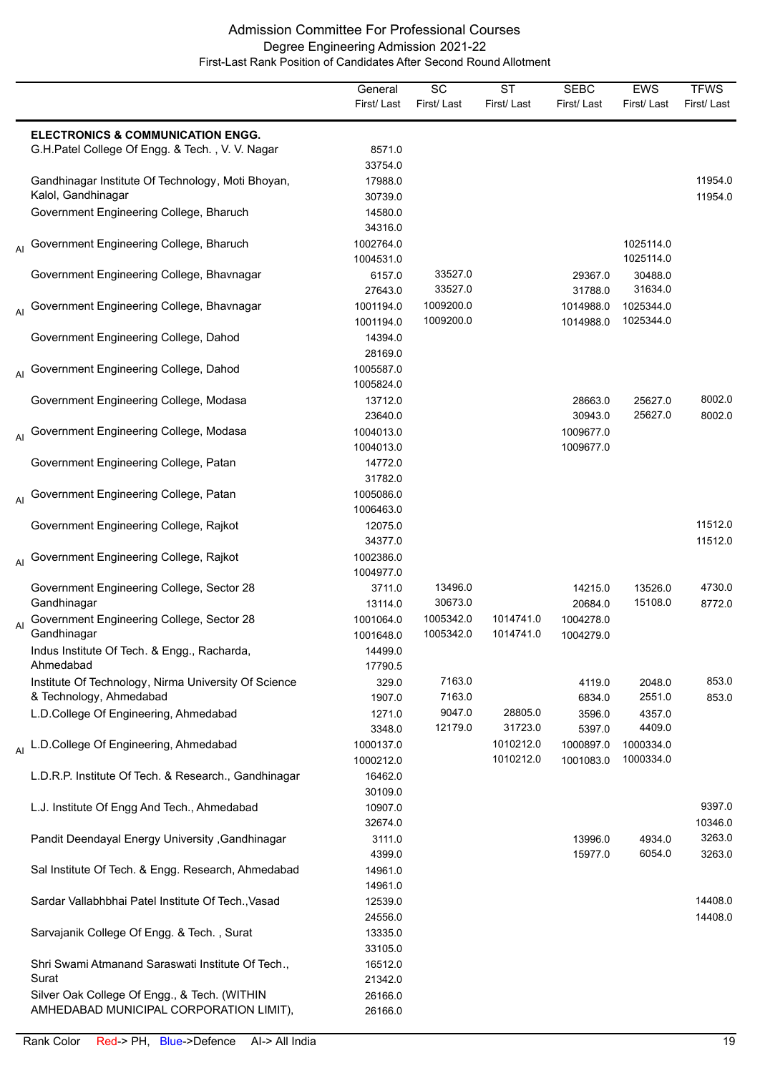|    |                                                                                         | General<br>First/Last  | SC<br>First/Last       | <b>ST</b><br>First/Last | <b>SEBC</b><br>First/Last | <b>EWS</b><br>First/Last | <b>TFWS</b><br>First/Last |
|----|-----------------------------------------------------------------------------------------|------------------------|------------------------|-------------------------|---------------------------|--------------------------|---------------------------|
|    | <b>ELECTRONICS &amp; COMMUNICATION ENGG.</b>                                            |                        |                        |                         |                           |                          |                           |
|    | G.H.Patel College Of Engg. & Tech., V. V. Nagar                                         | 8571.0<br>33754.0      |                        |                         |                           |                          |                           |
|    | Gandhinagar Institute Of Technology, Moti Bhoyan,<br>Kalol, Gandhinagar                 | 17988.0<br>30739.0     |                        |                         |                           |                          | 11954.0<br>11954.0        |
|    | Government Engineering College, Bharuch                                                 | 14580.0<br>34316.0     |                        |                         |                           |                          |                           |
|    | Al Government Engineering College, Bharuch                                              | 1002764.0<br>1004531.0 |                        |                         |                           | 1025114.0<br>1025114.0   |                           |
|    | Government Engineering College, Bhavnagar                                               | 6157.0<br>27643.0      | 33527.0<br>33527.0     |                         | 29367.0<br>31788.0        | 30488.0<br>31634.0       |                           |
|    | <sub>Al</sub> Government Engineering College, Bhavnagar                                 | 1001194.0<br>1001194.0 | 1009200.0<br>1009200.0 |                         | 1014988.0<br>1014988.0    | 1025344.0<br>1025344.0   |                           |
|    | Government Engineering College, Dahod                                                   | 14394.0<br>28169.0     |                        |                         |                           |                          |                           |
|    | Government Engineering College, Dahod                                                   | 1005587.0<br>1005824.0 |                        |                         |                           |                          |                           |
|    | Government Engineering College, Modasa                                                  | 13712.0<br>23640.0     |                        |                         | 28663.0<br>30943.0        | 25627.0<br>25627.0       | 8002.0<br>8002.0          |
|    | <sub>Al</sub> Government Engineering College, Modasa                                    | 1004013.0<br>1004013.0 |                        |                         | 1009677.0<br>1009677.0    |                          |                           |
|    | Government Engineering College, Patan                                                   | 14772.0<br>31782.0     |                        |                         |                           |                          |                           |
|    | Al Government Engineering College, Patan                                                | 1005086.0<br>1006463.0 |                        |                         |                           |                          |                           |
|    | Government Engineering College, Rajkot                                                  | 12075.0<br>34377.0     |                        |                         |                           |                          | 11512.0<br>11512.0        |
|    | Al Government Engineering College, Rajkot                                               | 1002386.0<br>1004977.0 |                        |                         |                           |                          |                           |
|    | Government Engineering College, Sector 28<br>Gandhinagar                                | 3711.0<br>13114.0      | 13496.0<br>30673.0     |                         | 14215.0<br>20684.0        | 13526.0<br>15108.0       | 4730.0<br>8772.0          |
| AI | Government Engineering College, Sector 28<br>Gandhinagar                                | 1001064.0<br>1001648.0 | 1005342.0<br>1005342.0 | 1014741.0<br>1014741.0  | 1004278.0<br>1004279.0    |                          |                           |
|    | Indus Institute Of Tech. & Engg., Racharda,<br>Ahmedabad                                | 14499.0<br>17790.5     |                        |                         |                           |                          |                           |
|    | Institute Of Technology, Nirma University Of Science<br>& Technology, Ahmedabad         | 329.0<br>1907.0        | 7163.0<br>7163.0       |                         | 4119.0<br>6834.0          | 2048.0<br>2551.0         | 853.0<br>853.0            |
|    | L.D.College Of Engineering, Ahmedabad                                                   | 1271.0<br>3348.0       | 9047.0<br>12179.0      | 28805.0<br>31723.0      | 3596.0<br>5397.0          | 4357.0<br>4409.0         |                           |
|    | Al L.D.College Of Engineering, Ahmedabad                                                | 1000137.0<br>1000212.0 |                        | 1010212.0<br>1010212.0  | 1000897.0<br>1001083.0    | 1000334.0<br>1000334.0   |                           |
|    | L.D.R.P. Institute Of Tech. & Research., Gandhinagar                                    | 16462.0<br>30109.0     |                        |                         |                           |                          |                           |
|    | L.J. Institute Of Engg And Tech., Ahmedabad                                             | 10907.0<br>32674.0     |                        |                         |                           |                          | 9397.0<br>10346.0         |
|    | Pandit Deendayal Energy University , Gandhinagar                                        | 3111.0<br>4399.0       |                        |                         | 13996.0<br>15977.0        | 4934.0<br>6054.0         | 3263.0<br>3263.0          |
|    | Sal Institute Of Tech. & Engg. Research, Ahmedabad                                      | 14961.0<br>14961.0     |                        |                         |                           |                          |                           |
|    | Sardar Vallabhbhai Patel Institute Of Tech., Vasad                                      | 12539.0<br>24556.0     |                        |                         |                           |                          | 14408.0<br>14408.0        |
|    | Sarvajanik College Of Engg. & Tech., Surat                                              | 13335.0<br>33105.0     |                        |                         |                           |                          |                           |
|    | Shri Swami Atmanand Saraswati Institute Of Tech.,<br>Surat                              | 16512.0<br>21342.0     |                        |                         |                           |                          |                           |
|    | Silver Oak College Of Engg., & Tech. (WITHIN<br>AMHEDABAD MUNICIPAL CORPORATION LIMIT), | 26166.0<br>26166.0     |                        |                         |                           |                          |                           |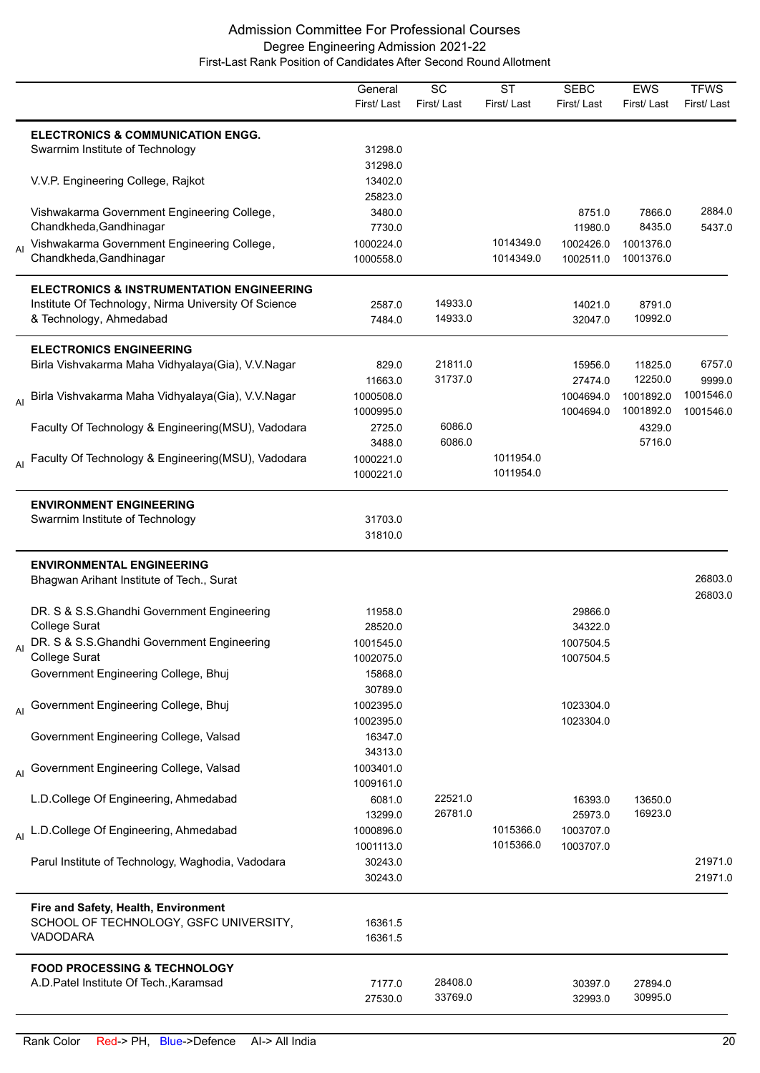|                |                                                      | General<br>First/Last | SC<br>First/Last | <b>ST</b><br>First/Last | <b>SEBC</b><br>First/Last | <b>EWS</b><br>First/Last | <b>TFWS</b><br>First/Last |
|----------------|------------------------------------------------------|-----------------------|------------------|-------------------------|---------------------------|--------------------------|---------------------------|
|                | <b>ELECTRONICS &amp; COMMUNICATION ENGG.</b>         |                       |                  |                         |                           |                          |                           |
|                | Swarrnim Institute of Technology                     | 31298.0               |                  |                         |                           |                          |                           |
|                |                                                      | 31298.0               |                  |                         |                           |                          |                           |
|                | V.V.P. Engineering College, Rajkot                   | 13402.0               |                  |                         |                           |                          |                           |
|                |                                                      | 25823.0               |                  |                         |                           |                          |                           |
|                | Vishwakarma Government Engineering College,          | 3480.0                |                  |                         | 8751.0                    | 7866.0                   | 2884.0                    |
|                | Chandkheda, Gandhinagar                              | 7730.0                |                  |                         | 11980.0                   | 8435.0                   | 5437.0                    |
| AI             | Vishwakarma Government Engineering College,          | 1000224.0             |                  | 1014349.0               | 1002426.0                 | 1001376.0                |                           |
|                | Chandkheda, Gandhinagar                              | 1000558.0             |                  | 1014349.0               | 1002511.0                 | 1001376.0                |                           |
|                | <b>ELECTRONICS &amp; INSTRUMENTATION ENGINEERING</b> |                       |                  |                         |                           |                          |                           |
|                | Institute Of Technology, Nirma University Of Science | 2587.0                | 14933.0          |                         | 14021.0                   | 8791.0                   |                           |
|                | & Technology, Ahmedabad                              | 7484.0                | 14933.0          |                         | 32047.0                   | 10992.0                  |                           |
|                | <b>ELECTRONICS ENGINEERING</b>                       |                       |                  |                         |                           |                          |                           |
|                | Birla Vishvakarma Maha Vidhyalaya(Gia), V.V.Nagar    | 829.0                 | 21811.0          |                         | 15956.0                   | 11825.0                  | 6757.0                    |
|                |                                                      | 11663.0               | 31737.0          |                         | 27474.0                   | 12250.0                  | 9999.0                    |
| $\overline{A}$ | Birla Vishvakarma Maha Vidhyalaya(Gia), V.V.Nagar    | 1000508.0             |                  |                         | 1004694.0                 | 1001892.0                | 1001546.0                 |
|                |                                                      | 1000995.0             |                  |                         | 1004694.0                 | 1001892.0                | 1001546.0                 |
|                | Faculty Of Technology & Engineering(MSU), Vadodara   | 2725.0                | 6086.0           |                         |                           | 4329.0                   |                           |
|                |                                                      | 3488.0                | 6086.0           |                         |                           | 5716.0                   |                           |
| AI             | Faculty Of Technology & Engineering(MSU), Vadodara   | 1000221.0             |                  | 1011954.0               |                           |                          |                           |
|                |                                                      | 1000221.0             |                  | 1011954.0               |                           |                          |                           |
|                | <b>ENVIRONMENT ENGINEERING</b>                       |                       |                  |                         |                           |                          |                           |
|                | Swarrnim Institute of Technology                     | 31703.0               |                  |                         |                           |                          |                           |
|                |                                                      | 31810.0               |                  |                         |                           |                          |                           |
|                | <b>ENVIRONMENTAL ENGINEERING</b>                     |                       |                  |                         |                           |                          |                           |
|                | Bhagwan Arihant Institute of Tech., Surat            |                       |                  |                         |                           |                          | 26803.0<br>26803.0        |
|                | DR. S & S.S. Ghandhi Government Engineering          | 11958.0               |                  |                         | 29866.0                   |                          |                           |
|                | <b>College Surat</b>                                 | 28520.0               |                  |                         | 34322.0                   |                          |                           |
|                | DR. S & S.S.Ghandhi Government Engineering           | 1001545.0             |                  |                         | 1007504.5                 |                          |                           |
|                | College Surat                                        | 1002075.0             |                  |                         | 1007504.5                 |                          |                           |
|                | Government Engineering College, Bhuj                 | 15868.0               |                  |                         |                           |                          |                           |
|                |                                                      | 30789.0               |                  |                         |                           |                          |                           |
|                | Al Government Engineering College, Bhuj              | 1002395.0             |                  |                         | 1023304.0                 |                          |                           |
|                |                                                      | 1002395.0             |                  |                         | 1023304.0                 |                          |                           |
|                | Government Engineering College, Valsad               | 16347.0               |                  |                         |                           |                          |                           |
|                |                                                      | 34313.0               |                  |                         |                           |                          |                           |
|                | <sub>Al</sub> Government Engineering College, Valsad | 1003401.0             |                  |                         |                           |                          |                           |
|                |                                                      | 1009161.0             |                  |                         |                           |                          |                           |
|                | L.D.College Of Engineering, Ahmedabad                | 6081.0                | 22521.0          |                         | 16393.0                   | 13650.0                  |                           |
|                |                                                      | 13299.0               | 26781.0          |                         | 25973.0                   | 16923.0                  |                           |
|                |                                                      | 1000896.0             |                  | 1015366.0               | 1003707.0                 |                          |                           |
|                | Al L.D.College Of Engineering, Ahmedabad             | 1001113.0             |                  | 1015366.0               | 1003707.0                 |                          |                           |
|                |                                                      |                       |                  |                         |                           |                          | 21971.0                   |
|                | Parul Institute of Technology, Waghodia, Vadodara    | 30243.0<br>30243.0    |                  |                         |                           |                          | 21971.0                   |
|                | Fire and Safety, Health, Environment                 |                       |                  |                         |                           |                          |                           |
|                | SCHOOL OF TECHNOLOGY, GSFC UNIVERSITY,               | 16361.5               |                  |                         |                           |                          |                           |
|                | VADODARA                                             | 16361.5               |                  |                         |                           |                          |                           |
|                |                                                      |                       |                  |                         |                           |                          |                           |
|                | <b>FOOD PROCESSING &amp; TECHNOLOGY</b>              |                       | 28408.0          |                         |                           |                          |                           |
|                | A.D. Patel Institute Of Tech., Karamsad              | 7177.0                | 33769.0          |                         | 30397.0                   | 27894.0<br>30995.0       |                           |
|                |                                                      | 27530.0               |                  |                         | 32993.0                   |                          |                           |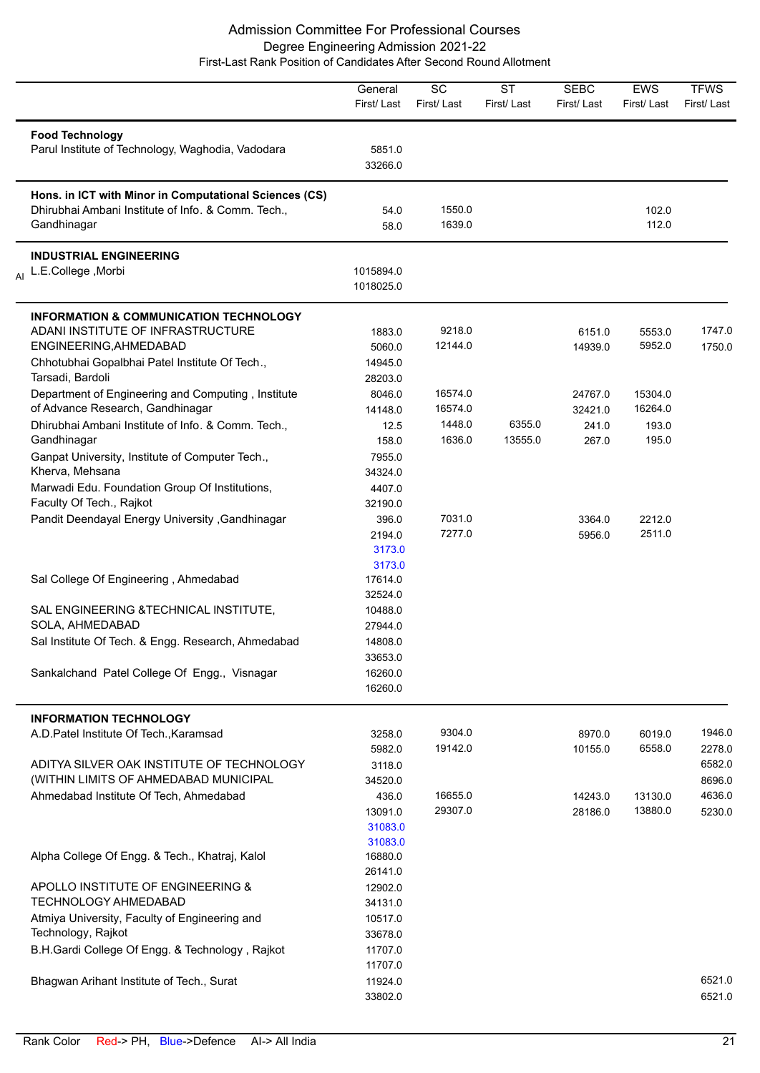|                                                                                                                                                                                                                | General<br>First/Last                                   | SC<br>First/Last                       | <b>ST</b><br>First/Last | <b>SEBC</b><br>First/Last            | <b>EWS</b><br>First/Last             | <b>TFWS</b><br>First/Last            |
|----------------------------------------------------------------------------------------------------------------------------------------------------------------------------------------------------------------|---------------------------------------------------------|----------------------------------------|-------------------------|--------------------------------------|--------------------------------------|--------------------------------------|
| <b>Food Technology</b><br>Parul Institute of Technology, Waghodia, Vadodara                                                                                                                                    | 5851.0<br>33266.0                                       |                                        |                         |                                      |                                      |                                      |
| Hons. in ICT with Minor in Computational Sciences (CS)<br>Dhirubhai Ambani Institute of Info. & Comm. Tech.,<br>Gandhinagar                                                                                    | 54.0<br>58.0                                            | 1550.0<br>1639.0                       |                         |                                      | 102.0<br>112.0                       |                                      |
| <b>INDUSTRIAL ENGINEERING</b><br>Al L.E.College, Morbi                                                                                                                                                         | 1015894.0<br>1018025.0                                  |                                        |                         |                                      |                                      |                                      |
| <b>INFORMATION &amp; COMMUNICATION TECHNOLOGY</b><br>ADANI INSTITUTE OF INFRASTRUCTURE<br>ENGINEERING, AHMEDABAD<br>Chhotubhai Gopalbhai Patel Institute Of Tech.,<br>Tarsadi, Bardoli                         | 1883.0<br>5060.0<br>14945.0                             | 9218.0<br>12144.0                      |                         | 6151.0<br>14939.0                    | 5553.0<br>5952.0                     | 1747.0<br>1750.0                     |
| Department of Engineering and Computing, Institute<br>of Advance Research, Gandhinagar<br>Dhirubhai Ambani Institute of Info. & Comm. Tech.,<br>Gandhinagar<br>Ganpat University, Institute of Computer Tech., | 28203.0<br>8046.0<br>14148.0<br>12.5<br>158.0<br>7955.0 | 16574.0<br>16574.0<br>1448.0<br>1636.0 | 6355.0<br>13555.0       | 24767.0<br>32421.0<br>241.0<br>267.0 | 15304.0<br>16264.0<br>193.0<br>195.0 |                                      |
| Kherva, Mehsana<br>Marwadi Edu. Foundation Group Of Institutions,<br>Faculty Of Tech., Rajkot<br>Pandit Deendayal Energy University , Gandhinagar                                                              | 34324.0<br>4407.0<br>32190.0<br>396.0                   | 7031.0                                 |                         | 3364.0                               | 2212.0                               |                                      |
| Sal College Of Engineering, Ahmedabad                                                                                                                                                                          | 2194.0<br>3173.0<br>3173.0<br>17614.0<br>32524.0        | 7277.0                                 |                         | 5956.0                               | 2511.0                               |                                      |
| SAL ENGINEERING & TECHNICAL INSTITUTE,<br>SOLA, AHMEDABAD<br>Sal Institute Of Tech. & Engg. Research, Ahmedabad                                                                                                | 10488.0<br>27944.0<br>14808.0                           |                                        |                         |                                      |                                      |                                      |
| Sankalchand Patel College Of Engg., Visnagar                                                                                                                                                                   | 33653.0<br>16260.0<br>16260.0                           |                                        |                         |                                      |                                      |                                      |
| <b>INFORMATION TECHNOLOGY</b><br>A.D.Patel Institute Of Tech., Karamsad                                                                                                                                        | 3258.0<br>5982.0                                        | 9304.0<br>19142.0                      |                         | 8970.0<br>10155.0                    | 6019.0<br>6558.0                     | 1946.0<br>2278.0                     |
| ADITYA SILVER OAK INSTITUTE OF TECHNOLOGY<br>(WITHIN LIMITS OF AHMEDABAD MUNICIPAL<br>Ahmedabad Institute Of Tech, Ahmedabad                                                                                   | 3118.0<br>34520.0<br>436.0<br>13091.0<br>31083.0        | 16655.0<br>29307.0                     |                         | 14243.0<br>28186.0                   | 13130.0<br>13880.0                   | 6582.0<br>8696.0<br>4636.0<br>5230.0 |
| Alpha College Of Engg. & Tech., Khatraj, Kalol                                                                                                                                                                 | 31083.0<br>16880.0<br>26141.0                           |                                        |                         |                                      |                                      |                                      |
| APOLLO INSTITUTE OF ENGINEERING &<br>TECHNOLOGY AHMEDABAD                                                                                                                                                      | 12902.0<br>34131.0                                      |                                        |                         |                                      |                                      |                                      |
| Atmiya University, Faculty of Engineering and<br>Technology, Rajkot<br>B.H.Gardi College Of Engg. & Technology, Rajkot                                                                                         | 10517.0<br>33678.0<br>11707.0                           |                                        |                         |                                      |                                      |                                      |
| Bhagwan Arihant Institute of Tech., Surat                                                                                                                                                                      | 11707.0<br>11924.0<br>33802.0                           |                                        |                         |                                      |                                      | 6521.0<br>6521.0                     |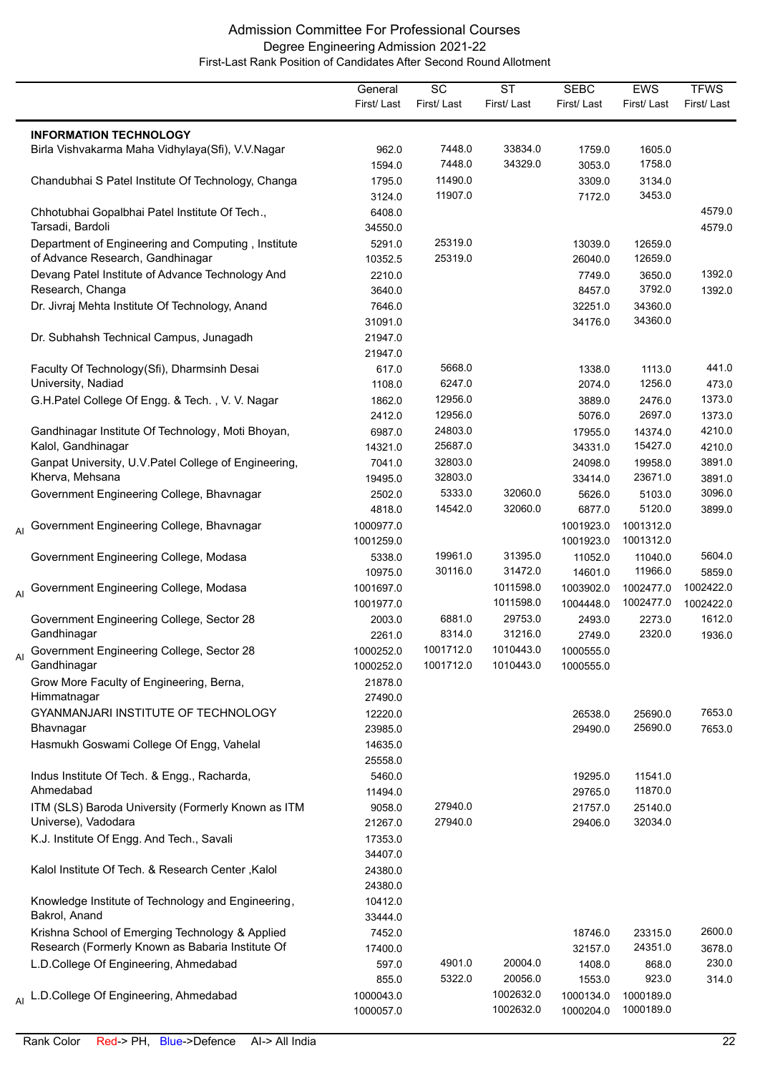|    |                                                                                   | General                | $\overline{SC}$ | $\overline{\text{ST}}$ | <b>SEBC</b>            | EWS                    | <b>TFWS</b> |
|----|-----------------------------------------------------------------------------------|------------------------|-----------------|------------------------|------------------------|------------------------|-------------|
|    |                                                                                   | First/Last             | First/Last      | First/Last             | First/Last             | First/Last             | First/Last  |
|    |                                                                                   |                        |                 |                        |                        |                        |             |
|    | <b>INFORMATION TECHNOLOGY</b><br>Birla Vishvakarma Maha Vidhylaya(Sfi), V.V.Nagar | 962.0                  | 7448.0          | 33834.0                | 1759.0                 | 1605.0                 |             |
|    |                                                                                   | 1594.0                 | 7448.0          | 34329.0                | 3053.0                 | 1758.0                 |             |
|    |                                                                                   | 1795.0                 | 11490.0         |                        | 3309.0                 | 3134.0                 |             |
|    | Chandubhai S Patel Institute Of Technology, Changa                                |                        | 11907.0         |                        |                        | 3453.0                 |             |
|    |                                                                                   | 3124.0                 |                 |                        | 7172.0                 |                        | 4579.0      |
|    | Chhotubhai Gopalbhai Patel Institute Of Tech.,<br>Tarsadi, Bardoli                | 6408.0                 |                 |                        |                        |                        |             |
|    |                                                                                   | 34550.0                | 25319.0         |                        |                        |                        | 4579.0      |
|    | Department of Engineering and Computing, Institute                                | 5291.0                 | 25319.0         |                        | 13039.0                | 12659.0<br>12659.0     |             |
|    | of Advance Research, Gandhinagar                                                  | 10352.5                |                 |                        | 26040.0                |                        |             |
|    | Devang Patel Institute of Advance Technology And                                  | 2210.0                 |                 |                        | 7749.0                 | 3650.0                 | 1392.0      |
|    | Research, Changa                                                                  | 3640.0                 |                 |                        | 8457.0                 | 3792.0                 | 1392.0      |
|    | Dr. Jivraj Mehta Institute Of Technology, Anand                                   | 7646.0                 |                 |                        | 32251.0                | 34360.0                |             |
|    |                                                                                   | 31091.0                |                 |                        | 34176.0                | 34360.0                |             |
|    | Dr. Subhahsh Technical Campus, Junagadh                                           | 21947.0                |                 |                        |                        |                        |             |
|    |                                                                                   | 21947.0                |                 |                        |                        |                        |             |
|    | Faculty Of Technology(Sfi), Dharmsinh Desai                                       | 617.0                  | 5668.0          |                        | 1338.0                 | 1113.0                 | 441.0       |
|    | University, Nadiad                                                                | 1108.0                 | 6247.0          |                        | 2074.0                 | 1256.0                 | 473.0       |
|    | G.H.Patel College Of Engg. & Tech., V. V. Nagar                                   | 1862.0                 | 12956.0         |                        | 3889.0                 | 2476.0                 | 1373.0      |
|    |                                                                                   | 2412.0                 | 12956.0         |                        | 5076.0                 | 2697.0                 | 1373.0      |
|    | Gandhinagar Institute Of Technology, Moti Bhoyan,                                 | 6987.0                 | 24803.0         |                        | 17955.0                | 14374.0                | 4210.0      |
|    | Kalol, Gandhinagar                                                                | 14321.0                | 25687.0         |                        | 34331.0                | 15427.0                | 4210.0      |
|    | Ganpat University, U.V. Patel College of Engineering,                             | 7041.0                 | 32803.0         |                        | 24098.0                | 19958.0                | 3891.0      |
|    | Kherva, Mehsana                                                                   | 19495.0                | 32803.0         |                        | 33414.0                | 23671.0                | 3891.0      |
|    | Government Engineering College, Bhavnagar                                         | 2502.0                 | 5333.0          | 32060.0                | 5626.0                 | 5103.0                 | 3096.0      |
|    |                                                                                   | 4818.0                 | 14542.0         | 32060.0                | 6877.0                 | 5120.0                 | 3899.0      |
| AI | Government Engineering College, Bhavnagar                                         | 1000977.0<br>1001259.0 |                 |                        | 1001923.0<br>1001923.0 | 1001312.0<br>1001312.0 |             |
|    | Government Engineering College, Modasa                                            | 5338.0                 | 19961.0         | 31395.0                | 11052.0                | 11040.0                | 5604.0      |
|    |                                                                                   | 10975.0                | 30116.0         | 31472.0                | 14601.0                | 11966.0                | 5859.0      |
|    | Al Government Engineering College, Modasa                                         | 1001697.0              |                 | 1011598.0              | 1003902.0              | 1002477.0              | 1002422.0   |
|    |                                                                                   | 1001977.0              |                 | 1011598.0              | 1004448.0              | 1002477.0              | 1002422.0   |
|    | Government Engineering College, Sector 28                                         | 2003.0                 | 6881.0          | 29753.0                | 2493.0                 | 2273.0                 | 1612.0      |
|    | Gandhinagar                                                                       | 2261.0                 | 8314.0          | 31216.0                | 2749.0                 | 2320.0                 | 1936.0      |
|    | Government Engineering College, Sector 28                                         | 1000252.0              | 1001712.0       | 1010443.0              | 1000555.0              |                        |             |
|    | Gandhinagar                                                                       | 1000252.0              | 1001712.0       | 1010443.0              | 1000555.0              |                        |             |
|    | Grow More Faculty of Engineering, Berna,                                          | 21878.0                |                 |                        |                        |                        |             |
|    | Himmatnagar                                                                       | 27490.0                |                 |                        |                        |                        |             |
|    | GYANMANJARI INSTITUTE OF TECHNOLOGY                                               | 12220.0                |                 |                        | 26538.0                | 25690.0                | 7653.0      |
|    | Bhavnagar                                                                         | 23985.0                |                 |                        | 29490.0                | 25690.0                | 7653.0      |
|    | Hasmukh Goswami College Of Engg, Vahelal                                          | 14635.0                |                 |                        |                        |                        |             |
|    |                                                                                   | 25558.0                |                 |                        |                        |                        |             |
|    | Indus Institute Of Tech. & Engg., Racharda,                                       | 5460.0                 |                 |                        | 19295.0                | 11541.0                |             |
|    | Ahmedabad                                                                         | 11494.0                |                 |                        | 29765.0                | 11870.0                |             |
|    | ITM (SLS) Baroda University (Formerly Known as ITM                                | 9058.0                 | 27940.0         |                        | 21757.0                | 25140.0                |             |
|    | Universe), Vadodara                                                               | 21267.0                | 27940.0         |                        | 29406.0                | 32034.0                |             |
|    | K.J. Institute Of Engg. And Tech., Savali                                         | 17353.0                |                 |                        |                        |                        |             |
|    |                                                                                   | 34407.0                |                 |                        |                        |                        |             |
|    | Kalol Institute Of Tech. & Research Center, Kalol                                 | 24380.0                |                 |                        |                        |                        |             |
|    |                                                                                   | 24380.0                |                 |                        |                        |                        |             |
|    | Knowledge Institute of Technology and Engineering,                                | 10412.0                |                 |                        |                        |                        |             |
|    | Bakrol, Anand                                                                     | 33444.0                |                 |                        |                        |                        |             |
|    | Krishna School of Emerging Technology & Applied                                   | 7452.0                 |                 |                        | 18746.0                | 23315.0                | 2600.0      |
|    | Research (Formerly Known as Babaria Institute Of                                  | 17400.0                |                 |                        | 32157.0                | 24351.0                | 3678.0      |
|    | L.D.College Of Engineering, Ahmedabad                                             | 597.0                  | 4901.0          | 20004.0                | 1408.0                 | 868.0                  | 230.0       |
|    |                                                                                   | 855.0                  | 5322.0          | 20056.0                | 1553.0                 | 923.0                  | 314.0       |
|    | L.D.College Of Engineering, Ahmedabad                                             | 1000043.0              |                 | 1002632.0              | 1000134.0              | 1000189.0              |             |
|    |                                                                                   | 1000057.0              |                 | 1002632.0              | 1000204.0              | 1000189.0              |             |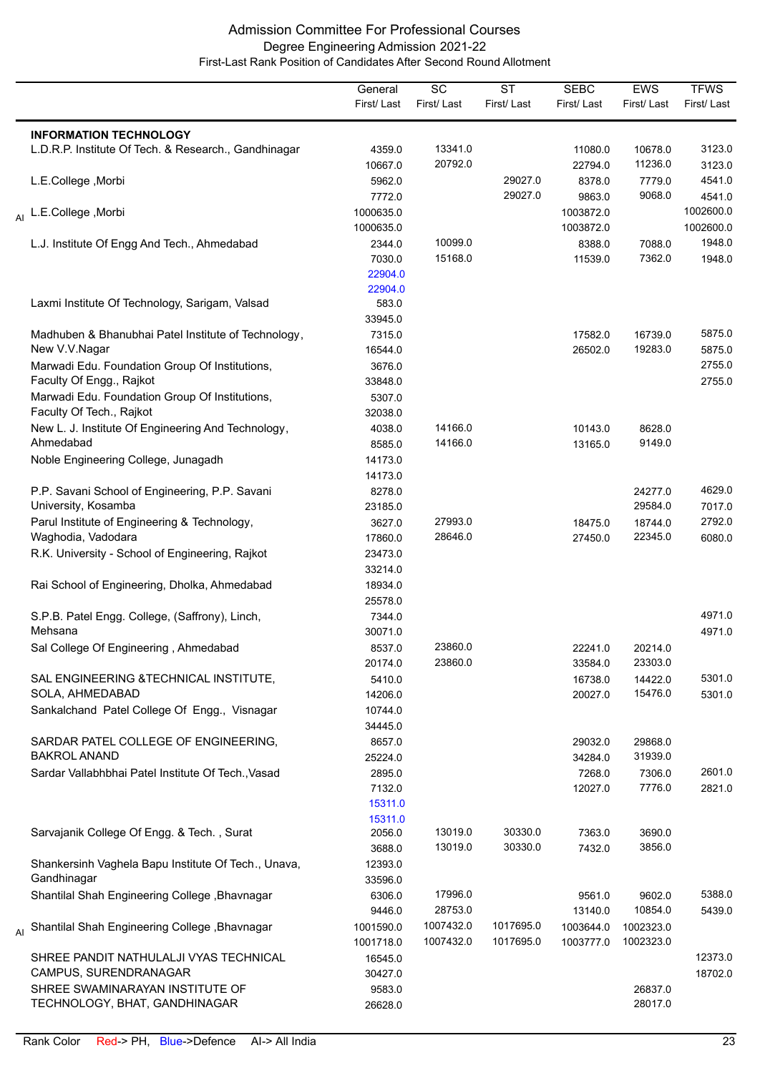|                                                                 | General<br>First/Last | $\overline{SC}$<br>First/Last | $\overline{\text{ST}}$<br>First/Last | <b>SEBC</b><br>First/Last | <b>EWS</b><br>First/Last | <b>TFWS</b><br>First/Last |
|-----------------------------------------------------------------|-----------------------|-------------------------------|--------------------------------------|---------------------------|--------------------------|---------------------------|
| <b>INFORMATION TECHNOLOGY</b>                                   |                       |                               |                                      |                           |                          |                           |
| L.D.R.P. Institute Of Tech. & Research., Gandhinagar            | 4359.0                | 13341.0                       |                                      | 11080.0                   | 10678.0                  | 3123.0                    |
|                                                                 | 10667.0               | 20792.0                       |                                      | 22794.0                   | 11236.0                  | 3123.0                    |
| L.E.College, Morbi                                              | 5962.0                |                               | 29027.0                              | 8378.0                    | 7779.0                   | 4541.0                    |
|                                                                 | 7772.0                |                               | 29027.0                              | 9863.0                    | 9068.0                   | 4541.0                    |
| L.E.College, Morbi                                              | 1000635.0             |                               |                                      | 1003872.0                 |                          | 1002600.0                 |
|                                                                 | 1000635.0             |                               |                                      | 1003872.0                 |                          | 1002600.0                 |
| L.J. Institute Of Engg And Tech., Ahmedabad                     | 2344.0                | 10099.0                       |                                      | 8388.0                    | 7088.0                   | 1948.0                    |
|                                                                 | 7030.0                | 15168.0                       |                                      | 11539.0                   | 7362.0                   | 1948.0                    |
|                                                                 | 22904.0               |                               |                                      |                           |                          |                           |
|                                                                 | 22904.0               |                               |                                      |                           |                          |                           |
| Laxmi Institute Of Technology, Sarigam, Valsad                  | 583.0                 |                               |                                      |                           |                          |                           |
|                                                                 | 33945.0               |                               |                                      |                           |                          |                           |
| Madhuben & Bhanubhai Patel Institute of Technology,             | 7315.0                |                               |                                      | 17582.0                   | 16739.0                  | 5875.0                    |
| New V.V.Nagar                                                   | 16544.0               |                               |                                      | 26502.0                   | 19283.0                  | 5875.0                    |
| Marwadi Edu. Foundation Group Of Institutions,                  | 3676.0                |                               |                                      |                           |                          | 2755.0                    |
| Faculty Of Engg., Rajkot                                        | 33848.0               |                               |                                      |                           |                          | 2755.0                    |
| Marwadi Edu. Foundation Group Of Institutions,                  | 5307.0                |                               |                                      |                           |                          |                           |
| Faculty Of Tech., Rajkot                                        | 32038.0               |                               |                                      |                           |                          |                           |
| New L. J. Institute Of Engineering And Technology,              | 4038.0                | 14166.0                       |                                      | 10143.0                   | 8628.0                   |                           |
| Ahmedabad                                                       | 8585.0                | 14166.0                       |                                      | 13165.0                   | 9149.0                   |                           |
| Noble Engineering College, Junagadh                             | 14173.0               |                               |                                      |                           |                          |                           |
|                                                                 | 14173.0               |                               |                                      |                           |                          |                           |
| P.P. Savani School of Engineering, P.P. Savani                  | 8278.0                |                               |                                      |                           | 24277.0                  | 4629.0                    |
| University, Kosamba                                             | 23185.0               |                               |                                      |                           | 29584.0                  | 7017.0                    |
| Parul Institute of Engineering & Technology,                    | 3627.0                | 27993.0                       |                                      | 18475.0                   | 18744.0                  | 2792.0                    |
| Waghodia, Vadodara                                              | 17860.0               | 28646.0                       |                                      | 27450.0                   | 22345.0                  | 6080.0                    |
| R.K. University - School of Engineering, Rajkot                 | 23473.0               |                               |                                      |                           |                          |                           |
|                                                                 | 33214.0               |                               |                                      |                           |                          |                           |
| Rai School of Engineering, Dholka, Ahmedabad                    | 18934.0               |                               |                                      |                           |                          |                           |
|                                                                 | 25578.0               |                               |                                      |                           |                          |                           |
| S.P.B. Patel Engg. College, (Saffrony), Linch,                  | 7344.0                |                               |                                      |                           |                          | 4971.0                    |
| Mehsana                                                         | 30071.0               |                               |                                      |                           |                          | 4971.0                    |
| Sal College Of Engineering, Ahmedabad                           | 8537.0                | 23860.0                       |                                      | 22241.0                   | 20214.0                  |                           |
|                                                                 | 20174.0               | 23860.0                       |                                      | 33584.0                   | 23303.0                  |                           |
| SAL ENGINEERING & TECHNICAL INSTITUTE,                          | 5410.0                |                               |                                      | 16738.0                   | 14422.0                  | 5301.0                    |
| SOLA, AHMEDABAD                                                 | 14206.0               |                               |                                      | 20027.0                   | 15476.0                  | 5301.0                    |
| Sankalchand Patel College Of Engg., Visnagar                    | 10744.0               |                               |                                      |                           |                          |                           |
|                                                                 | 34445.0               |                               |                                      |                           |                          |                           |
| SARDAR PATEL COLLEGE OF ENGINEERING,                            | 8657.0                |                               |                                      | 29032.0                   | 29868.0                  |                           |
| <b>BAKROL ANAND</b>                                             | 25224.0               |                               |                                      | 34284.0                   | 31939.0                  |                           |
| Sardar Vallabhbhai Patel Institute Of Tech., Vasad              | 2895.0                |                               |                                      | 7268.0                    | 7306.0                   | 2601.0                    |
|                                                                 | 7132.0                |                               |                                      | 12027.0                   | 7776.0                   | 2821.0                    |
|                                                                 | 15311.0               |                               |                                      |                           |                          |                           |
|                                                                 | 15311.0               |                               |                                      |                           |                          |                           |
| Sarvajanik College Of Engg. & Tech., Surat                      | 2056.0                | 13019.0                       | 30330.0                              | 7363.0                    | 3690.0                   |                           |
|                                                                 | 3688.0                | 13019.0                       | 30330.0                              | 7432.0                    | 3856.0                   |                           |
| Shankersinh Vaghela Bapu Institute Of Tech., Unava,             | 12393.0               |                               |                                      |                           |                          |                           |
| Gandhinagar                                                     | 33596.0               |                               |                                      |                           |                          |                           |
| Shantilal Shah Engineering College, Bhavnagar                   | 6306.0                | 17996.0                       |                                      | 9561.0                    | 9602.0                   | 5388.0                    |
|                                                                 | 9446.0                | 28753.0                       |                                      | 13140.0                   | 10854.0                  | 5439.0                    |
| Shantilal Shah Engineering College, Bhavnagar                   | 1001590.0             | 1007432.0<br>1007432.0        | 1017695.0<br>1017695.0               | 1003644.0                 | 1002323.0                |                           |
|                                                                 | 1001718.0             |                               |                                      | 1003777.0                 | 1002323.0                |                           |
| SHREE PANDIT NATHULALJI VYAS TECHNICAL<br>CAMPUS, SURENDRANAGAR | 16545.0               |                               |                                      |                           |                          | 12373.0                   |
| SHREE SWAMINARAYAN INSTITUTE OF                                 | 30427.0               |                               |                                      |                           |                          | 18702.0                   |
| TECHNOLOGY, BHAT, GANDHINAGAR                                   | 9583.0<br>26628.0     |                               |                                      |                           | 26837.0<br>28017.0       |                           |
|                                                                 |                       |                               |                                      |                           |                          |                           |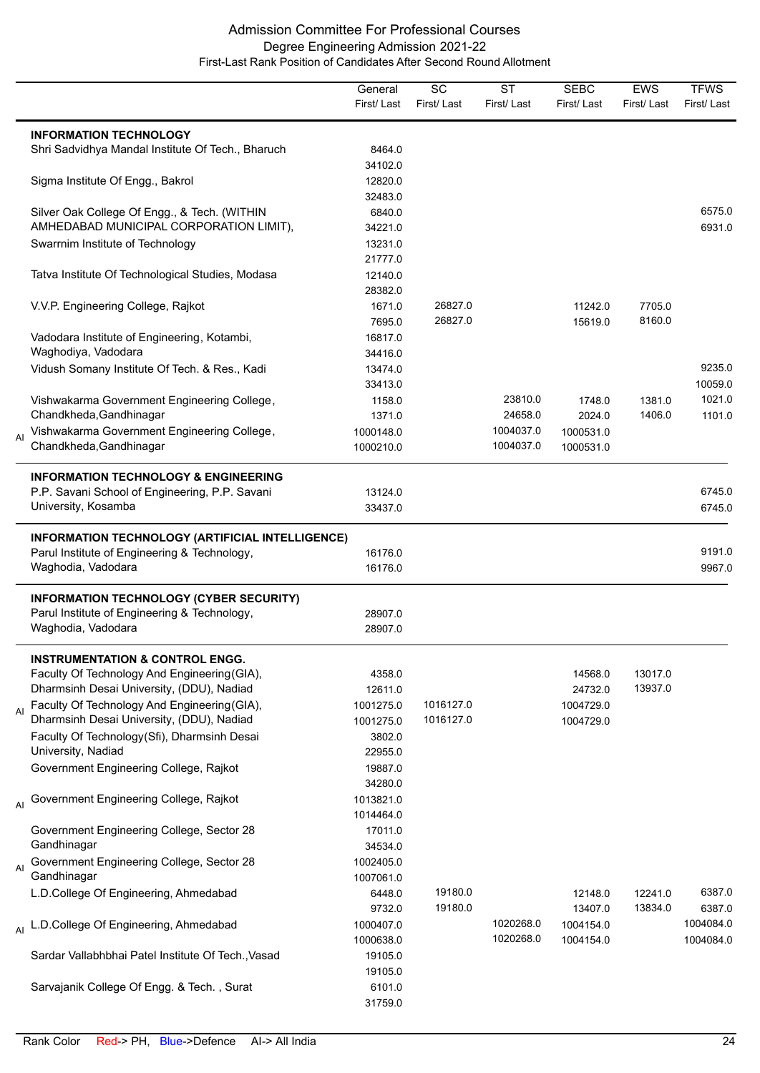|    |                                                                                                                                         | General<br>First/Last  | SC<br>First/Last       | <b>ST</b><br>First/Last | <b>SEBC</b><br>First/Last | <b>EWS</b><br>First/Last | <b>TFWS</b><br>First/Last |
|----|-----------------------------------------------------------------------------------------------------------------------------------------|------------------------|------------------------|-------------------------|---------------------------|--------------------------|---------------------------|
|    | <b>INFORMATION TECHNOLOGY</b><br>Shri Sadvidhya Mandal Institute Of Tech., Bharuch                                                      | 8464.0<br>34102.0      |                        |                         |                           |                          |                           |
|    | Sigma Institute Of Engg., Bakrol                                                                                                        | 12820.0<br>32483.0     |                        |                         |                           |                          |                           |
|    | Silver Oak College Of Engg., & Tech. (WITHIN<br>AMHEDABAD MUNICIPAL CORPORATION LIMIT),                                                 | 6840.0<br>34221.0      |                        |                         |                           |                          | 6575.0<br>6931.0          |
|    | Swarrnim Institute of Technology                                                                                                        | 13231.0<br>21777.0     |                        |                         |                           |                          |                           |
|    | Tatva Institute Of Technological Studies, Modasa                                                                                        | 12140.0<br>28382.0     |                        |                         |                           |                          |                           |
|    | V.V.P. Engineering College, Rajkot                                                                                                      | 1671.0<br>7695.0       | 26827.0<br>26827.0     |                         | 11242.0<br>15619.0        | 7705.0<br>8160.0         |                           |
|    | Vadodara Institute of Engineering, Kotambi,<br>Waghodiya, Vadodara                                                                      | 16817.0<br>34416.0     |                        |                         |                           |                          |                           |
|    | Vidush Somany Institute Of Tech. & Res., Kadi                                                                                           | 13474.0<br>33413.0     |                        |                         |                           |                          | 9235.0<br>10059.0         |
|    | Vishwakarma Government Engineering College,<br>Chandkheda, Gandhinagar                                                                  | 1158.0<br>1371.0       |                        | 23810.0<br>24658.0      | 1748.0<br>2024.0          | 1381.0<br>1406.0         | 1021.0<br>1101.0          |
| AI | Vishwakarma Government Engineering College,<br>Chandkheda, Gandhinagar                                                                  | 1000148.0<br>1000210.0 |                        | 1004037.0<br>1004037.0  | 1000531.0<br>1000531.0    |                          |                           |
|    | <b>INFORMATION TECHNOLOGY &amp; ENGINEERING</b><br>P.P. Savani School of Engineering, P.P. Savani<br>University, Kosamba                | 13124.0<br>33437.0     |                        |                         |                           |                          | 6745.0<br>6745.0          |
|    | INFORMATION TECHNOLOGY (ARTIFICIAL INTELLIGENCE)                                                                                        |                        |                        |                         |                           |                          |                           |
|    | Parul Institute of Engineering & Technology,<br>Waghodia, Vadodara                                                                      | 16176.0<br>16176.0     |                        |                         |                           |                          | 9191.0<br>9967.0          |
|    | <b>INFORMATION TECHNOLOGY (CYBER SECURITY)</b><br>Parul Institute of Engineering & Technology,<br>Waghodia, Vadodara                    | 28907.0<br>28907.0     |                        |                         |                           |                          |                           |
|    | <b>INSTRUMENTATION &amp; CONTROL ENGG.</b><br>Faculty Of Technology And Engineering (GIA),<br>Dharmsinh Desai University, (DDU), Nadiad | 4358.0<br>12611.0      |                        |                         | 14568.0<br>24732.0        | 13017.0<br>13937.0       |                           |
| AI | Faculty Of Technology And Engineering (GIA),<br>Dharmsinh Desai University, (DDU), Nadiad                                               | 1001275.0<br>1001275.0 | 1016127.0<br>1016127.0 |                         | 1004729.0<br>1004729.0    |                          |                           |
|    | Faculty Of Technology(Sfi), Dharmsinh Desai<br>University, Nadiad                                                                       | 3802.0<br>22955.0      |                        |                         |                           |                          |                           |
|    | Government Engineering College, Rajkot                                                                                                  | 19887.0<br>34280.0     |                        |                         |                           |                          |                           |
|    | Al Government Engineering College, Rajkot                                                                                               | 1013821.0<br>1014464.0 |                        |                         |                           |                          |                           |
|    | Government Engineering College, Sector 28<br>Gandhinagar                                                                                | 17011.0<br>34534.0     |                        |                         |                           |                          |                           |
| AI | Government Engineering College, Sector 28<br>Gandhinagar                                                                                | 1002405.0<br>1007061.0 |                        |                         |                           |                          |                           |
|    | L.D.College Of Engineering, Ahmedabad                                                                                                   | 6448.0<br>9732.0       | 19180.0<br>19180.0     |                         | 12148.0<br>13407.0        | 12241.0<br>13834.0       | 6387.0<br>6387.0          |
|    | Al L.D.College Of Engineering, Ahmedabad                                                                                                | 1000407.0<br>1000638.0 |                        | 1020268.0<br>1020268.0  | 1004154.0<br>1004154.0    |                          | 1004084.0<br>1004084.0    |
|    | Sardar Vallabhbhai Patel Institute Of Tech., Vasad                                                                                      | 19105.0<br>19105.0     |                        |                         |                           |                          |                           |
|    | Sarvajanik College Of Engg. & Tech., Surat                                                                                              | 6101.0<br>31759.0      |                        |                         |                           |                          |                           |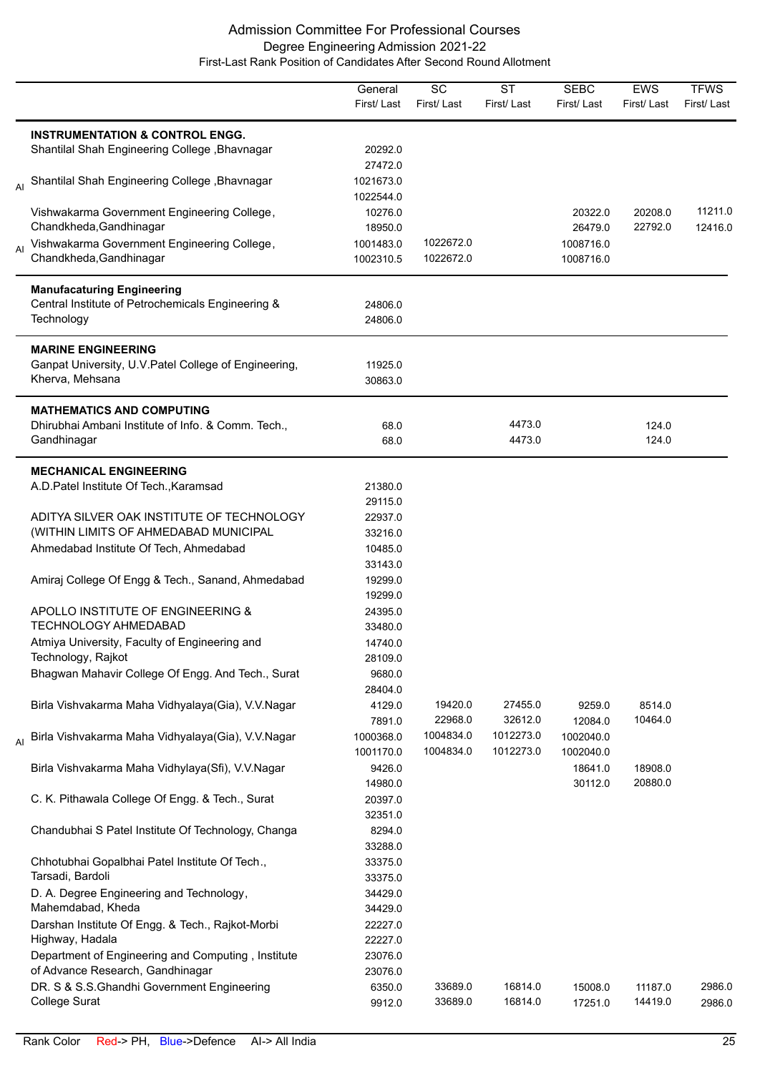|    |                                                                                | General<br>First/Last | SC<br>First/Last | <b>ST</b><br>First/Last | <b>SEBC</b><br>First/Last | <b>EWS</b><br>First/Last | <b>TFWS</b><br>First/Last |
|----|--------------------------------------------------------------------------------|-----------------------|------------------|-------------------------|---------------------------|--------------------------|---------------------------|
|    | <b>INSTRUMENTATION &amp; CONTROL ENGG.</b>                                     |                       |                  |                         |                           |                          |                           |
|    | Shantilal Shah Engineering College, Bhavnagar                                  | 20292.0               |                  |                         |                           |                          |                           |
|    |                                                                                | 27472.0               |                  |                         |                           |                          |                           |
| AI | Shantilal Shah Engineering College, Bhavnagar                                  | 1021673.0             |                  |                         |                           |                          |                           |
|    |                                                                                | 1022544.0             |                  |                         |                           |                          |                           |
|    | Vishwakarma Government Engineering College,<br>Chandkheda, Gandhinagar         | 10276.0<br>18950.0    |                  |                         | 20322.0<br>26479.0        | 20208.0<br>22792.0       | 11211.0<br>12416.0        |
|    | Vishwakarma Government Engineering College,                                    | 1001483.0             | 1022672.0        |                         | 1008716.0                 |                          |                           |
|    | Chandkheda, Gandhinagar                                                        | 1002310.5             | 1022672.0        |                         | 1008716.0                 |                          |                           |
|    | <b>Manufacaturing Engineering</b>                                              |                       |                  |                         |                           |                          |                           |
|    | Central Institute of Petrochemicals Engineering &                              | 24806.0               |                  |                         |                           |                          |                           |
|    | Technology                                                                     | 24806.0               |                  |                         |                           |                          |                           |
|    | <b>MARINE ENGINEERING</b>                                                      |                       |                  |                         |                           |                          |                           |
|    | Ganpat University, U.V. Patel College of Engineering,                          | 11925.0               |                  |                         |                           |                          |                           |
|    | Kherva, Mehsana                                                                | 30863.0               |                  |                         |                           |                          |                           |
|    | <b>MATHEMATICS AND COMPUTING</b>                                               |                       |                  |                         |                           |                          |                           |
|    | Dhirubhai Ambani Institute of Info. & Comm. Tech.,                             | 68.0                  |                  | 4473.0                  |                           | 124.0                    |                           |
|    | Gandhinagar                                                                    | 68.0                  |                  | 4473.0                  |                           | 124.0                    |                           |
|    | <b>MECHANICAL ENGINEERING</b>                                                  |                       |                  |                         |                           |                          |                           |
|    | A.D. Patel Institute Of Tech., Karamsad                                        | 21380.0               |                  |                         |                           |                          |                           |
|    |                                                                                | 29115.0               |                  |                         |                           |                          |                           |
|    | ADITYA SILVER OAK INSTITUTE OF TECHNOLOGY                                      | 22937.0               |                  |                         |                           |                          |                           |
|    | (WITHIN LIMITS OF AHMEDABAD MUNICIPAL                                          | 33216.0               |                  |                         |                           |                          |                           |
|    | Ahmedabad Institute Of Tech, Ahmedabad                                         | 10485.0               |                  |                         |                           |                          |                           |
|    | Amiraj College Of Engg & Tech., Sanand, Ahmedabad                              | 33143.0<br>19299.0    |                  |                         |                           |                          |                           |
|    |                                                                                | 19299.0               |                  |                         |                           |                          |                           |
|    | APOLLO INSTITUTE OF ENGINEERING &                                              | 24395.0               |                  |                         |                           |                          |                           |
|    | <b>TECHNOLOGY AHMEDABAD</b>                                                    | 33480.0               |                  |                         |                           |                          |                           |
|    | Atmiya University, Faculty of Engineering and                                  | 14740.0               |                  |                         |                           |                          |                           |
|    | Technology, Rajkot                                                             | 28109.0               |                  |                         |                           |                          |                           |
|    | Bhagwan Mahavir College Of Engg. And Tech., Surat                              | 9680.0                |                  |                         |                           |                          |                           |
|    |                                                                                | 28404.0               |                  |                         |                           |                          |                           |
|    | Birla Vishvakarma Maha Vidhyalaya(Gia), V.V.Nagar                              | 4129.0                | 19420.0          | 27455.0                 | 9259.0                    | 8514.0                   |                           |
|    |                                                                                | 7891.0                | 22968.0          | 32612.0                 | 12084.0                   | 10464.0                  |                           |
| AI | Birla Vishvakarma Maha Vidhyalaya(Gia), V.V.Nagar                              | 1000368.0             | 1004834.0        | 1012273.0               | 1002040.0                 |                          |                           |
|    |                                                                                | 1001170.0             | 1004834.0        | 1012273.0               | 1002040.0                 |                          |                           |
|    | Birla Vishvakarma Maha Vidhylaya(Sfi), V.V.Nagar                               | 9426.0<br>14980.0     |                  |                         | 18641.0<br>30112.0        | 18908.0<br>20880.0       |                           |
|    | C. K. Pithawala College Of Engg. & Tech., Surat                                | 20397.0               |                  |                         |                           |                          |                           |
|    |                                                                                | 32351.0               |                  |                         |                           |                          |                           |
|    | Chandubhai S Patel Institute Of Technology, Changa                             | 8294.0                |                  |                         |                           |                          |                           |
|    |                                                                                | 33288.0               |                  |                         |                           |                          |                           |
|    | Chhotubhai Gopalbhai Patel Institute Of Tech.,                                 | 33375.0               |                  |                         |                           |                          |                           |
|    | Tarsadi, Bardoli                                                               | 33375.0               |                  |                         |                           |                          |                           |
|    | D. A. Degree Engineering and Technology,                                       | 34429.0               |                  |                         |                           |                          |                           |
|    | Mahemdabad, Kheda                                                              | 34429.0               |                  |                         |                           |                          |                           |
|    | Darshan Institute Of Engg. & Tech., Rajkot-Morbi                               | 22227.0               |                  |                         |                           |                          |                           |
|    | Highway, Hadala                                                                | 22227.0               |                  |                         |                           |                          |                           |
|    | Department of Engineering and Computing, Institute                             | 23076.0               |                  |                         |                           |                          |                           |
|    | of Advance Research, Gandhinagar<br>DR. S & S.S.Ghandhi Government Engineering | 23076.0               | 33689.0          | 16814.0                 |                           |                          | 2986.0                    |
|    | College Surat                                                                  | 6350.0<br>9912.0      | 33689.0          | 16814.0                 | 15008.0<br>17251.0        | 11187.0<br>14419.0       | 2986.0                    |
|    |                                                                                |                       |                  |                         |                           |                          |                           |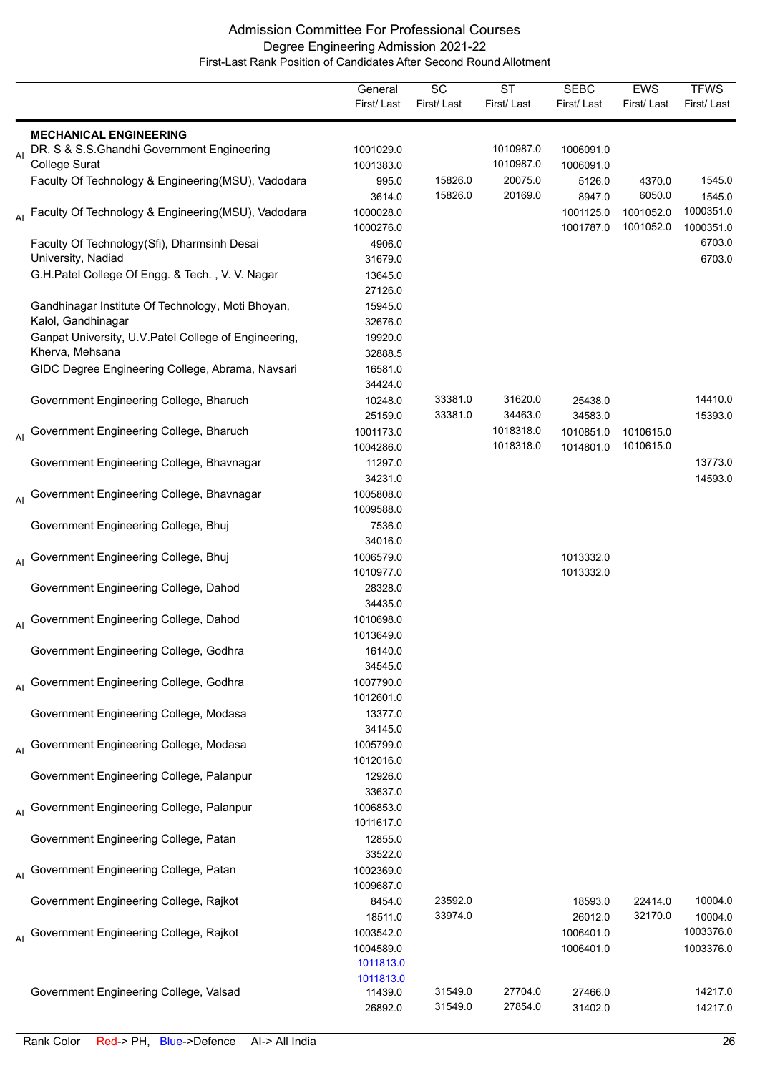|    |                                                                   | General             | SC         | <b>ST</b>  | <b>SEBC</b> | <b>EWS</b> | <b>TFWS</b> |
|----|-------------------------------------------------------------------|---------------------|------------|------------|-------------|------------|-------------|
|    |                                                                   | First/Last          | First/Last | First/Last | First/Last  | First/Last | First/Last  |
|    |                                                                   |                     |            |            |             |            |             |
|    | <b>MECHANICAL ENGINEERING</b>                                     |                     |            |            |             |            |             |
| AI | DR. S & S.S.Ghandhi Government Engineering                        | 1001029.0           |            | 1010987.0  | 1006091.0   |            |             |
|    | College Surat                                                     | 1001383.0           |            | 1010987.0  | 1006091.0   |            |             |
|    | Faculty Of Technology & Engineering(MSU), Vadodara                | 995.0               | 15826.0    | 20075.0    | 5126.0      | 4370.0     | 1545.0      |
|    |                                                                   | 3614.0              | 15826.0    | 20169.0    | 8947.0      | 6050.0     | 1545.0      |
| AI | Faculty Of Technology & Engineering(MSU), Vadodara                | 1000028.0           |            |            | 1001125.0   | 1001052.0  | 1000351.0   |
|    |                                                                   | 1000276.0           |            |            | 1001787.0   | 1001052.0  | 1000351.0   |
|    | Faculty Of Technology(Sfi), Dharmsinh Desai<br>University, Nadiad | 4906.0              |            |            |             |            | 6703.0      |
|    |                                                                   | 31679.0             |            |            |             |            | 6703.0      |
|    | G.H.Patel College Of Engg. & Tech., V. V. Nagar                   | 13645.0<br>27126.0  |            |            |             |            |             |
|    | Gandhinagar Institute Of Technology, Moti Bhoyan,                 | 15945.0             |            |            |             |            |             |
|    | Kalol, Gandhinagar                                                | 32676.0             |            |            |             |            |             |
|    | Ganpat University, U.V. Patel College of Engineering,             | 19920.0             |            |            |             |            |             |
|    | Kherva, Mehsana                                                   | 32888.5             |            |            |             |            |             |
|    | GIDC Degree Engineering College, Abrama, Navsari                  | 16581.0             |            |            |             |            |             |
|    |                                                                   | 34424.0             |            |            |             |            |             |
|    | Government Engineering College, Bharuch                           | 10248.0             | 33381.0    | 31620.0    | 25438.0     |            | 14410.0     |
|    |                                                                   | 25159.0             | 33381.0    | 34463.0    | 34583.0     |            | 15393.0     |
|    | Al Government Engineering College, Bharuch                        | 1001173.0           |            | 1018318.0  | 1010851.0   | 1010615.0  |             |
|    |                                                                   | 1004286.0           |            | 1018318.0  | 1014801.0   | 1010615.0  |             |
|    | Government Engineering College, Bhavnagar                         | 11297.0             |            |            |             |            | 13773.0     |
|    |                                                                   | 34231.0             |            |            |             |            | 14593.0     |
|    | Government Engineering College, Bhavnagar                         | 1005808.0           |            |            |             |            |             |
| Al |                                                                   | 1009588.0           |            |            |             |            |             |
|    | Government Engineering College, Bhuj                              | 7536.0              |            |            |             |            |             |
|    |                                                                   | 34016.0             |            |            |             |            |             |
|    | Al Government Engineering College, Bhuj                           | 1006579.0           |            |            | 1013332.0   |            |             |
|    |                                                                   | 1010977.0           |            |            | 1013332.0   |            |             |
|    | Government Engineering College, Dahod                             | 28328.0             |            |            |             |            |             |
|    |                                                                   | 34435.0             |            |            |             |            |             |
| AI | Government Engineering College, Dahod                             | 1010698.0           |            |            |             |            |             |
|    |                                                                   | 1013649.0           |            |            |             |            |             |
|    | Government Engineering College, Godhra                            | 16140.0             |            |            |             |            |             |
|    |                                                                   | 34545.0             |            |            |             |            |             |
|    | Al Government Engineering College, Godhra                         | 1007790.0           |            |            |             |            |             |
|    |                                                                   | 1012601.0           |            |            |             |            |             |
|    | Government Engineering College, Modasa                            | 13377.0             |            |            |             |            |             |
|    |                                                                   | 34145.0             |            |            |             |            |             |
|    | Al Government Engineering College, Modasa                         | 1005799.0           |            |            |             |            |             |
|    |                                                                   | 1012016.0           |            |            |             |            |             |
|    | Government Engineering College, Palanpur                          | 12926.0             |            |            |             |            |             |
|    |                                                                   | 33637.0             |            |            |             |            |             |
|    | Al Government Engineering College, Palanpur                       | 1006853.0           |            |            |             |            |             |
|    |                                                                   | 1011617.0           |            |            |             |            |             |
|    | Government Engineering College, Patan                             | 12855.0             |            |            |             |            |             |
|    |                                                                   | 33522.0             |            |            |             |            |             |
|    | Al Government Engineering College, Patan                          | 1002369.0           |            |            |             |            |             |
|    | Government Engineering College, Rajkot                            | 1009687.0<br>8454.0 | 23592.0    |            | 18593.0     | 22414.0    | 10004.0     |
|    |                                                                   | 18511.0             | 33974.0    |            | 26012.0     | 32170.0    | 10004.0     |
|    | Al Government Engineering College, Rajkot                         | 1003542.0           |            |            | 1006401.0   |            | 1003376.0   |
|    |                                                                   | 1004589.0           |            |            | 1006401.0   |            | 1003376.0   |
|    |                                                                   | 1011813.0           |            |            |             |            |             |
|    |                                                                   | 1011813.0           |            |            |             |            |             |
|    | Government Engineering College, Valsad                            | 11439.0             | 31549.0    | 27704.0    | 27466.0     |            | 14217.0     |
|    |                                                                   | 26892.0             | 31549.0    | 27854.0    | 31402.0     |            | 14217.0     |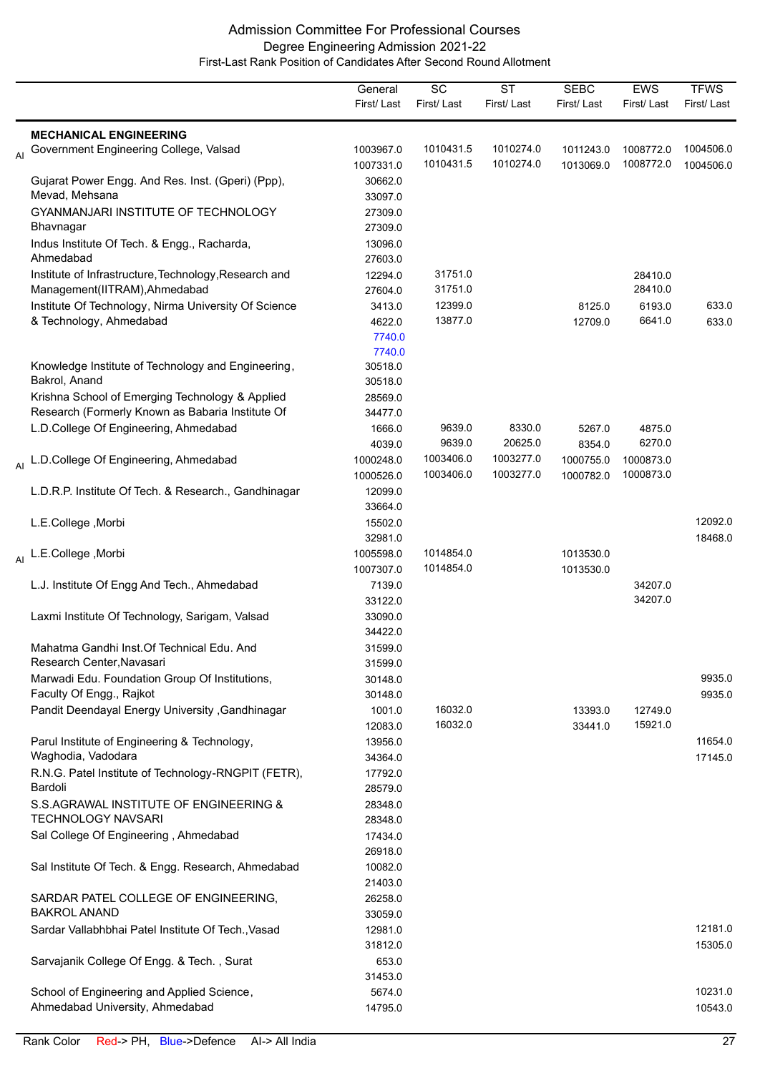|    |                                                                            | General<br>First/Last | $\overline{SC}$<br>First/Last | $\overline{\text{ST}}$<br>First/Last | <b>SEBC</b><br>First/Last | <b>EWS</b><br>First/Last | <b>TFWS</b><br>First/Last |
|----|----------------------------------------------------------------------------|-----------------------|-------------------------------|--------------------------------------|---------------------------|--------------------------|---------------------------|
|    |                                                                            |                       |                               |                                      |                           |                          |                           |
|    | <b>MECHANICAL ENGINEERING</b>                                              |                       |                               |                                      |                           |                          |                           |
| AI | Government Engineering College, Valsad                                     | 1003967.0             | 1010431.5<br>1010431.5        | 1010274.0<br>1010274.0               | 1011243.0                 | 1008772.0<br>1008772.0   | 1004506.0                 |
|    |                                                                            | 1007331.0             |                               |                                      | 1013069.0                 |                          | 1004506.0                 |
|    | Gujarat Power Engg. And Res. Inst. (Gperi) (Ppp),<br>Mevad, Mehsana        | 30662.0<br>33097.0    |                               |                                      |                           |                          |                           |
|    | GYANMANJARI INSTITUTE OF TECHNOLOGY                                        | 27309.0               |                               |                                      |                           |                          |                           |
|    | Bhavnagar                                                                  | 27309.0               |                               |                                      |                           |                          |                           |
|    | Indus Institute Of Tech. & Engg., Racharda,                                | 13096.0               |                               |                                      |                           |                          |                           |
|    | Ahmedabad                                                                  | 27603.0               |                               |                                      |                           |                          |                           |
|    | Institute of Infrastructure, Technology, Research and                      | 12294.0               | 31751.0                       |                                      |                           | 28410.0                  |                           |
|    | Management(IITRAM), Ahmedabad                                              | 27604.0               | 31751.0                       |                                      |                           | 28410.0                  |                           |
|    | Institute Of Technology, Nirma University Of Science                       | 3413.0                | 12399.0                       |                                      | 8125.0                    | 6193.0                   | 633.0                     |
|    | & Technology, Ahmedabad                                                    | 4622.0                | 13877.0                       |                                      | 12709.0                   | 6641.0                   | 633.0                     |
|    |                                                                            | 7740.0                |                               |                                      |                           |                          |                           |
|    |                                                                            | 7740.0                |                               |                                      |                           |                          |                           |
|    | Knowledge Institute of Technology and Engineering,                         | 30518.0               |                               |                                      |                           |                          |                           |
|    | Bakrol, Anand                                                              | 30518.0               |                               |                                      |                           |                          |                           |
|    | Krishna School of Emerging Technology & Applied                            | 28569.0               |                               |                                      |                           |                          |                           |
|    | Research (Formerly Known as Babaria Institute Of                           | 34477.0               |                               |                                      |                           |                          |                           |
|    | L.D.College Of Engineering, Ahmedabad                                      | 1666.0                | 9639.0                        | 8330.0                               | 5267.0                    | 4875.0                   |                           |
|    |                                                                            | 4039.0                | 9639.0                        | 20625.0                              | 8354.0                    | 6270.0                   |                           |
|    | <sub>Al</sub> L.D.College Of Engineering, Ahmedabad                        | 1000248.0             | 1003406.0                     | 1003277.0                            | 1000755.0                 | 1000873.0                |                           |
|    |                                                                            | 1000526.0             | 1003406.0                     | 1003277.0                            | 1000782.0                 | 1000873.0                |                           |
|    | L.D.R.P. Institute Of Tech. & Research., Gandhinagar                       | 12099.0               |                               |                                      |                           |                          |                           |
|    |                                                                            | 33664.0               |                               |                                      |                           |                          |                           |
|    | L.E.College, Morbi                                                         | 15502.0               |                               |                                      |                           |                          | 12092.0                   |
|    |                                                                            | 32981.0               |                               |                                      |                           |                          | 18468.0                   |
|    | Al L.E.College ,Morbi                                                      | 1005598.0             | 1014854.0                     |                                      | 1013530.0                 |                          |                           |
|    |                                                                            | 1007307.0             | 1014854.0                     |                                      | 1013530.0                 |                          |                           |
|    | L.J. Institute Of Engg And Tech., Ahmedabad                                | 7139.0                |                               |                                      |                           | 34207.0                  |                           |
|    |                                                                            | 33122.0               |                               |                                      |                           | 34207.0                  |                           |
|    | Laxmi Institute Of Technology, Sarigam, Valsad                             | 33090.0               |                               |                                      |                           |                          |                           |
|    | Mahatma Gandhi Inst. Of Technical Edu. And                                 | 34422.0               |                               |                                      |                           |                          |                           |
|    | Research Center, Navasari                                                  | 31599.0               |                               |                                      |                           |                          |                           |
|    |                                                                            | 31599.0<br>30148.0    |                               |                                      |                           |                          | 9935.0                    |
|    | Marwadi Edu. Foundation Group Of Institutions,<br>Faculty Of Engg., Rajkot |                       |                               |                                      |                           |                          | 9935.0                    |
|    |                                                                            | 30148.0               | 16032.0                       |                                      |                           |                          |                           |
|    | Pandit Deendayal Energy University , Gandhinagar                           | 1001.0<br>12083.0     | 16032.0                       |                                      | 13393.0<br>33441.0        | 12749.0<br>15921.0       |                           |
|    | Parul Institute of Engineering & Technology,                               | 13956.0               |                               |                                      |                           |                          | 11654.0                   |
|    | Waghodia, Vadodara                                                         | 34364.0               |                               |                                      |                           |                          | 17145.0                   |
|    | R.N.G. Patel Institute of Technology-RNGPIT (FETR),                        | 17792.0               |                               |                                      |                           |                          |                           |
|    | Bardoli                                                                    | 28579.0               |                               |                                      |                           |                          |                           |
|    | S.S.AGRAWAL INSTITUTE OF ENGINEERING &                                     | 28348.0               |                               |                                      |                           |                          |                           |
|    | <b>TECHNOLOGY NAVSARI</b>                                                  | 28348.0               |                               |                                      |                           |                          |                           |
|    | Sal College Of Engineering, Ahmedabad                                      | 17434.0               |                               |                                      |                           |                          |                           |
|    |                                                                            | 26918.0               |                               |                                      |                           |                          |                           |
|    | Sal Institute Of Tech. & Engg. Research, Ahmedabad                         | 10082.0               |                               |                                      |                           |                          |                           |
|    |                                                                            | 21403.0               |                               |                                      |                           |                          |                           |
|    | SARDAR PATEL COLLEGE OF ENGINEERING,                                       | 26258.0               |                               |                                      |                           |                          |                           |
|    | <b>BAKROL ANAND</b>                                                        | 33059.0               |                               |                                      |                           |                          |                           |
|    | Sardar Vallabhbhai Patel Institute Of Tech., Vasad                         | 12981.0               |                               |                                      |                           |                          | 12181.0                   |
|    |                                                                            | 31812.0               |                               |                                      |                           |                          | 15305.0                   |
|    | Sarvajanik College Of Engg. & Tech., Surat                                 | 653.0                 |                               |                                      |                           |                          |                           |
|    |                                                                            | 31453.0               |                               |                                      |                           |                          |                           |
|    | School of Engineering and Applied Science,                                 | 5674.0                |                               |                                      |                           |                          | 10231.0                   |
|    | Ahmedabad University, Ahmedabad                                            | 14795.0               |                               |                                      |                           |                          | 10543.0                   |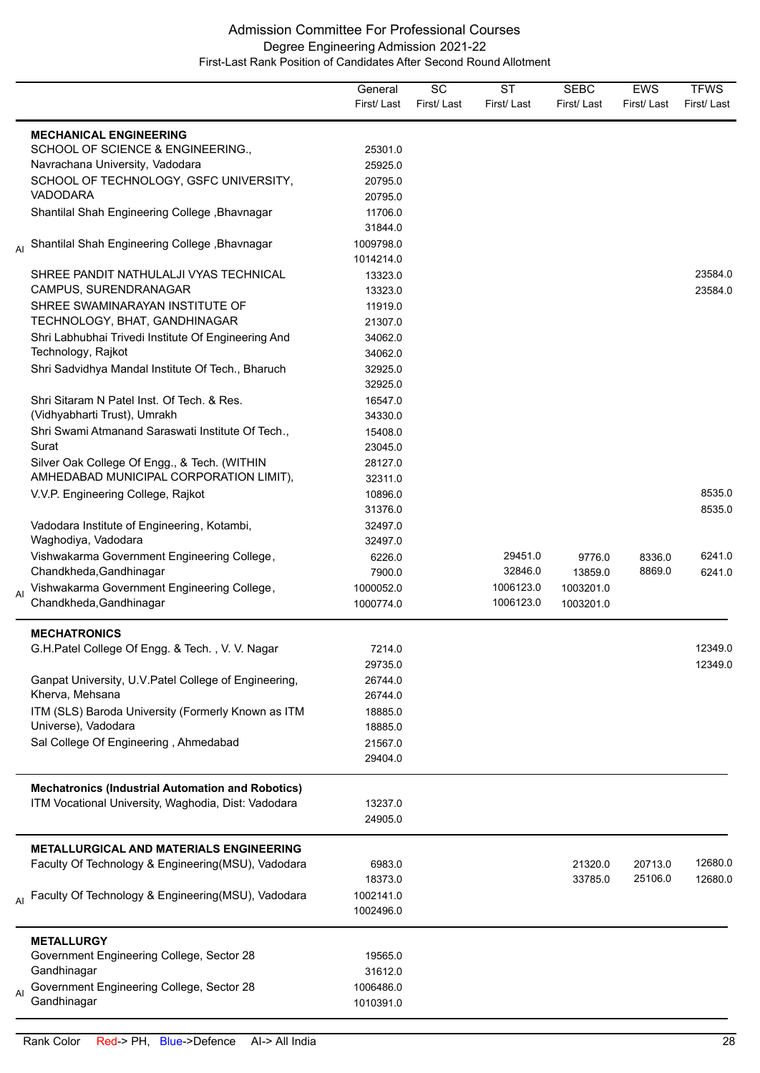|    |                                                                  | General    | SC         | <b>ST</b>  | <b>SEBC</b> | <b>EWS</b> | <b>TFWS</b> |
|----|------------------------------------------------------------------|------------|------------|------------|-------------|------------|-------------|
|    |                                                                  | First/Last | First/Last | First/Last | First/Last  | First/Last | First/Last  |
|    | <b>MECHANICAL ENGINEERING</b>                                    |            |            |            |             |            |             |
|    | SCHOOL OF SCIENCE & ENGINEERING.,                                | 25301.0    |            |            |             |            |             |
|    | Navrachana University, Vadodara                                  | 25925.0    |            |            |             |            |             |
|    | SCHOOL OF TECHNOLOGY, GSFC UNIVERSITY,                           | 20795.0    |            |            |             |            |             |
|    | VADODARA                                                         | 20795.0    |            |            |             |            |             |
|    | Shantilal Shah Engineering College, Bhavnagar                    | 11706.0    |            |            |             |            |             |
|    |                                                                  | 31844.0    |            |            |             |            |             |
|    | Shantilal Shah Engineering College, Bhavnagar                    | 1009798.0  |            |            |             |            |             |
|    |                                                                  | 1014214.0  |            |            |             |            |             |
|    | SHREE PANDIT NATHULALJI VYAS TECHNICAL                           | 13323.0    |            |            |             |            | 23584.0     |
|    | CAMPUS, SURENDRANAGAR                                            | 13323.0    |            |            |             |            | 23584.0     |
|    | SHREE SWAMINARAYAN INSTITUTE OF                                  | 11919.0    |            |            |             |            |             |
|    | TECHNOLOGY, BHAT, GANDHINAGAR                                    | 21307.0    |            |            |             |            |             |
|    | Shri Labhubhai Trivedi Institute Of Engineering And              | 34062.0    |            |            |             |            |             |
|    | Technology, Rajkot                                               | 34062.0    |            |            |             |            |             |
|    | Shri Sadvidhya Mandal Institute Of Tech., Bharuch                | 32925.0    |            |            |             |            |             |
|    |                                                                  | 32925.0    |            |            |             |            |             |
|    | Shri Sitaram N Patel Inst. Of Tech. & Res.                       | 16547.0    |            |            |             |            |             |
|    | (Vidhyabharti Trust), Umrakh                                     | 34330.0    |            |            |             |            |             |
|    |                                                                  |            |            |            |             |            |             |
|    | Shri Swami Atmanand Saraswati Institute Of Tech.,                | 15408.0    |            |            |             |            |             |
|    | Surat                                                            | 23045.0    |            |            |             |            |             |
|    | Silver Oak College Of Engg., & Tech. (WITHIN                     | 28127.0    |            |            |             |            |             |
|    | AMHEDABAD MUNICIPAL CORPORATION LIMIT),                          | 32311.0    |            |            |             |            |             |
|    | V.V.P. Engineering College, Rajkot                               | 10896.0    |            |            |             |            | 8535.0      |
|    |                                                                  | 31376.0    |            |            |             |            | 8535.0      |
|    | Vadodara Institute of Engineering, Kotambi,                      | 32497.0    |            |            |             |            |             |
|    | Waghodiya, Vadodara                                              | 32497.0    |            |            |             |            |             |
|    | Vishwakarma Government Engineering College,                      | 6226.0     |            | 29451.0    | 9776.0      | 8336.0     | 6241.0      |
|    | Chandkheda, Gandhinagar                                          | 7900.0     |            | 32846.0    | 13859.0     | 8869.0     | 6241.0      |
| AI | Vishwakarma Government Engineering College,                      | 1000052.0  |            | 1006123.0  | 1003201.0   |            |             |
|    | Chandkheda, Gandhinagar                                          | 1000774.0  |            | 1006123.0  | 1003201.0   |            |             |
|    | <b>MECHATRONICS</b>                                              |            |            |            |             |            |             |
|    | G.H.Patel College Of Engg. & Tech., V. V. Nagar                  | 7214.0     |            |            |             |            | 12349.0     |
|    |                                                                  | 29735.0    |            |            |             |            | 12349.0     |
|    | Ganpat University, U.V. Patel College of Engineering,            | 26744.0    |            |            |             |            |             |
|    | Kherva, Mehsana                                                  | 26744.0    |            |            |             |            |             |
|    | ITM (SLS) Baroda University (Formerly Known as ITM               | 18885.0    |            |            |             |            |             |
|    | Universe), Vadodara                                              | 18885.0    |            |            |             |            |             |
|    | Sal College Of Engineering, Ahmedabad                            | 21567.0    |            |            |             |            |             |
|    |                                                                  | 29404.0    |            |            |             |            |             |
|    |                                                                  |            |            |            |             |            |             |
|    | <b>Mechatronics (Industrial Automation and Robotics)</b>         |            |            |            |             |            |             |
|    | ITM Vocational University, Waghodia, Dist: Vadodara              | 13237.0    |            |            |             |            |             |
|    |                                                                  | 24905.0    |            |            |             |            |             |
|    | <b>METALLURGICAL AND MATERIALS ENGINEERING</b>                   |            |            |            |             |            |             |
|    | Faculty Of Technology & Engineering(MSU), Vadodara               | 6983.0     |            |            | 21320.0     | 20713.0    | 12680.0     |
|    |                                                                  | 18373.0    |            |            | 33785.0     | 25106.0    | 12680.0     |
|    | <sub>Al</sub> Faculty Of Technology & Engineering(MSU), Vadodara | 1002141.0  |            |            |             |            |             |
|    |                                                                  | 1002496.0  |            |            |             |            |             |
|    | <b>METALLURGY</b>                                                |            |            |            |             |            |             |
|    | Government Engineering College, Sector 28                        | 19565.0    |            |            |             |            |             |
|    | Gandhinagar                                                      | 31612.0    |            |            |             |            |             |
|    | Government Engineering College, Sector 28                        | 1006486.0  |            |            |             |            |             |
| AI | Gandhinagar                                                      | 1010391.0  |            |            |             |            |             |
|    |                                                                  |            |            |            |             |            |             |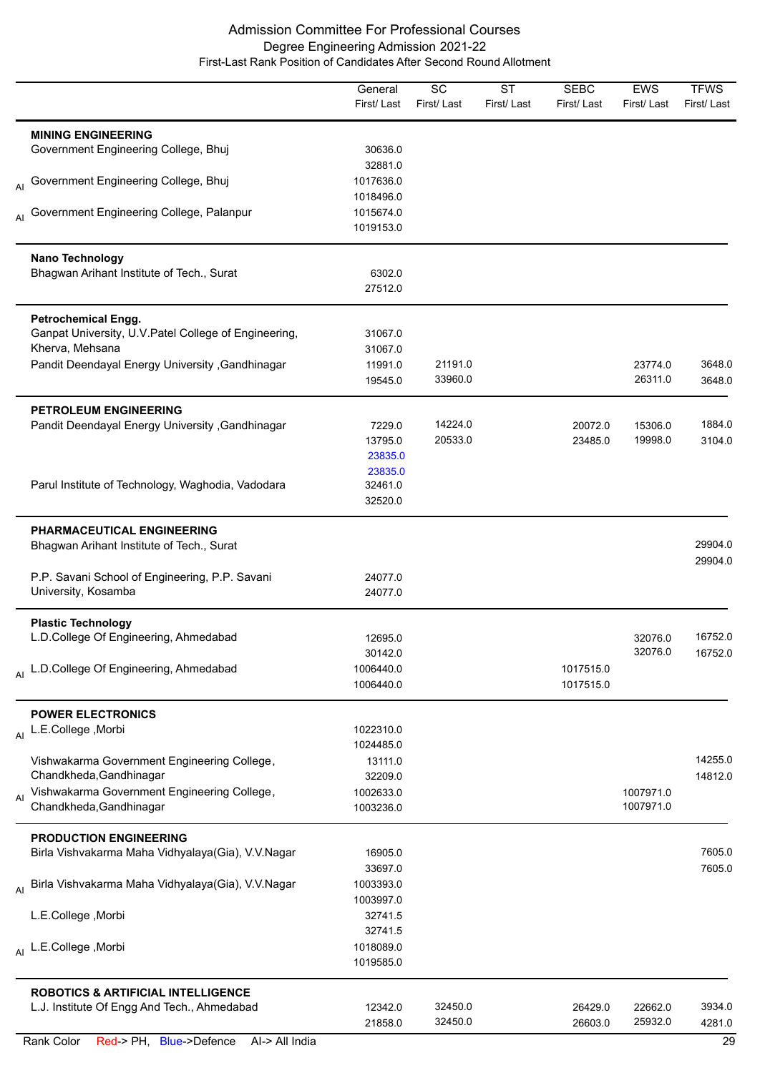|    |                                                                         | General<br>First/Last | $\overline{SC}$<br>First/Last | $\overline{\text{ST}}$<br>First/Last | <b>SEBC</b><br>First/Last | <b>EWS</b><br>First/Last | <b>TFWS</b><br>First/Last |
|----|-------------------------------------------------------------------------|-----------------------|-------------------------------|--------------------------------------|---------------------------|--------------------------|---------------------------|
|    |                                                                         |                       |                               |                                      |                           |                          |                           |
|    | <b>MINING ENGINEERING</b><br>Government Engineering College, Bhuj       | 30636.0               |                               |                                      |                           |                          |                           |
|    |                                                                         | 32881.0               |                               |                                      |                           |                          |                           |
|    | Al Government Engineering College, Bhuj                                 | 1017636.0             |                               |                                      |                           |                          |                           |
|    |                                                                         | 1018496.0             |                               |                                      |                           |                          |                           |
| AI | Government Engineering College, Palanpur                                | 1015674.0             |                               |                                      |                           |                          |                           |
|    |                                                                         | 1019153.0             |                               |                                      |                           |                          |                           |
|    | Nano Technology                                                         |                       |                               |                                      |                           |                          |                           |
|    | Bhagwan Arihant Institute of Tech., Surat                               | 6302.0                |                               |                                      |                           |                          |                           |
|    |                                                                         | 27512.0               |                               |                                      |                           |                          |                           |
|    | <b>Petrochemical Engg.</b>                                              |                       |                               |                                      |                           |                          |                           |
|    | Ganpat University, U.V. Patel College of Engineering,                   | 31067.0               |                               |                                      |                           |                          |                           |
|    | Kherva, Mehsana                                                         | 31067.0               |                               |                                      |                           |                          |                           |
|    | Pandit Deendayal Energy University , Gandhinagar                        | 11991.0               | 21191.0                       |                                      |                           | 23774.0                  | 3648.0                    |
|    |                                                                         | 19545.0               | 33960.0                       |                                      |                           | 26311.0                  | 3648.0                    |
|    | PETROLEUM ENGINEERING                                                   |                       |                               |                                      |                           |                          |                           |
|    | Pandit Deendayal Energy University , Gandhinagar                        | 7229.0                | 14224.0                       |                                      | 20072.0                   | 15306.0                  | 1884.0                    |
|    |                                                                         | 13795.0               | 20533.0                       |                                      | 23485.0                   | 19998.0                  | 3104.0                    |
|    |                                                                         | 23835.0               |                               |                                      |                           |                          |                           |
|    | Parul Institute of Technology, Waghodia, Vadodara                       | 23835.0<br>32461.0    |                               |                                      |                           |                          |                           |
|    |                                                                         | 32520.0               |                               |                                      |                           |                          |                           |
|    | PHARMACEUTICAL ENGINEERING<br>Bhagwan Arihant Institute of Tech., Surat |                       |                               |                                      |                           |                          | 29904.0                   |
|    |                                                                         |                       |                               |                                      |                           |                          | 29904.0                   |
|    | P.P. Savani School of Engineering, P.P. Savani<br>University, Kosamba   | 24077.0<br>24077.0    |                               |                                      |                           |                          |                           |
|    | <b>Plastic Technology</b>                                               |                       |                               |                                      |                           |                          |                           |
|    | L.D.College Of Engineering, Ahmedabad                                   | 12695.0               |                               |                                      |                           | 32076.0                  | 16752.0                   |
|    |                                                                         | 30142.0               |                               |                                      |                           | 32076.0                  | 16752.0                   |
|    | Al L.D.College Of Engineering, Ahmedabad                                | 1006440.0             |                               |                                      | 1017515.0                 |                          |                           |
|    |                                                                         | 1006440.0             |                               |                                      | 1017515.0                 |                          |                           |
|    | <b>POWER ELECTRONICS</b>                                                |                       |                               |                                      |                           |                          |                           |
|    | Al L.E.College, Morbi                                                   | 1022310.0             |                               |                                      |                           |                          |                           |
|    |                                                                         | 1024485.0             |                               |                                      |                           |                          |                           |
|    | Vishwakarma Government Engineering College,                             | 13111.0               |                               |                                      |                           |                          | 14255.0                   |
|    | Chandkheda, Gandhinagar                                                 | 32209.0               |                               |                                      |                           |                          | 14812.0                   |
| AI | Vishwakarma Government Engineering College,                             | 1002633.0             |                               |                                      |                           | 1007971.0                |                           |
|    | Chandkheda, Gandhinagar                                                 | 1003236.0             |                               |                                      |                           | 1007971.0                |                           |
|    | <b>PRODUCTION ENGINEERING</b>                                           |                       |                               |                                      |                           |                          |                           |
|    | Birla Vishvakarma Maha Vidhyalaya(Gia), V.V.Nagar                       | 16905.0<br>33697.0    |                               |                                      |                           |                          | 7605.0<br>7605.0          |
|    | Al Birla Vishvakarma Maha Vidhyalaya(Gia), V.V.Nagar                    | 1003393.0             |                               |                                      |                           |                          |                           |
|    |                                                                         | 1003997.0             |                               |                                      |                           |                          |                           |
|    | L.E.College, Morbi                                                      | 32741.5               |                               |                                      |                           |                          |                           |
|    |                                                                         | 32741.5               |                               |                                      |                           |                          |                           |
|    | Al L.E.College, Morbi                                                   | 1018089.0             |                               |                                      |                           |                          |                           |
|    |                                                                         | 1019585.0             |                               |                                      |                           |                          |                           |
|    | <b>ROBOTICS &amp; ARTIFICIAL INTELLIGENCE</b>                           |                       |                               |                                      |                           |                          |                           |
|    | L.J. Institute Of Engg And Tech., Ahmedabad                             | 12342.0               | 32450.0                       |                                      | 26429.0                   | 22662.0                  | 3934.0                    |
|    |                                                                         | 21858.0               | 32450.0                       |                                      | 26603.0                   | 25932.0                  | 4281.0                    |